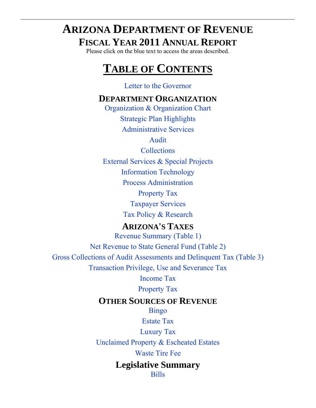# **ARIZONA DEPARTMENT OF REVENUE FISCAL YEAR 2011 ANNUAL REPORT**

Please click on the blue text to access the areas described.

# **TABLE OF CONTENTS**

## [Letter to the Governor](#page-1-0)

# **DEPARTMENT ORGANIZATION**

[Organization & Organization Chart](#page-2-0) [Strategic Plan Highlights](#page-4-0) [Administrative Services](#page-9-0)

[Audit](#page-10-0)

**[Collections](#page-13-0)** 

[External Services & Special Projects](#page-14-0)

[Information Technology](#page-16-0)

[Process Administration](#page-18-0)

[Property Tax](#page-19-0)

[Taxpayer Services](#page-21-0)

[Tax Policy & Research](#page-23-0)

# **ARIZONA'S TAXES**

[Revenue Summary \(Table 1\)](#page-26-0) [Net Revenue to State General Fund \(Table 2\)](#page-27-0) [Gross Collections of Audit Assessments and Delinquent Tax](#page-28-0) (Table 3) [Transaction Privilege, Use and Severance Tax](#page-30-0)

[Income Tax](#page-56-0)

[Property Tax](#page-68-0)

# **OTHER SOURCES OF REVENUE**

[Bingo](#page-76-0)

[Estate Tax](#page-77-0)

[Luxury Tax](#page-78-0)

[Unclaimed Property & Escheated Estates](#page-80-0)

[Waste Tire Fee](#page-82-0)

## **Legislative Summary** [Bills](#page-85-0)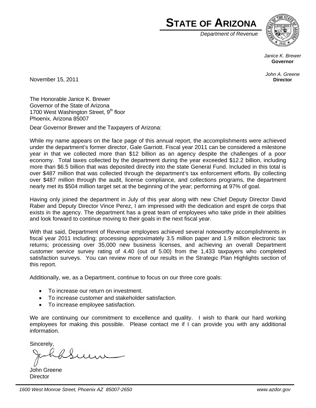

*Department of Revenue*



*Janice K. Brewer*  **Governor** 

*John A. Greene*  **Director** 

<span id="page-1-0"></span>November 15, 2011

The Honorable Janice K. Brewer Governor of the State of Arizona 1700 West Washington Street,  $9<sup>th</sup>$  floor Phoenix, Arizona 85007

Dear Governor Brewer and the Taxpayers of Arizona:

While my name appears on the face page of this annual report, the accomplishments were achieved under the department's former director, Gale Garriott. Fiscal year 2011 can be considered a milestone year in that we collected more than \$12 billion as an agency despite the challenges of a poor economy. Total taxes collected by the department during the year exceeded \$12.2 billion, including more than \$6.5 billion that was deposited directly into the state General Fund. Included in this total is over \$487 million that was collected through the department's tax enforcement efforts. By collecting over \$487 million through the audit, license compliance, and collections programs, the department nearly met its \$504 million target set at the beginning of the year; performing at 97% of goal.

Having only joined the department in July of this year along with new Chief Deputy Director David Raber and Deputy Director Vince Perez, I am impressed with the dedication and esprit de corps that exists in the agency. The department has a great team of employees who take pride in their abilities and look forward to continue moving to their goals in the next fiscal year.

With that said, Department of Revenue employees achieved several noteworthy accomplishments in fiscal year 2011 including: processing approximately 3.5 million paper and 1.9 million electronic tax returns; processing over 35,000 new business licenses, and achieving an overall Department customer service survey rating of 4.40 (out of 5.00) from the 1,433 taxpayers who completed satisfaction surveys. You can review more of our results in the Strategic Plan Highlights section of this report.

Additionally, we, as a Department, continue to focus on our three core goals:

- To increase our return on investment.
- To increase customer and stakeholder satisfaction.
- To increase employee satisfaction.

We are continuing our commitment to excellence and quality. I wish to thank our hard working employees for making this possible. Please contact me if I can provide you with any additional information.

Sincerely,

John Greene **Director**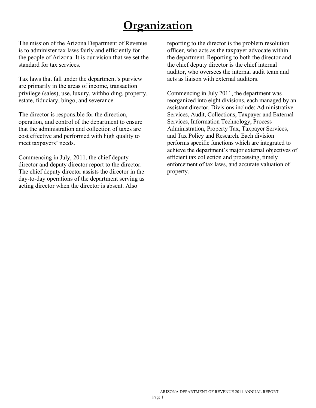# **Organization**

<span id="page-2-0"></span>The mission of the Arizona Department of Revenue is to administer tax laws fairly and efficiently for the people of Arizona. It is our vision that we set the standard for tax services.

Tax laws that fall under the department's purview are primarily in the areas of income, transaction privilege (sales), use, luxury, withholding, property, estate, fiduciary, bingo, and severance.

The director is responsible for the direction, operation, and control of the department to ensure that the administration and collection of taxes are cost effective and performed with high quality to meet taxpayers' needs.

Commencing in July, 2011, the chief deputy director and deputy director report to the director. The chief deputy director assists the director in the day-to-day operations of the department serving as acting director when the director is absent. Also

reporting to the director is the problem resolution officer, who acts as the taxpayer advocate within the department. Reporting to both the director and the chief deputy director is the chief internal auditor, who oversees the internal audit team and acts as liaison with external auditors.

Commencing in July 2011, the department was reorganized into eight divisions, each managed by an assistant director. Divisions include: Administrative Services, Audit, Collections, Taxpayer and External Services, Information Technology, Process Administration, Property Tax, Taxpayer Services, and Tax Policy and Research. Each division performs specific functions which are integrated to achieve the department's major external objectives of efficient tax collection and processing, timely enforcement of tax laws, and accurate valuation of property.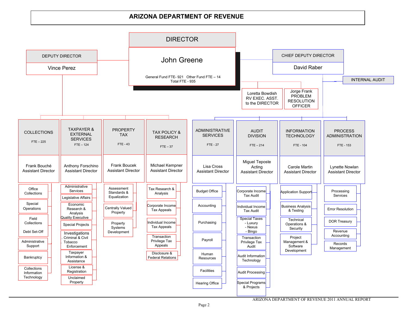#### **ARIZONA DEPARTMENT OF REVENUEARIZONA DEPARTMENT OF REVENUE**

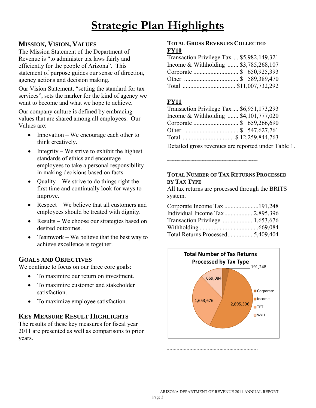# **Strategic Plan Highlights**

## <span id="page-4-0"></span>**MISSION, VISION, VALUES**

The Mission Statement of the Department of Revenue is "to administer tax laws fairly and efficiently for the people of Arizona". This statement of purpose guides our sense of direction, agency actions and decision making.

Our Vision Statement, "setting the standard for tax services", sets the marker for the kind of agency we want to become and what we hope to achieve.

Our company culture is defined by embracing values that are shared among all employees. Our Values are:

- Innovation We encourage each other to think creatively.
- $\bullet$  Integrity We strive to exhibit the highest standards of ethics and encourage employees to take a personal responsibility in making decisions based on facts.
- $\bullet$  Quality We strive to do things right the first time and continually look for ways to improve.
- Respect We believe that all customers and employees should be treated with dignity.
- Results We choose our strategies based on desired outcomes.
- Teamwork We believe that the best way to achieve excellence is together.

### **GOALS AND OBJECTIVES**

 $\overline{a}$ 

We continue to focus on our three core goals:

- To maximize our return on investment.
- To maximize customer and stakeholder satisfaction.
- To maximize employee satisfaction.

### **KEY MEASURE RESULT HIGHLIGHTS**

The results of these key measures for fiscal year 2011 are presented as well as comparisons to prior years.

#### **TOTAL GROSS REVENUES COLLECTED FY10**

| Transaction Privilege Tax \$5,982,149,321 |  |
|-------------------------------------------|--|
| Income & Withholding  \$3,785,268,107     |  |
|                                           |  |
|                                           |  |
|                                           |  |

### **FY11**

| Transaction Privilege Tax \$6,951,173,293                                                                            |  |  |  |
|----------------------------------------------------------------------------------------------------------------------|--|--|--|
| Income & Withholding  \$4,101,777,020                                                                                |  |  |  |
| Corporate  \$ 659,266,690                                                                                            |  |  |  |
|                                                                                                                      |  |  |  |
| Total  \$ 12,259,844,763                                                                                             |  |  |  |
| <b>Particular Contract Contract Contract Contract Contract Contract Contract Contract Contract Contract Contract</b> |  |  |  |

Detailed gross revenues are reported under Table 1.

#### **TOTAL NUMBER OF TAX RETURNS PROCESSED BY TAX TYPE**

~~~~~~~~~~~~~~~~~~~~~~~~~~~

All tax returns are processed through the BRITS system.

| Individual Income Tax2,895,396   |  |
|----------------------------------|--|
|                                  |  |
|                                  |  |
| Total Returns Processed5,409,404 |  |



~~~~~~~~~~~~~~~~~~~~~~~~~~~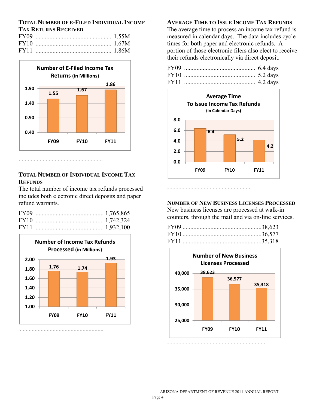#### **TOTAL NUMBER OF E-FILED INDIVIDUAL INCOME TAX RETURNS RECEIVED**



#### **TOTAL NUMBER OF INDIVIDUAL INCOME TAX REFUNDS**

The total number of income tax refunds processed includes both electronic direct deposits and paper refund warrants.



 $\overline{a}$ 

**AVERAGE TIME TO ISSUE INCOME TAX REFUNDS**

The average time to process an income tax refund is measured in calendar days. The data includes cycle times for both paper and electronic refunds. A portion of those electronic filers also elect to receive their refunds electronically via direct deposit.



#### **NUMBER OF NEW BUSINESS LICENSES PROCESSED**

New business licenses are processed at walk-in counters, through the mail and via on-line services.

~~~~~~~~~~~~~~~~~~~~~~~~~~



~~~~~~~~~~~~~~~~~~~~~~~~~~~~~~~~~~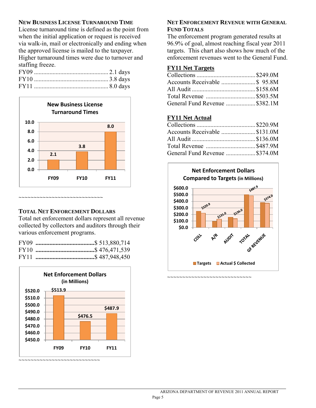#### **NEW BUSINESS LICENSE TURNAROUND TIME**

License turnaround time is defined as the point from when the initial application or request is received via walk-in, mail or electronically and ending when the approved license is mailed to the taxpayer. Higher turnaround times were due to turnover and staffing freeze.



#### **TOTAL NET ENFORCEMENT DOLLARS**

Total net enforcement dollars represent all revenue collected by collectors and auditors through their various enforcement programs.



#### **NET ENFORCEMENT REVENUE WITH GENERAL FUND TOTALS**

The enforcement program generated results at 96.9% of goal, almost reaching fiscal year 2011 targets. This chart also shows how much of the enforcement revenues went to the General Fund.

#### **FY11 Net Targets**

| General Fund Revenue  \$382.1M |  |
|--------------------------------|--|

#### **FY11 Net Actual**

| Accounts Receivable \$131.0M  |
|-------------------------------|
|                               |
| Total Revenue \$487.9M        |
| General Fund Revenue \$374.0M |
|                               |



~~~~~~~~~~~~~~~~~~~~~~~~~~~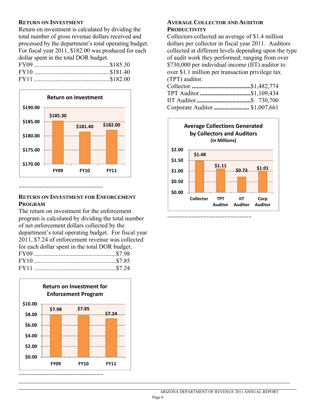#### **RETURN ON INVESTMENT**

Return on investment is calculated by dividing the total number of gross revenue dollars received and processed by the department's total operating budget. For fiscal year 2011, \$182.00 was produced for each dollar spent in the total DOR budget.



#### ~~~~~~~~~~~~~~~~~~~~~~~

#### **RETURN ON INVESTMENT FOR ENFORCEMENT PROGRAM**

The return on investment for the enforcement program is calculated by dividing the total number of net enforcement dollars collected by the department's total operating budget. For fiscal year 2011, \$7.24 of enforcement revenue was collected for each dollar spent in the total DOR budget. FY09 .....................................................\$7.98 FY10 .....................................................\$7.85 FY11 .....................................................\$7.24



~~~~~~~~~~~~~~~~~~~~~~~~~~~~

l

#### **AVERAGE COLLECTOR AND AUDITOR PRODUCTIVITY**

Collectors collected an average of \$1.4 million dollars per collector in fiscal year 2011. Auditors collected at different levels depending upon the type of audit work they performed; ranging from over \$730,000 per individual income (IIT) auditor to over \$1.1 million per transaction privilege tax (TPT) auditor.

| TPT Auditor\$1,109,434         |  |
|--------------------------------|--|
|                                |  |
| Corporate Auditor  \$1,007,661 |  |



~~~~~~~~~~~~~~~~~~~~~~~~~~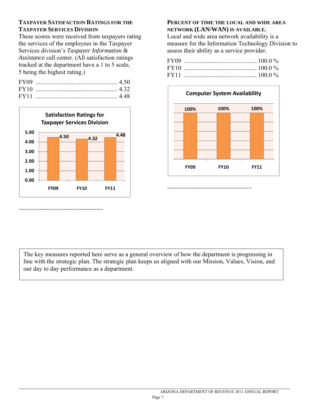#### **TAXPAYER SATISFACTION RATINGS FOR THE TAXPAYER SERVICES DIVISION**

These scores were received from taxpayers rating the services of the employees in the Taxpayer Services division's *Taxpayer Information & Assistance* call center. (All satisfaction ratings tracked at the department have a 1 to 5 scale, 5 being the highest rating.)



~~~~~~~~~~~~~~~~~~~~~~~~~~

 $\overline{a}$ 

#### **PERCENT OF TIME THE LOCAL AND WIDE AREA NETWORK (LAN/WAN) IS AVAILABLE.**

Local and wide area network availability is a measure for the Information Technology Division to assess their ability as a service provider.



The key measures reported here serve as a general overview of how the department is progressing in line with the strategic plan. The strategic plan keeps us aligned with our Mission, Values, Vision, and our day to day performance as a department.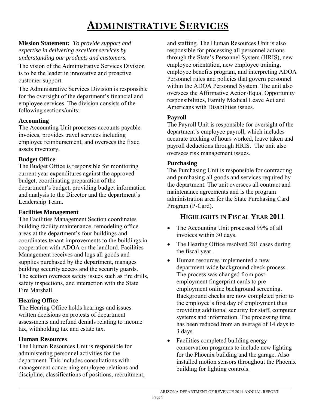# **ADMINISTRATIVE SERVICES**

<span id="page-9-0"></span>**Mission Statement:** *To provide support and expertise in delivering excellent services by understanding our products and customers.* 

The vision of the Administrative Services Division is to be the leader in innovative and proactive customer support.

The Administrative Services Division is responsible for the oversight of the department's financial and employee services. The division consists of the following sections/units:

#### **Accounting**

The Accounting Unit processes accounts payable invoices, provides travel services including employee reimbursement, and oversees the fixed assets inventory.

#### **Budget Office**

The Budget Office is responsible for monitoring current year expenditures against the approved budget, coordinating preparation of the department's budget, providing budget information and analysis to the Director and the department's Leadership Team.

#### **Facilities Management**

The Facilities Management Section coordinates building facility maintenance, remodeling office areas at the department's four buildings and coordinates tenant improvements to the buildings in cooperation with ADOA or the landlord. Facilities Management receives and logs all goods and supplies purchased by the department, manages building security access and the security guards. The section oversees safety issues such as fire drills, safety inspections, and interaction with the State Fire Marshall.

#### **Hearing Office**

The Hearing Office holds hearings and issues written decisions on protests of department assessments and refund denials relating to income tax, withholding tax and estate tax.

#### **Human Resources**

 $\overline{a}$ 

The Human Resources Unit is responsible for administering personnel activities for the department. This includes consultations with management concerning employee relations and discipline, classifications of positions, recruitment, and staffing. The Human Resources Unit is also responsible for processing all personnel actions through the State's Personnel System (HRIS), new employee orientation, new employee training, employee benefits program, and interpreting ADOA Personnel rules and policies that govern personnel within the ADOA Personnel System. The unit also oversees the Affirmative Action/Equal Opportunity responsibilities, Family Medical Leave Act and Americans with Disabilities issues.

#### **Payroll**

The Payroll Unit is responsible for oversight of the department's employee payroll, which includes accurate tracking of hours worked, leave taken and payroll deductions through HRIS. The unit also oversees risk management issues.

#### **Purchasing**

The Purchasing Unit is responsible for contracting and purchasing all goods and services required by the department. The unit oversees all contract and maintenance agreements and is the program administration area for the State Purchasing Card Program (P-Card).

### **HIGHLIGHTS IN FISCAL YEAR 2011**

- The Accounting Unit processed 99% of all invoices within 30 days.
- The Hearing Office resolved 281 cases during the fiscal year.
- Human resources implemented a new department-wide background check process. The process was changed from postemployment fingerprint cards to preemployment online background screening. Background checks are now completed prior to the employee's first day of employment thus providing additional security for staff, computer systems and information. The processing time has been reduced from an average of 14 days to 3 days.
- Facilities completed building energy conservation programs to include new lighting for the Phoenix building and the garage. Also installed motion sensors throughout the Phoenix building for lighting controls.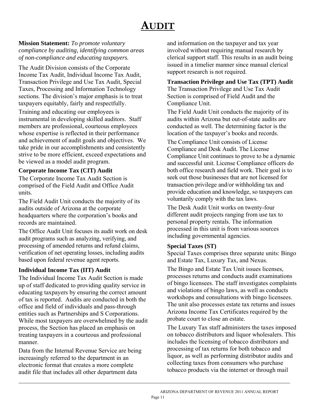# **AUDIT**

<span id="page-10-0"></span>**Mission Statement:** *To promote voluntary compliance by auditing, identifying common areas of non-compliance and educating taxpayers.* 

The Audit Division consists of the Corporate Income Tax Audit, Individual Income Tax Audit, Transaction Privilege and Use Tax Audit, Special Taxes, Processing and Information Technology sections. The division's major emphasis is to treat taxpayers equitably, fairly and respectfully.

Training and educating our employees is instrumental in developing skilled auditors. Staff members are professional, courteous employees whose expertise is reflected in their performance and achievement of audit goals and objectives. We take pride in our accomplishments and consistently strive to be more efficient, exceed expectations and be viewed as a model audit program.

#### **Corporate Income Tax (CIT) Audit**

The Corporate Income Tax Audit Section is comprised of the Field Audit and Office Audit units.

The Field Audit Unit conducts the majority of its audits outside of Arizona at the corporate headquarters where the corporation's books and records are maintained.

The Office Audit Unit focuses its audit work on desk audit programs such as analyzing, verifying, and processing of amended returns and refund claims, verification of net operating losses, including audits based upon federal revenue agent reports.

#### **Individual Income Tax (IIT) Audit**

The Individual Income Tax Audit Section is made up of staff dedicated to providing quality service in educating taxpayers by ensuring the correct amount of tax is reported. Audits are conducted in both the office and field of individuals and pass-through entities such as Partnerships and S Corporations. While most taxpayers are overwhelmed by the audit process, the Section has placed an emphasis on treating taxpayers in a courteous and professional manner.

Data from the Internal Revenue Service are being increasingly referred to the department in an electronic format that creates a more complete audit file that includes all other department data

l

and information on the taxpayer and tax year involved without requiring manual research by clerical support staff. This results in an audit being issued in a timelier manner since manual clerical support research is not required.

#### **Transaction Privilege and Use Tax (TPT) Audit**

The Transaction Privilege and Use Tax Audit Section is comprised of Field Audit and the Compliance Unit.

The Field Audit Unit conducts the majority of its audits within Arizona but out-of-state audits are conducted as well. The determining factor is the location of the taxpayer's books and records.

The Compliance Unit consists of License Compliance and Desk Audit. The License Compliance Unit continues to prove to be a dynamic and successful unit. License Compliance officers do both office research and field work. Their goal is to seek out those businesses that are not licensed for transaction privilege and/or withholding tax and provide education and knowledge, so taxpayers can voluntarily comply with the tax laws.

The Desk Audit Unit works on twenty-four different audit projects ranging from use tax to personal property rentals. The information processed in this unit is from various sources including governmental agencies.

#### **Special Taxes (ST)**

Special Taxes comprises three separate units: Bingo and Estate Tax, Luxury Tax, and Nexus.

The Bingo and Estate Tax Unit issues licenses, processes returns and conducts audit examinations of bingo licensees. The staff investigates complaints and violations of bingo laws, as well as conducts workshops and consultations with bingo licensees. The unit also processes estate tax returns and issues Arizona Income Tax Certificates required by the probate court to close an estate.

The Luxury Tax staff administers the taxes imposed on tobacco distributors and liquor wholesalers. This includes the licensing of tobacco distributors and processing of tax returns for both tobacco and liquor, as well as performing distributor audits and collecting taxes from consumers who purchase tobacco products via the internet or through mail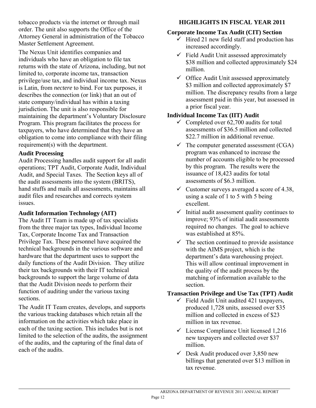tobacco products via the internet or through mail order. The unit also supports the Office of the Attorney General in administration of the Tobacco Master Settlement Agreement.

The Nexus Unit identifies companies and individuals who have an obligation to file tax returns with the state of Arizona, including, but not limited to, corporate income tax, transaction privilege/use tax, and individual income tax. Nexus is Latin, from *nectere* to bind. For tax purposes, it describes the connection (or link) that an out of state company/individual has within a taxing jurisdiction. The unit is also responsible for maintaining the department's Voluntary Disclosure Program. This program facilitates the process for taxpayers, who have determined that they have an obligation to come into compliance with their filing requirement(s) with the department.

#### **Audit Processing**

 $\overline{a}$ 

Audit Processing handles audit support for all audit operations; TPT Audit, Corporate Audit, Individual Audit, and Special Taxes. The Section keys all of the audit assessments into the system (BRITS), hand stuffs and mails all assessments, maintains all audit files and researches and corrects system issues.

#### **Audit Information Technology (AIT)**

The Audit IT Team is made up of tax specialists from the three major tax types, Individual Income Tax, Corporate Income Tax and Transaction Privilege Tax. These personnel have acquired the technical backgrounds in the various software and hardware that the department uses to support the daily functions of the Audit Division. They utilize their tax backgrounds with their IT technical backgrounds to support the large volume of data that the Audit Division needs to perform their function of auditing under the various taxing sections.

The Audit IT Team creates, develops, and supports the various tracking databases which retain all the information on the activities which take place in each of the taxing section. This includes but is not limited to the selection of the audits, the assignment of the audits, and the capturing of the final data of each of the audits.

## **HIGHLIGHTS IN FISCAL YEAR 2011**

### **Corporate Income Tax Audit (CIT) Section**

- $\checkmark$  Hired 21 new field staff and production has increased accordingly.
- $\checkmark$  Field Audit Unit assessed approximately \$38 million and collected approximately \$24 million.
- $\checkmark$  Office Audit Unit assessed approximately \$3 million and collected approximately \$7 million. The discrepancy results from a large assessment paid in this year, but assessed in a prior fiscal year.

### **Individual Income Tax (IIT) Audit**

- $\checkmark$  Completed over 62,700 audits for total assessments of \$36.5 million and collected \$22.7 million in additional revenue.
- $\checkmark$  The computer generated assessment (CGA) program was enhanced to increase the number of accounts eligible to be processed by this program. The results were the issuance of 18,423 audits for total assessments of \$6.3 million.
- $\checkmark$  Customer surveys averaged a score of 4.38, using a scale of 1 to 5 with 5 being excellent.
- $\checkmark$  Initial audit assessment quality continues to improve; 93% of initial audit assessments required no changes. The goal to achieve was established at 85%.
- $\checkmark$  The section continued to provide assistance with the AIMS project, which is the department's data warehousing project. This will allow continual improvement in the quality of the audit process by the matching of information available to the section.

### **Transaction Privilege and Use Tax (TPT) Audit**

- $\checkmark$  Field Audit Unit audited 421 taxpayers, produced 1,728 units, assessed over \$35 million and collected in excess of \$23 million in tax revenue.
- $\checkmark$  License Compliance Unit licensed 1,216 new taxpayers and collected over \$37 million.
- $\checkmark$  Desk Audit produced over 3,850 new billings that generated over \$13 million in tax revenue.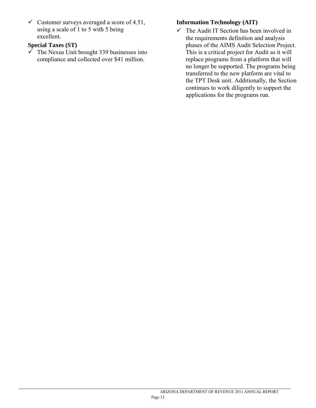$\checkmark$  Customer surveys averaged a score of 4.51, using a scale of 1 to 5 with 5 being excellent.

#### **Special Taxes (ST)**

 $\overline{a}$ 

 $\overrightarrow{V}$  The Nexus Unit brought 339 businesses into compliance and collected over \$41 million.

#### **Information Technology (AIT)**

 $\checkmark$  The Audit IT Section has been involved in the requirements definition and analysis phases of the AIMS Audit Selection Project. This is a critical project for Audit as it will replace programs from a platform that will no longer be supported. The programs being transferred to the new platform are vital to the TPT Desk unit. Additionally, the Section continues to work diligently to support the applications for the programs run.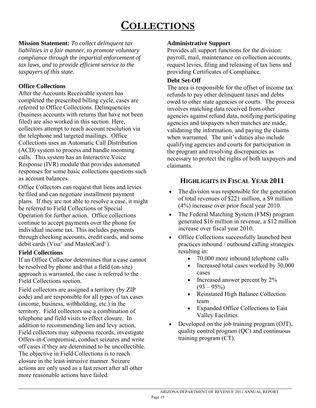# **COLLECTIONS**

<span id="page-13-0"></span>**Mission Statement:** *To collect delinquent tax liabilities in a fair manner, to promote voluntary compliance through the impartial enforcement of tax laws, and to provide efficient service to the taxpayers of this state.*

#### **Office Collections**

After the Accounts Receivable system has completed the prescribed billing cycle, cases are referred to Office Collections. Delinquencies (business accounts with returns that have not been filed) are also worked in this section. Here, collectors attempt to reach account resolution via the telephone and targeted mailings. Office Collections uses an Automatic Call Distribution (ACD) system to process and handle incoming calls. This system has an Interactive Voice Response (IVR) module that provides automated responses for some basic collections questions such as account balances.

Office Collectors can request that liens and levies be filed and can negotiate installment payment plans. If they are not able to resolve a case, it might be referred to Field Collections or Special Operation for further action. Office collections continue to accept payments over the phone for individual income tax. This includes payments through checking accounts, credit cards, and some debit cards (Visa© and MasterCard©).

#### **Field Collections**

If an Office Collector determines that a case cannot be resolved by phone and that a field (on-site) approach is warranted, the case is referred to the Field Collections section.

Field collectors are assigned a territory (by ZIP code) and are responsible for all types of tax cases (income, business, withholding, etc.) in the territory. Field collectors use a combination of telephone and field visits to effect closure. In addition to recommending lien and levy action, Field collectors may subpoena records, investigate Offers-in-Compromise, conduct seizures and write off cases if they are determined to be uncollectible. The objective in Field Collections is to reach closure in the least intrusive manner. Seizure actions are only used as a last resort after all other more reasonable actions have failed.

#### **Administrative Support**

Provides all support functions for the division: payroll, mail, maintenance on collection accounts, request levies, filing and releasing of tax liens and providing Certificates of Compliance.

#### **Debt Set-Off**

The area is responsible for the offset of income tax refunds to pay other delinquent taxes and debts owed to other state agencies or courts. The process involves matching data received from other agencies against refund data, notifying participating agencies and taxpayers when matches are made, validating the information, and paying the claims when warranted. The unit's duties also include qualifying agencies and courts for participation in the program and resolving discrepancies as necessary to protect the rights of both taxpayers and claimants.

### **HIGHLIGHTS IN FISCAL YEAR 2011**

- The division was responsible for the generation of total revenues of \$221 million, a \$9 million (4%) increase over prior fiscal year 2010.
- The Federal Matching System (FMS) program generated \$16 million in revenue, a \$12 million increase over fiscal year 2010.
- Office Collections successfully launched best practices inbound / outbound calling strategies resulting in:
	- 70,000 more inbound telephone calls
	- Increased total cases worked by 30,000 cases
	- Increased answer percent by  $2\%$  $(93 - 95\%)$
	- Reinstated High Balance Collection team
	- Expanded Office Collections to East Valley Facilities
- Developed on the job training program (OJT), quality control program (QC) and continuous training program (CT).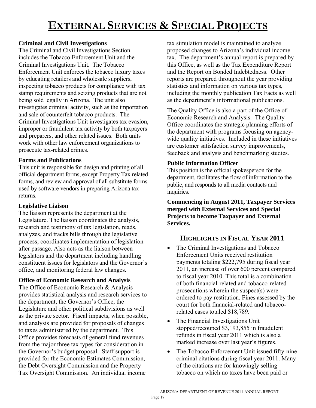# **EXTERNAL SERVICES & SPECIAL PROJECTS**

### <span id="page-14-0"></span>**Criminal and Civil Investigations**

The Criminal and Civil Investigations Section includes the Tobacco Enforcement Unit and the Criminal Investigations Unit. The Tobacco Enforcement Unit enforces the tobacco luxury taxes by educating retailers and wholesale suppliers, inspecting tobacco products for compliance with tax stamp requirements and seizing products that are not being sold legally in Arizona. The unit also investigates criminal activity, such as the importation and sale of counterfeit tobacco products. The Criminal Investigations Unit investigates tax evasion, improper or fraudulent tax activity by both taxpayers and preparers, and other related issues. Both units work with other law enforcement organizations to prosecute tax-related crimes.

#### **Forms and Publications**

This unit is responsible for design and printing of all official department forms, except Property Tax related forms, and review and approval of all substitute forms used by software vendors in preparing Arizona tax returns.

#### **Legislative Liaison**

l

The liaison represents the department at the Legislature. The liaison coordinates the analysis, research and testimony of tax legislation, reads, analyzes, and tracks bills through the legislative process; coordinates implementation of legislation after passage. Also acts as the liaison between legislators and the department including handling constituent issues for legislators and the Governor's office, and monitoring federal law changes.

**Office of Economic Research and Analysis** 

The Office of Economic Research & Analysis provides statistical analysis and research services to the department, the Governor's Office, the Legislature and other political subdivisions as well as the private sector. Fiscal impacts, when possible, and analysis are provided for proposals of changes to taxes administered by the department. This Office provides forecasts of general fund revenues from the major three tax types for consideration in the Governor's budget proposal. Staff support is provided for the Economic Estimates Commission, the Debt Oversight Commission and the Property Tax Oversight Commission. An individual income

tax simulation model is maintained to analyze proposed changes to Arizona's individual income tax. The department's annual report is prepared by this Office, as well as the Tax Expenditure Report and the Report on Bonded Indebtedness. Other reports are prepared throughout the year providing statistics and information on various tax types, including the monthly publication Tax Facts as well as the department's informational publications.

The Quality Office is also a part of the Office of Economic Research and Analysis. The Quality Office coordinates the strategic planning efforts of the department with programs focusing on agencywide quality initiatives. Included in these initiatives are customer satisfaction survey improvements, feedback and analysis and benchmarking studies.

#### **Public Information Officer**

This position is the official spokesperson for the department, facilitates the flow of information to the public, and responds to all media contacts and inquiries.

**Commencing in August 2011, Taxpayer Services merged with External Services and Special Projects to become Taxpayer and External Services.** 

# **HIGHLIGHTS IN FISCAL YEAR 2011**

- The Criminal Investigations and Tobacco Enforcement Units received restitution payments totaling \$222,795 during fiscal year 2011, an increase of over 600 percent compared to fiscal year 2010. This total is a combination of both financial-related and tobacco-related prosecutions wherein the suspect(s) were ordered to pay restitution. Fines assessed by the court for both financial-related and tobaccorelated cases totaled \$18,789.
- The Financial Investigations Unit stopped/recouped \$3,193,855 in fraudulent refunds in fiscal year 2011 which is also a marked increase over last year's figures.
- The Tobacco Enforcement Unit issued fifty-nine criminal citations during fiscal year 2011. Many of the citations are for knowingly selling tobacco on which no taxes have been paid or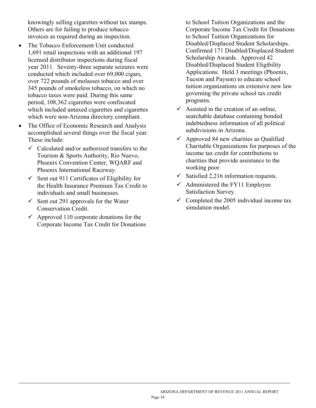knowingly selling cigarettes without tax stamps. Others are for failing to produce tobacco invoices as required during an inspection.

- The Tobacco Enforcement Unit conducted 1,691 retail inspections with an additional 197 licensed distributor inspections during fiscal year 2011. Seventy-three separate seizures were conducted which included over 69,000 cigars, over 722 pounds of molasses tobacco and over 345 pounds of smokeless tobacco, on which no tobacco taxes were paid. During this same period, 108,362 cigarettes were confiscated which included untaxed cigarettes and cigarettes which were non-Arizona directory compliant.
- The Office of Economic Research and Analysis accomplished several things over the fiscal year. These include:
	- $\checkmark$  Calculated and/or authorized transfers to the Tourism & Sports Authority, Rio Nuevo, Phoenix Convention Center, WQARF and Phoenix International Raceway.
	- $\checkmark$  Sent out 911 Certificates of Eligibility for the Health Insurance Premium Tax Credit to individuals and small businesses.
	- $\checkmark$  Sent out 291 approvals for the Water Conservation Credit.

l

 $\sim$  Approved 110 corporate donations for the Corporate Income Tax Credit for Donations to School Tuition Organizations and the Corporate Income Tax Credit for Donations to School Tuition Organizations for Disabled/Displaced Student Scholarships. Confirmed 171 Disabled/Displaced Student Scholarship Awards. Approved 42 Disabled/Displaced Student Eligibility Applications. Held 3 meetings (Phoenix, Tucson and Payson) to educate school tuition organizations on extensive new law governing the private school tax credit programs.

- $\checkmark$  Assisted in the creation of an online, searchable database containing bonded indebtedness information of all political subdivisions in Arizona.
- $\checkmark$  Approved 84 new charities as Qualified Charitable Organizations for purposes of the income tax credit for contributions to charities that provide assistance to the working poor.
- $\checkmark$  Satisfied 2,216 information requests.
- $\checkmark$  Administered the FY11 Employee Satisfaction Survey.
- $\checkmark$  Completed the 2005 individual income tax simulation model.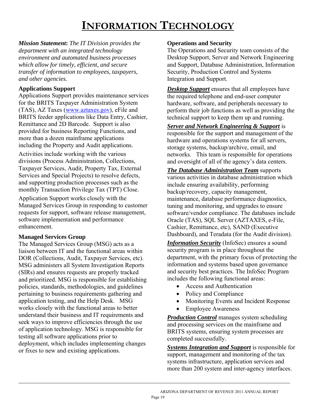# **INFORMATION TECHNOLOGY**

<span id="page-16-0"></span>*Mission Statement***:** *The IT Division provides the department with an integrated technology environment and automated business processes which allow for timely, efficient, and secure transfer of information to employees, taxpayers, and other agencies.* 

#### **Applications Support**

Applications Support provides maintenance services for the BRITS Taxpayer Administration System (TAS), AZ Taxes [\(www.aztaxes.gov\)](http://www.aztaxes.gov/), eFile and BRITS feeder applications like Data Entry, Cashier, Remittance and 2D Barcode. Support is also provided for business Reporting Functions, and more than a dozen mainframe applications including the Property and Audit applications. Activities include working with the various divisions (Process Administration, Collections, Taxpayer Services, Audit, Property Tax, External Services and Special Projects) to resolve defects, and supporting production processes such as the monthly Transaction Privilege Tax (TPT) Close. Application Support works closely with the Managed Services Group in responding to customer requests for support, software release management,

software implementation and performance enhancement.

### **Managed Services Group**

l

The Managed Services Group (MSG) acts as a liaison between IT and the functional areas within DOR (Collections, Audit, Taxpayer Services, etc). MSG administers all System Investigation Reports (SIRs) and ensures requests are properly tracked and prioritized. MSG is responsible for establishing policies, standards, methodologies, and guidelines pertaining to business requirements gathering and application testing, and the Help Desk. MSG works closely with the functional areas to better understand their business and IT requirements and seek ways to improve efficiencies through the use of application technology. MSG is responsible for testing all software applications prior to deployment, which includes implementing changes or fixes to new and existing applications.

#### **Operations and Security**

The Operations and Security team consists of the Desktop Support, Server and Network Engineering and Support, Database Administration, Information Security, Production Control and Systems Integration and Support.

*Desktop Support* ensures that all employees have the required telephone and end-user computer hardware, software, and peripherals necessary to perform their job functions as well as providing the technical support to keep them up and running.

*Server and Network Engineering & Support* is responsible for the support and management of the hardware and operations systems for all servers, storage systems, backup/archive, email, and networks. This team is responsible for operations and oversight of all of the agency's data centers.

*The Database Administration Team* supports various activities in database administration which include ensuring availability, performing backup/recovery, capacity management, maintenance, database performance diagnostics, tuning and monitoring, and upgrades to ensure software/vendor compliance. The databases include Oracle (TAS), SQL Server (AZTAXES, e-File, Cashier, Remittance, etc), SAND (Executive Dashboard), and Teradata (for the Audit division).

*Information Security* (InfoSec) ensures a sound security program is in place throughout the department, with the primary focus of protecting the information and systems based upon governance and security best practices. The InfoSec Program includes the following functional areas:

- Access and Authentication
- Policy and Compliance
- Monitoring Events and Incident Response
- Employee Awareness

*Production Control* manages system scheduling and processing services on the mainframe and BRITS systems, ensuring system processes are completed successfully.

*Systems Integration and Support* is responsible for support, management and monitoring of the tax systems infrastructure, application services and more than 200 system and inter-agency interfaces.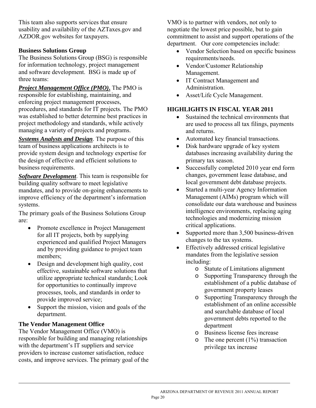This team also supports services that ensure usability and availability of the AZTaxes.gov and AZDOR.gov websites for taxpayers.

#### **Business Solutions Group**

The Business Solutions Group (BSG) is responsible for information technology, project management and software development. BSG is made up of three teams:

*Project Management Office (PMO)***.** The PMO is responsible for establishing, maintaining, and enforcing project management processes, procedures, and standards for IT projects. The PMO was established to better determine best practices in project methodology and standards, while actively managing a variety of projects and programs.

*Systems Analysts and Design*. The purpose of this team of business applications architects is to provide system design and technology expertise for the design of effective and efficient solutions to business requirements.

*Software Development*. This team is responsible for building quality software to meet legislative mandates, and to provide on-going enhancements to improve efficiency of the department's information systems.

The primary goals of the Business Solutions Group are:

- Promote excellence in Project Management for all IT projects, both by supplying experienced and qualified Project Managers and by providing guidance to project team members;
- Design and development high quality, cost effective, sustainable software solutions that utilize appropriate technical standards; Look for opportunities to continually improve processes, tools, and standards in order to provide improved service;
- Support the mission, vision and goals of the department.

#### **The Vendor Management Office**

l

The Vendor Management Office (VMO) is responsible for building and managing relationships with the department's IT suppliers and service providers to increase customer satisfaction, reduce costs, and improve services. The primary goal of the VMO is to partner with vendors, not only to negotiate the lowest price possible, but to gain commitment to assist and support operations of the department. Our core competencies include:

- Vendor Selection based on specific business requirements/needs.
- Vendor/Customer Relationship Management.
- IT Contract Management and Administration.
- Asset/Life Cycle Management.

## **HIGHLIGHTS IN FISCAL YEAR 2011**

- Sustained the technical environments that are used to process all tax filings, payments and returns.
- Automated key financial transactions.
- Disk hardware upgrade of key system databases increasing availability during the primary tax season.
- Successfully completed 2010 year end form changes, government lease database, and local government debt database projects.
- Started a multi-year Agency Information Management (AIMs) program which will consolidate our data warehouse and business intelligence environments, replacing aging technologies and modernizing mission critical applications.
- Supported more than 3,500 business-driven changes to the tax systems.
- Effectively addressed critical legislative mandates from the legislative session including:
	- o Statute of Limitations alignment
	- o Supporting Transparency through the establishment of a public database of government property leases
	- o Supporting Transparency through the establishment of an online accessible and searchable database of local government debts reported to the department
	- o Business license fees increase
	- $\circ$  The one percent (1%) transaction privilege tax increase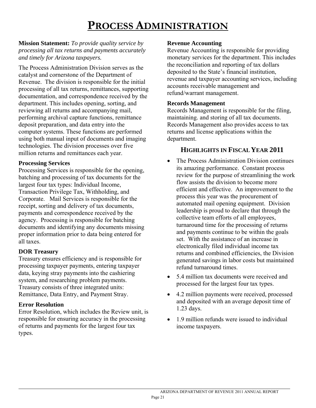# **PROCESS ADMINISTRATION**

#### <span id="page-18-0"></span>**Mission Statement:** *To provide quality service by processing all tax returns and payments accurately and timely for Arizona taxpayers.*

The Process Administration Division serves as the catalyst and cornerstone of the Department of Revenue. The division is responsible for the initial processing of all tax returns, remittances, supporting documentation, and correspondence received by the department. This includes opening, sorting, and reviewing all returns and accompanying mail, performing archival capture functions, remittance deposit preparation, and data entry into the computer systems. These functions are performed using both manual input of documents and imaging technologies. The division processes over five million returns and remittances each year.

#### **Processing Services**

Processing Services is responsible for the opening, batching and processing of tax documents for the largest four tax types: Individual Income, Transaction Privilege Tax, Withholding, and Corporate. Mail Services is responsible for the receipt, sorting and delivery of tax documents, payments and correspondence received by the agency. Processing is responsible for batching documents and identifying any documents missing proper information prior to data being entered for all taxes.

#### **DOR Treasury**

Treasury ensures efficiency and is responsible for processing taxpayer payments, entering taxpayer data, keying stray payments into the cashiering system, and researching problem payments. Treasury consists of three integrated units: Remittance, Data Entry, and Payment Stray.

#### **Error Resolution**

 $\overline{a}$ 

Error Resolution, which includes the Review unit, is responsible for ensuring accuracy in the processing of returns and payments for the largest four tax types.

#### **Revenue Accounting**

Revenue Accounting is responsible for providing monetary services for the department. This includes the reconciliation and reporting of tax dollars deposited to the State's financial institution, revenue and taxpayer accounting services, including accounts receivable management and refund/warrant management.

#### **Records Management**

Records Management is responsible for the filing, maintaining. and storing of all tax documents. Records Management also provides access to tax returns and license applications within the department.

#### **HIGHLIGHTS IN FISCAL YEAR 2011**

- The Process Administration Division continues its amazing performance. Constant process review for the purpose of streamlining the work flow assists the division to become more efficient and effective. An improvement to the process this year was the procurement of automated mail opening equipment. Division leadership is proud to declare that through the collective team efforts of all employees, turnaround time for the processing of returns and payments continue to be within the goals set. With the assistance of an increase in electronically filed individual income tax returns and combined efficiencies, the Division generated savings in labor costs but maintained refund turnaround times.
- 5.4 million tax documents were received and processed for the largest four tax types.
- 4.2 million payments were received, processed and deposited with an average deposit time of 1.23 days.
- 1.9 million refunds were issued to individual income taxpayers.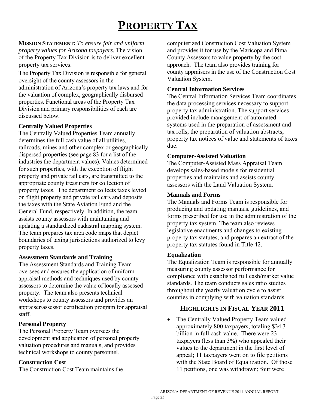# **PROPERTY TAX**

#### <span id="page-19-0"></span>**MISSION STATEMENT:** *To ensure fair and uniform property values for Arizona taxpayers.* The vision of the Property Tax Division is to deliver excellent property tax services.

The Property Tax Division is responsible for general oversight of the county assessors in the administration of Arizona's property tax laws and for the valuation of complex, geographically disbursed properties. Functional areas of the Property Tax Division and primary responsibilities of each are discussed below.

#### **Centrally Valued Properties**

The Centrally Valued Properties Team annually determines the full cash value of all utilities, railroads, mines and other complex or geographically dispersed properties (see page 83 for a list of the industries the department values). Values determined for such properties, with the exception of flight property and private rail cars, are transmitted to the appropriate county treasurers for collection of property taxes. The department collects taxes levied on flight property and private rail cars and deposits the taxes with the State Aviation Fund and the General Fund, respectively. In addition, the team assists county assessors with maintaining and updating a standardized cadastral mapping system. The team prepares tax area code maps that depict boundaries of taxing jurisdictions authorized to levy property taxes.

#### **Assessment Standards and Training**

The Assessment Standards and Training Team oversees and ensures the application of uniform appraisal methods and techniques used by county assessors to determine the value of locally assessed property. The team also presents technical workshops to county assessors and provides an appraiser/assessor certification program for appraisal staff.

#### **Personal Property**

The Personal Property Team oversees the development and application of personal property valuation procedures and manuals, and provides technical workshops to county personnel.

#### **Construction Cost**

l

The Construction Cost Team maintains the

computerized Construction Cost Valuation System and provides it for use by the Maricopa and Pima County Assessors to value property by the cost approach. The team also provides training for county appraisers in the use of the Construction Cost Valuation System.

#### **Central Information Services**

The Central Information Services Team coordinates the data processing services necessary to support property tax administration. The support services provided include management of automated systems used in the preparation of assessment and tax rolls, the preparation of valuation abstracts, property tax notices of value and statements of taxes due.

#### **Computer-Assisted Valuation**

The Computer-Assisted Mass Appraisal Team develops sales-based models for residential properties and maintains and assists county assessors with the Land Valuation System.

#### **Manuals and Forms**

The Manuals and Forms Team is responsible for producing and updating manuals, guidelines, and forms prescribed for use in the administration of the property tax system. The team also reviews legislative enactments and changes to existing property tax statutes, and prepares an extract of the property tax statutes found in Title 42.

#### **Equalization**

The Equalization Team is responsible for annually measuring county assessor performance for compliance with established full cash/market value standards. The team conducts sales ratio studies throughout the yearly valuation cycle to assist counties in complying with valuation standards.

## **HIGHLIGHTS IN FISCAL YEAR 2011**

• The Centrally Valued Property Team valued approximately 800 taxpayers, totaling \$34.3 billion in full cash value. There were 23 taxpayers (less than 3%) who appealed their values to the department in the first level of appeal; 11 taxpayers went on to file petitions with the State Board of Equalization. Of those 11 petitions, one was withdrawn; four were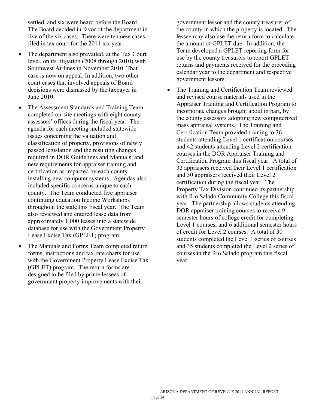settled, and six were heard before the Board. The Board decided in favor of the department in five of the six cases. There were ten new cases filed in tax court for the 2011 tax year.

- The department also prevailed, at the Tax Court level, on its litigation (2008 through 2010) with Southwest Airlines in November 2010. That case is now on appeal. In addition, two other court cases that involved appeals of Board decisions were dismissed by the taxpayer in June 2010.
- The Assessment Standards and Training Team completed on-site meetings with eight county assessors' offices during the fiscal year. The agenda for each meeting included statewide issues concerning the valuation and classification of property, provisions of newly passed legislation and the resulting changes required in DOR Guidelines and Manuals, and new requirements for appraiser training and certification as impacted by each county installing new computer systems. Agendas also included specific concerns unique to each county. The Team conducted five appraiser continuing education Income Workshops throughout the state this fiscal year. The Team also reviewed and entered lease data from approximately 1,000 leases into a statewide database for use with the Government Property Lease Excise Tax (GPLET) program.
- The Manuals and Forms Team completed return forms, instructions and tax rate charts for use with the Government Property Lease Excise Tax (GPLET) program. The return forms are designed to be filed by prime lessees of government property improvements with their

l

government lessor and the county treasurer of the county in which the property is located. The lessee may also use the return form to calculate the amount of GPLET due. In addition, the Team developed a GPLET reporting form for use by the county treasurers to report GPLET returns and payments received for the preceding calendar year to the department and respective government lessors.

• The Training and Certification Team reviewed and revised course materials used in the Appraiser Training and Certification Program to incorporate changes brought about in part, by the county assessors adopting new computerized mass appraisal systems. The Training and Certification Team provided training to 36 students attending Level 1 certification courses and 42 students attending Level 2 certification courses in the DOR Appraiser Training and Certification Program this fiscal year. A total of 32 appraisers received their Level 1 certification and 30 appraisers received their Level 2 certification during the fiscal year. The Property Tax Division continued its partnership with Rio Salado Community College this fiscal year. The partnership allows students attending DOR appraiser training courses to receive 9 semester hours of college credit for completing Level 1 courses, and 6 additional semester hours of credit for Level 2 courses. A total of 30 students completed the Level 1 series of courses and 35 students completed the Level 2 series of courses in the Rio Salado program this fiscal year.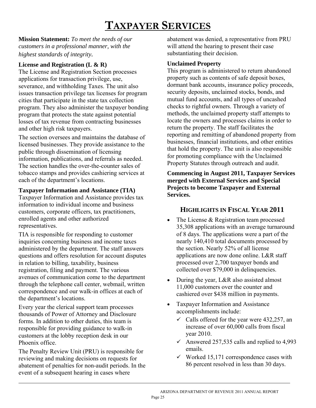# **TAXPAYER SERVICES**

<span id="page-21-0"></span>**Mission Statement:** *To meet the needs of our customers in a professional manner, with the highest standards of integrity.* 

### **License and Registration (L & R)**

The License and Registration Section processes applications for transaction privilege, use, severance, and withholding Taxes. The unit also issues transaction privilege tax licenses for program cities that participate in the state tax collection program. They also administer the taxpayer bonding program that protects the state against potential losses of tax revenue from contracting businesses and other high risk taxpayers.

The section oversees and maintains the database of licensed businesses. They provide assistance to the public through dissemination of licensing information, publications, and referrals as needed. The section handles the over-the-counter sales of tobacco stamps and provides cashiering services at each of the department's locations.

#### **Taxpayer Information and Assistance (TIA)**

Taxpayer Information and Assistance provides tax information to individual income and business customers, corporate officers, tax practitioners, enrolled agents and other authorized representatives.

TIA is responsible for responding to customer inquiries concerning business and income taxes administered by the department. The staff answers questions and offers resolution for account disputes in relation to billing, taxability, business registration, filing and payment. The various avenues of communication come to the department through the telephone call center, webmail, written correspondence and our walk-in offices at each of the department's locations.

Every year the clerical support team processes thousands of Power of Attorney and Disclosure forms. In addition to other duties, this team is responsible for providing guidance to walk-in customers at the lobby reception desk in our Phoenix office.

The Penalty Review Unit (PRU) is responsible for reviewing and making decisions on requests for abatement of penalties for non-audit periods. In the event of a subsequent hearing in cases where

l

abatement was denied, a representative from PRU will attend the hearing to present their case substantiating their decision.

#### **Unclaimed Property**

This program is administered to return abandoned property such as contents of safe deposit boxes, dormant bank accounts, insurance policy proceeds, security deposits, unclaimed stocks, bonds, and mutual fund accounts, and all types of uncashed checks to rightful owners. Through a variety of methods, the unclaimed property staff attempts to locate the owners and processes claims in order to return the property. The staff facilitates the reporting and remitting of abandoned property from businesses, financial institutions, and other entities that hold the property. The unit is also responsible for promoting compliance with the Unclaimed Property Statutes through outreach and audit.

**Commencing in August 2011, Taxpayer Services merged with External Services and Special Projects to become Taxpayer and External Services.** 

## **HIGHLIGHTS IN FISCAL YEAR 2011**

- The License & Registration team processed 35,308 applications with an average turnaround of 8 days. The applications were a part of the nearly 140,410 total documents processed by the section. Nearly 52% of all license applications are now done online. L&R staff processed over 2,700 taxpayer bonds and collected over \$79,000 in delinquencies.
- During the year, L&R also assisted almost 11,000 customers over the counter and cashiered over \$438 million in payments.
- Taxpayer Information and Assistance accomplishments include:
	- $\checkmark$  Calls offered for the year were 432,257, an increase of over 60,000 calls from fiscal year 2010.
	- Answered 257,535 calls and replied to 4,993 emails.
	- $\checkmark$  Worked 15,171 correspondence cases with 86 percent resolved in less than 30 days.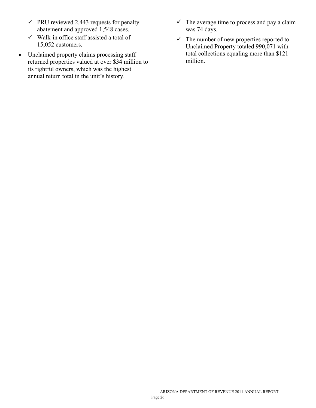- $\checkmark$  PRU reviewed 2,443 requests for penalty abatement and approved 1,548 cases.
- $\checkmark$  Walk-in office staff assisted a total of 15,052 customers.
- Unclaimed property claims processing staff returned properties valued at over \$34 million to its rightful owners, which was the highest annual return total in the unit's history.

l

- $\checkmark$  The average time to process and pay a claim was 74 days.
- $\checkmark$  The number of new properties reported to Unclaimed Property totaled 990,071 with total collections equaling more than \$121 million.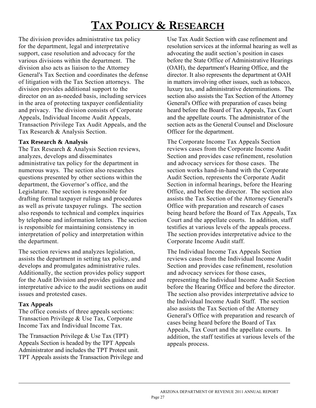# **TAX POLICY & RESEARCH**

<span id="page-23-0"></span>The division provides administrative tax policy for the department, legal and interpretative support, case resolution and advocacy for the various divisions within the department. The division also acts as liaison to the Attorney General's Tax Section and coordinates the defense of litigation with the Tax Section attorneys. The division provides additional support to the director on an as-needed basis, including services in the area of protecting taxpayer confidentiality and privacy. The division consists of Corporate Appeals, Individual Income Audit Appeals, Transaction Privilege Tax Audit Appeals, and the Tax Research & Analysis Section.

#### **Tax Research & Analysis**

The Tax Research & Analysis Section reviews, analyzes, develops and disseminates administrative tax policy for the department in numerous ways. The section also researches questions presented by other sections within the department, the Governor's office, and the Legislature. The section is responsible for drafting formal taxpayer rulings and procedures as well as private taxpayer rulings. The section also responds to technical and complex inquiries by telephone and information letters. The section is responsible for maintaining consistency in interpretation of policy and interpretation within the department.

The section reviews and analyzes legislation, assists the department in setting tax policy, and develops and promulgates administrative rules. Additionally, the section provides policy support for the Audit Division and provides guidance and interpretative advice to the audit sections on audit issues and protested cases.

#### **Tax Appeals**

l

The office consists of three appeals sections: Transaction Privilege & Use Tax, Corporate Income Tax and Individual Income Tax.

The Transaction Privilege & Use Tax (TPT) Appeals Section is headed by the TPT Appeals Administrator and includes the TPT Protest unit. TPT Appeals assists the Transaction Privilege and Use Tax Audit Section with case refinement and resolution services at the informal hearing as well as advocating the audit section's position in cases before the State Office of Administrative Hearings (OAH), the department's Hearing Office, and the director. It also represents the department at OAH in matters involving other issues, such as tobacco, luxury tax, and administrative determinations. The section also assists the Tax Section of the Attorney General's Office with preparation of cases being heard before the Board of Tax Appeals, Tax Court and the appellate courts. The administrator of the section acts as the General Counsel and Disclosure Officer for the department.

The Corporate Income Tax Appeals Section reviews cases from the Corporate Income Audit Section and provides case refinement, resolution and advocacy services for those cases. The section works hand-in-hand with the Corporate Audit Section, represents the Corporate Audit Section in informal hearings, before the Hearing Office, and before the director. The section also assists the Tax Section of the Attorney General's Office with preparation and research of cases being heard before the Board of Tax Appeals, Tax Court and the appellate courts. In addition, staff testifies at various levels of the appeals process. The section provides interpretative advice to the Corporate Income Audit staff.

The Individual Income Tax Appeals Section reviews cases from the Individual Income Audit Section and provides case refinement, resolution and advocacy services for those cases, representing the Individual Income Audit Section before the Hearing Office and before the director. The section also provides interpretative advice to the Individual Income Audit Staff. The section also assists the Tax Section of the Attorney General's Office with preparation and research of cases being heard before the Board of Tax Appeals, Tax Court and the appellate courts. In addition, the staff testifies at various levels of the appeals process.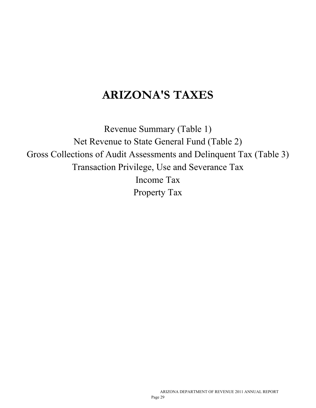# **ARIZONA'S TAXES**

Revenue Summary (Table 1) Net Revenue to State General Fund (Table 2) Gross Collections of Audit Assessments and Delinquent Tax (Table 3) Transaction Privilege, Use and Severance Tax Income Tax Property Tax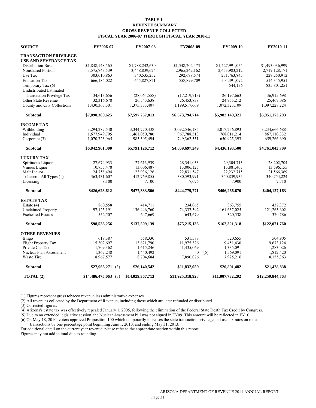#### **TABLE 1 REVENUE SUMMARY GROSS REVENUE COLLECTED FISCAL YEAR 2006-07 THROUGH FISCAL YEAR 2010-11**

<span id="page-26-0"></span>

| <b>SOURCE</b>                    | FY2006-07             | FY2007-08        | FY2008-09        |     | FY2009-10        | FY2010-11        |
|----------------------------------|-----------------------|------------------|------------------|-----|------------------|------------------|
| <b>TRANSACTION PRIVILEGE</b>     |                       |                  |                  |     |                  |                  |
| USE AND SEVERANCE TAX            |                       |                  |                  |     |                  |                  |
| <b>Distribution Base</b>         | \$1,848,148,565       | \$1,788,242,630  | \$1,548,202,473  |     | \$1,427,991,054  | \$1,493,036,999  |
| Nonshared Portion                | 3,575,743,539         | 3,448,839,624    | 2,965,242,162    |     | 2,653,983,212    | 2,719,128,171    |
| Use Tax                          | 303,010,863           | 340,535,252      | 292,698,574      |     | 271,763,845      | 229,250,912      |
| <b>Education Tax</b>             | 666,184,022           | 645,827,821      | 558,899,709      |     | 504,391,092      | 514,345,951      |
| Temporary Tax (6)                |                       |                  |                  |     | 544,136          | 835,801,251      |
| <b>Undistributed Estimated</b>   |                       |                  |                  |     |                  |                  |
| <b>Transaction Privilege Tax</b> | 34,613,656            | (28,064,558)     | (17, 219, 713)   |     | 26,197,663       | 36,915,698       |
| Other State Revenue              | 32,316,678            | 26,543,638       | 26,453,838       |     | 24,955,212       | 25,467,086       |
| County and City Collections      | 1,430,363,301         | 1,375,333,407    | 1,199,517,669    |     | 1,072,323,109    | 1,097,227,224    |
| <b>Subtotal</b>                  | \$7,890,380,625       | \$7,597,257,813  | \$6,573,794,714  |     | \$5,982,149,321  | \$6,951,173,293  |
| <b>INCOME TAX</b>                |                       |                  |                  |     |                  |                  |
| Withholding                      | 3,294,287,540         | 3,344,770,438    | 3,092,546,185    |     | 3,017,256,893    | 3,234,666,688    |
| Individual                       | 1,677,949,795         | 1,461,050,780    | 967,788,513      |     | 768,011,214      | 867,110,332      |
| Corporate (3)                    | 1,070,723,965         | 985, 305, 494    | 749,362,551      |     | 650,925,393      | 659,266,690      |
| <b>Subtotal</b>                  | \$6,042,961,300       | \$5,791,126,712  | \$4,809,697,249  |     | \$4,436,193,500  | \$4,761,043,709  |
| <b>LUXURY TAX</b>                |                       |                  |                  |     |                  |                  |
| Spirituous Liquor                | 27,674,933            | 27,613,939       | 28,341,033       |     | 29,304,713       | 28,202,704       |
| Vinous Liquor                    | 10,755,478            | 13,006,487       | 13,006,125       |     | 13,881,407       | 13,596,155       |
| Malt Liquor                      | 24,758,494            | 23,936,126       | 22,831,547       |     | 22,232,715       | 21,566,369       |
| Tobacco - All Types (1)          | 363,431,607           | 412,769,855      | 380,593,991      |     | 340,839,935      | 340,754,224      |
| Licensing                        | 8,100                 | 7,100            | 7,075            |     | 7,900            | 7,710            |
| <b>Subtotal</b>                  | \$426,628,612         | \$477,333,506    | \$444,779,771    |     | \$406,266,670    | \$404,127,163    |
| <b>ESTATE TAX</b>                |                       |                  |                  |     |                  |                  |
| Estate $(4)$                     | 860.558               | 414,711          | 234.065          |     | 363,755          | 437,372          |
| <b>Unclaimed Property</b>        | 97,125,191            | 136,446,760      | 74,337,392       |     | 161,637,025      | 121,263,602      |
| <b>Escheated Estates</b>         | 552,507               | 647,669          | 643,679          |     | 320,538          | 370,786          |
| <b>Subtotal</b>                  | \$98,538,256          | \$137,509,139    | \$75,215,136     |     | \$162,321,318    | \$122,071,760    |
| <b>OTHER REVENUES</b>            |                       |                  |                  |     |                  |                  |
| Bingo                            | 619,387               | 558,330          | 531,588          |     | 520.655          | 504.905          |
| Flight Property Tax              | 15,302,697            | 13,821,790       | 11,975,326       |     | 9,451,430        | 9,673,124        |
| Private Car Tax                  | 1,709,362             | 1,615,246        | 1,435,069        |     | 1,335,091        | 1,283,026        |
| Nuclear Plan Assessment          | 1,367,248             | 1,440,492        | $\theta$         | (5) | 1,569,091        | 1,812,420        |
| Waste Tire                       | 8,967,577             | 8,704,684        | 7,890,076        |     | 7,925,216        | 8,155,363        |
| <b>Subtotal</b>                  | \$27,966,271(3)       | \$26,140,542     | \$21,832,059     |     | \$20,801,482     | \$21,428,838     |
| TOTAL (2)                        | $$14,486,475,063$ (3) | \$14,029,367,713 | \$11,925,318,928 |     | \$11,007,732,292 | \$12,259,844,763 |

(1) Figures represent gross tobacco revenue less administrative expenses.

(2) All revenues collected by the Department of Revenue, including those which are later refunded or distributed.

 $(3)$  Corrected figures.

(4) Arizona's estate tax was effectively repealed January 1, 2005, following the elimination of the Federal State Death Tax Credit by Congress.

(5) Due to an extended legislative session, the Nuclear Assessment bill was not signed in FY09. This amount will be reflected in FY10.

(6) On May 18, 2010, voters approved Proposition 100 which temporarily increases the state transaction privilege and use tax rates on most

transactions by one percentage point beginning June 1, 2010, and ending May 31, 2013.

For additional detail on the current year revenue, please refer to the appropriate section within this report. Figures may not add to total due to rounding.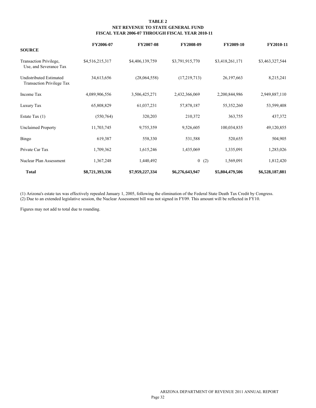#### **TABLE 2 NET REVENUE TO STATE GENERAL FUND FISCAL YEAR 2006-07 THROUGH FISCAL YEAR 2010-11**

<span id="page-27-0"></span>

|                                                                    | FY2006-07       | <b>FY2007-08</b> | FY2008-09       | FY2009-10        | FY2010-11       |
|--------------------------------------------------------------------|-----------------|------------------|-----------------|------------------|-----------------|
| <b>SOURCE</b>                                                      |                 |                  |                 |                  |                 |
| Transaction Privilege,<br>Use, and Severance Tax                   | \$4,516,215,317 | \$4,406,139,759  | \$3,791,915,770 | \$3,418,261,171  | \$3,463,327,544 |
| <b>Undistributed Estimated</b><br><b>Transaction Privilege Tax</b> | 34,613,656      | (28,064,558)     | (17,219,713)    | 26,197,663       | 8,215,241       |
| Income Tax                                                         | 4,089,906,556   | 3,506,425,271    | 2,432,366,069   | 2,200,844,986    | 2,949,887,110   |
| Luxury Tax                                                         | 65,808,829      | 61,037,231       | 57,878,187      | 55,352,260       | 53,599,408      |
| Estate Tax $(1)$                                                   | (550, 764)      | 320,203          | 210,372         | 363,755          | 437,372         |
| <b>Unclaimed Property</b>                                          | 11,703,745      | 9,755,359        | 9,526,605       | 100,034,835      | 49,120,855      |
| Bingo                                                              | 619,387         | 558,330          | 531,588         | 520,655          | 504,905         |
| Private Car Tax                                                    | 1,709,362       | 1,615,246        | 1,435,069       | 1,335,091        | 1,283,026       |
| Nuclear Plan Assessment                                            | 1,367,248       | 1,440,492        | $\overline{0}$  | (2)<br>1,569,091 | 1,812,420       |
| <b>Total</b>                                                       | \$8,721,393,336 | \$7,959,227,334  | \$6,276,643,947 | \$5,804,479,506  | \$6,528,187,881 |

(1) Arizona's estate tax was effectively repealed January 1, 2005, following the elimination of the Federal State Death Tax Credit by Congress. (2) Due to an extended legislative session, the Nuclear Assessment bill was not signed in FY09. This amount will be reflected in FY10.

Figures may not add to total due to rounding.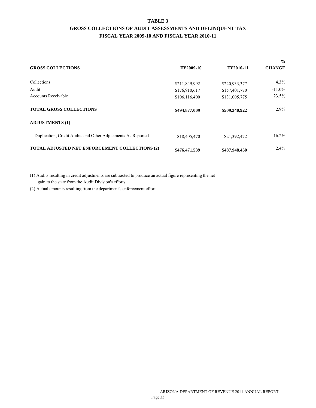#### **TABLE 3 GROSS COLLECTIONS OF AUDIT ASSESSMENTS AND DELINQUENT TAX FISCAL YEAR 2009-10 AND FISCAL YEAR 2010-11**

<span id="page-28-0"></span>

|                                                              |               |               | $\frac{6}{9}$ |  |
|--------------------------------------------------------------|---------------|---------------|---------------|--|
| <b>GROSS COLLECTIONS</b>                                     | FY2009-10     | FY2010-11     | <b>CHANGE</b> |  |
| Collections                                                  | \$211,849,992 | \$220,933,377 | $4.3\%$       |  |
| Audit                                                        | \$176,910,617 | \$157,401,770 | $-11.0\%$     |  |
| <b>Accounts Receivable</b>                                   | \$106,116,400 | \$131,005,775 | 23.5%         |  |
| <b>TOTAL GROSS COLLECTIONS</b>                               | \$494,877,009 | \$509,340,922 | $2.9\%$       |  |
| <b>ADJUSTMENTS (1)</b>                                       |               |               |               |  |
| Duplication, Credit Audits and Other Adjustments As Reported | \$18,405,470  | \$21,392,472  | 16.2%         |  |
| <b>TOTAL ADJUSTED NET ENFORCEMENT COLLECTIONS (2)</b>        | \$476,471,539 | \$487,948,450 | $2.4\%$       |  |

(1) Audits resulting in credit adjustments are subtracted to produce an actual figure representing the net gain to the state from the Audit Division's efforts.

(2) Actual amounts resulting from the department's enforcement effort.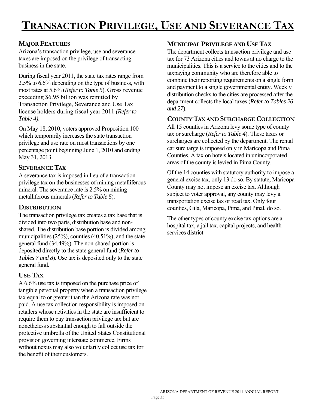# <span id="page-30-0"></span>**MAJOR FEATURES**

Arizona's transaction privilege, use and severance taxes are imposed on the privilege of transacting business in the state.

During fiscal year 2011, the state tax rates range from 2.5% to 6.6% depending on the type of business, with most rates at 5.6% (*Refer to Table 5*). Gross revenue exceeding \$6.95 billion was remitted by Transaction Privilege, Severance and Use Tax license holders during fiscal year 2011 *(Refer to Table 4)*.

On May 18, 2010, voters approved Proposition 100 which temporarily increases the state transaction privilege and use rate on most transactions by one percentage point beginning June 1, 2010 and ending May 31, 2013.

## **SEVERANCE TAX**

A severance tax is imposed in lieu of a transaction privilege tax on the businesses of mining metalliferous mineral. The severance rate is 2.5% on mining metalliferous minerals (*Refer to Table 5*).

## **DISTRIBUTION**

The transaction privilege tax creates a tax base that is divided into two parts, distribution base and nonshared. The distribution base portion is divided among municipalities (25%), counties (40.51%), and the state general fund (34.49%). The non-shared portion is deposited directly to the state general fund (*Refer to Tables 7 and 8*). Use tax is deposited only to the state general fund.

# **USE TAX**

l

A 6.6% use tax is imposed on the purchase price of tangible personal property when a transaction privilege tax equal to or greater than the Arizona rate was not paid. A use tax collection responsibility is imposed on retailers whose activities in the state are insufficient to require them to pay transaction privilege tax but are nonetheless substantial enough to fall outside the protective umbrella of the United States Constitutional provision governing interstate commerce. Firms without nexus may also voluntarily collect use tax for the benefit of their customers.

## **MUNICIPAL PRIVILEGE AND USE TAX**

The department collects transaction privilege and use tax for 73 Arizona cities and towns at no charge to the municipalities. This is a service to the cities and to the taxpaying community who are therefore able to combine their reporting requirements on a single form and payment to a single governmental entity. Weekly distribution checks to the cities are processed after the department collects the local taxes (*Refer to Tables 26 and 27*).

### **COUNTY TAX AND SURCHARGE COLLECTION**

All 15 counties in Arizona levy some type of county tax or surcharge (*Refer to Table 4*). These taxes or surcharges are collected by the department. The rental car surcharge is imposed only in Maricopa and Pima Counties. A tax on hotels located in unincorporated areas of the county is levied in Pima County.

Of the 14 counties with statutory authority to impose a general excise tax, only 13 do so. By statute, Maricopa County may not impose an excise tax. Although subject to voter approval, any county may levy a transportation excise tax or road tax. Only four counties, Gila, Maricopa, Pima, and Pinal, do so.

The other types of county excise tax options are a hospital tax, a jail tax, capital projects, and health services district.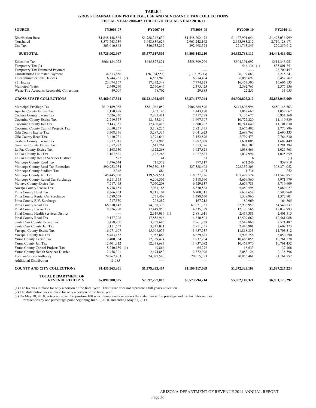#### **TABLE 4 GROSS TRANSACTION PRIVILEGE, USE AND SEVERANCE TAX COLLECTIONS FISCAL YEAR 2006-07 THROUGH FISCAL YEAR 2010-11**

| <b>SOURCE</b>                                                    | FY2006-07            | FY2007-08                   | FY2008-09               | FY2009-10               | FY2010-11               |
|------------------------------------------------------------------|----------------------|-----------------------------|-------------------------|-------------------------|-------------------------|
| <b>Distribution Base</b>                                         | \$1,848,148,565      | \$1,788,242,630             | \$1,548,202,473         | \$1,427,991,054         | \$1,493,036,999         |
| Nonshared                                                        | 3,575,743,539        | 3,448,839,624               | 2,965,242,162           | 2,653,983,212           | 2,719,128,171           |
| Use Tax                                                          | 303,010,863          | 340,535,252                 | 292,698,574             | 271,763,845             | 229,250,912             |
| <b>SUBTOTAL</b>                                                  | \$5,726,902,967      | \$5,577,617,505             | \$4,806,143,210         | \$4,353,738,110         | \$4,441,416,082         |
| <b>Education Tax</b>                                             | \$666,184,022        | \$645,827,821               | \$558,899,709           | \$504,391,092           | \$514,345,951           |
| Temporary Tax (3)                                                |                      |                             |                         | 544,136 (1)             | 835,801,251             |
| Temporary Tax Estimated Payment                                  | $\sim$ $\sim$ $\sim$ | $\sim$                      | $\sim$                  |                         | 28,700,457              |
| Undistributed Estimated Payment                                  | 34,613,656           | (28,064,558)                | (17, 219, 713)          | 26,197,663              | 8,215,241               |
| <b>Telecommunications Devices</b>                                | $6,744,231$ (2)      | 6,581,940                   | 6,274,404               | 6,086,692               | 6,452,762               |
| 911 Excise                                                       | 23,074,167           | 17,332,349                  | 17,774,128              | 16,453,500              | 16,606,135              |
| Municipal Water                                                  | 2,449,270            | 2,550,646                   | 2,375,423               | 2,392,765               | 2,377,136               |
| Waste Tire Accounts Receivable Collections                       | 49,009               | 78,702                      | 29,883                  | 22,255                  | 31,053                  |
| <b>GROSS STATE COLLECTIONS</b>                                   | \$6,460,017,324      | \$6,221,924,406             | \$5,374,277,044         | \$4,909,826,212         | \$5,853,946,069         |
| Municipal Privilege Tax                                          | \$619,189,088        | \$581,066,050               | \$506,884,596           | \$443,808,996           | \$450,148,563           |
| Apache County Excise Tax                                         | 1,150,488            | 1,402,145                   | 1,443,180               | 1,057,667               | 1,052,062               |
| Cochise County Excise Tax                                        | 7,626,330            | 7,801,411                   | 7,457,788               | 7,136,677               | 6,951,160               |
| Coconino County Excise Tax                                       | 12,219,377           | 12,455,849                  | 11,697,597              | 10,722,220              | 11,110,639              |
| Coconino County Jail Tax                                         | 9,143,351            | 12,400,413                  | 11,680,202              | 10,741,640              | 11,101,630              |
| Coconino County Capitol Projects Tax                             | 3,050,257            | 3,108,226                   | 2,921,475               | 2,676,492               | 2,773,896               |
| Gila County Excise Tax                                           | 3,308,376            | 3,287,537                   | 3,041,923               | 2,689,763               | 2,690,335               |
| Gila County Road Tax                                             | 3,410,721            | 3,391,644                   | 3,152,896               | 2,799,473               | 2,766,830               |
| Graham County Excise Tax                                         | 1,977,017            | 2,258,906                   | 1,982,088               | 1,601,005               | 1,682,449               |
| Greenlee County Excise Tax                                       | 1,052,972            | 1,641,764                   | 1,553,396               | 842,107                 | 1,281,394               |
| La Paz County Excise Tax                                         | 1,168,130            | 1,122,268                   | 1,027,828               | 1,038,469               | 1,025,763               |
| La Paz County Jail Tax                                           | 1,167,821            | 1,122,266                   | 1,027,827               | 1,037,994               | 1,025,659               |
| La Paz County Health Services District                           | 573                  | 41                          | 61                      | 16                      | (7)                     |
| Maricopa County Road Tax                                         | 1,496,644            | 715,372                     | 797,117                 | 671,246                 | 859,919                 |
| Maricopa County Road Tax Extension                               | 390,953,954          | 379,350,183                 | 327,388,602             | 298, 352, 305           | 308,374,052             |
| Maricopa County Stadium Tax                                      | 2,346                | 884                         | 1,104                   | 1,736                   | 252                     |
| Maricopa County Jail Tax                                         | 145,445,860          | 139,699,551                 | 118,527,726             | 107,492,524             | 111,547,857             |
| Maricopa County Rental Car Surcharge                             | 6,211,155            | 6,206,305                   | 5,318,690               | 4,669,860               | 4,971,979               |
| Mohave County Excise Tax                                         | 7,717,443            | 7,070,208                   | 6,429,137               | 5,654,783               | 5,710,609               |
| Navajo County Excise Tax                                         | 6,778,153            | 7,083,165                   | 6,330,588               | 5,480,598               | 5,889,027               |
| Pima County Hotel Tax                                            | 8,766,453            | 8,215,104                   | 6,700,311               | 5,637,658               | 5,590,968               |
| Pima County Rental Car Surcharge                                 | 1,689,669            | 1,731,469                   | 1,388,670               | 1,339,960               | 1,372,901               |
| Pima County R.V. Surcharge                                       | 217,530              | 208,287                     | 167,218                 | 180,969                 | 164,805                 |
| Pima County Road Tax                                             | 66,810,147           | 74,768,398                  | 67,221,351              | 62,936,950              | 64,540,737              |
| Pinal County Excise Tax<br>Pinal County Health Services District | 18,826,280<br>-----  | 17,449,950                  | 14,335,789              | 12,130,566<br>2,414,381 | 12,032,993<br>2,401,515 |
| Pinal County Road Tax                                            | 19,177,206           | 2,319,086 (1)<br>17,856,916 | 2,881,911<br>14,830,503 | 12,599,660              |                         |
| Santa Cruz County Excise Tax                                     | 3,458,900            | 3,267,685                   | 2,961,238               | 2,547,860               | 12,561,088<br>2,571,487 |
| Santa Cruz County Jail Tax                                       | 3,111,567            | 3,241,021                   | 2,951,355               | 2,445,901               | 2,609,373               |
| Yavapai County Excise Tax                                        | 16,971,697           | 15,908,075                  | 13,657,537              | 11,818,833              | 11,703,512              |
| Yavapai County Jail Tax                                          | 8,483,152            | 7,952,863                   | 6,829,627               | 5,908,756               | 5,850,290               |
| Yuma County Excise Tax                                           | 12,400,384           | 12,339,424                  | 11,937,204              | 10,463,855              | 10,761,578              |
| Yuma County Jail Tax                                             | 12,401,312           | 12,338,683                  | 11,937,082              | 10,463,970              | 10,761,452              |
| Yuma County Capitol Projects Tax                                 | 8,240,159 (1)        | 49,866                      | 65,276                  | 18,633                  | 37,106                  |
| Yuma County Health Services District                             | 2,458,301            | 2,474,852                   | 2,372,996               | 2,083,126               | 2,138,596               |
| Tourism/Sports Authority                                         | 24,267,403           | 24,027,540                  | 20,615,783              | 20,856,461              | 21,164,757              |
| <b>Additional Distribution</b>                                   | 13,085               | -----                       |                         |                         |                         |
| <b>COUNTY AND CITY COLLECTIONS</b>                               | \$1,430,363,301      | \$1,375,333,407             | \$1,199,517,669         | \$1,072,323,109         | \$1,097,227,224         |
| <b>TOTAL DEPARTMENT OF</b><br><b>REVENUE RECEIPTS</b>            | \$7,890,380,625      | \$7,597,257,813             | \$6,573,794,714         | \$5,982,149,321         | \$6,951,173,292         |

(1) The tax was in place for only a portion of the fiscal year. This figure does not represent a full year's collection.<br>(2) The distribution was in place for only a portion of the fiscal year.<br>(3) On May 18, 2010, voters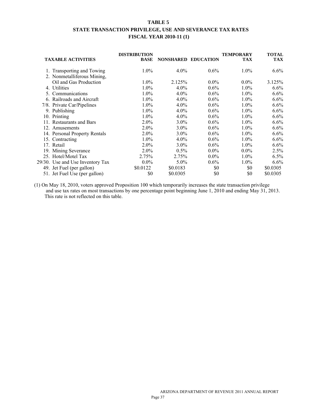#### **TABLE 5 STATE TRANSACTION PRIVILEGE, USE AND SEVERANCE TAX RATES FISCAL YEAR 2010-11 (1)**

| <b>TAXABLE ACTIVITIES</b>        | <b>DISTRIBUTION</b><br><b>BASE</b> | NONSHARED EDUCATION |         | TEMPORARY<br><b>TAX</b> | <b>TOTAL</b><br><b>TAX</b> |
|----------------------------------|------------------------------------|---------------------|---------|-------------------------|----------------------------|
| 1. Transporting and Towing       | $1.0\%$                            | $4.0\%$             | $0.6\%$ | $1.0\%$                 | $6.6\%$                    |
| 2. Nonmetalliferous Mining,      |                                    |                     |         |                         |                            |
| Oil and Gas Production           | $1.0\%$                            | 2.125%              | $0.0\%$ | $0.0\%$                 | 3.125%                     |
| 4. Utilities                     | 1.0%                               | $4.0\%$             | $0.6\%$ | $1.0\%$                 | $6.6\%$                    |
| 5. Communications                | $1.0\%$                            | $4.0\%$             | $0.6\%$ | $1.0\%$                 | $6.6\%$                    |
| 6. Railroads and Aircraft        | $1.0\%$                            | 4.0%                | $0.6\%$ | $1.0\%$                 | $6.6\%$                    |
| 7/8. Private Car/Pipelines       | $1.0\%$                            | $4.0\%$             | $0.6\%$ | $1.0\%$                 | $6.6\%$                    |
| 9. Publishing                    | $1.0\%$                            | $4.0\%$             | $0.6\%$ | $1.0\%$                 | $6.6\%$                    |
| 10. Printing                     | $1.0\%$                            | $4.0\%$             | $0.6\%$ | $1.0\%$                 | $6.6\%$                    |
| 11. Restaurants and Bars         | $2.0\%$                            | $3.0\%$             | $0.6\%$ | $1.0\%$                 | $6.6\%$                    |
| 12. Amusements                   | $2.0\%$                            | $3.0\%$             | $0.6\%$ | $1.0\%$                 | $6.6\%$                    |
| 14. Personal Property Rentals    | $2.0\%$                            | $3.0\%$             | $0.6\%$ | $1.0\%$                 | $6.6\%$                    |
| 15. Contracting                  | $1.0\%$                            | $4.0\%$             | $0.6\%$ | $1.0\%$                 | $6.6\%$                    |
| 17. Retail                       | $2.0\%$                            | $3.0\%$             | $0.6\%$ | $1.0\%$                 | $6.6\%$                    |
| 19. Mining Severance             | $2.0\%$                            | $0.5\%$             | $0.0\%$ | $0.0\%$                 | 2.5%                       |
| 25. Hotel/Motel Tax              | 2.75%                              | 2.75%               | $0.0\%$ | $1.0\%$                 | 6.5%                       |
| 29/30. Use and Use Inventory Tax | $0.0\%$                            | $5.0\%$             | $0.6\%$ | $1.0\%$                 | $6.6\%$                    |
| 49. Jet Fuel (per gallon)        | \$0.0122                           | \$0.0183            | \$0     | \$0                     | \$0.0305                   |
| 51. Jet Fuel Use (per gallon)    | \$0                                | \$0.0305            | \$0     | \$0                     | \$0.0305                   |

(1) On May 18, 2010, voters approved Proposition 100 which temporarily increases the state transaction privilege and use tax rates on most transactions by one percentage point beginning June 1, 2010 and ending May 31, 2013. This rate is not reflected on this table.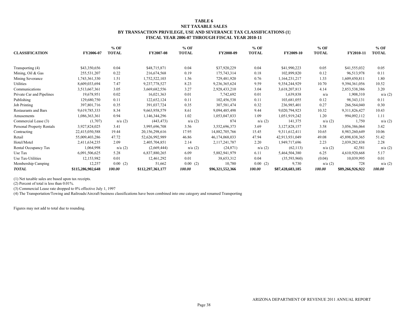#### **TABLE 6 NET TAXABLE SALES BY TRANSACTION PRIVILEGE, USE AND SEVERANCE TAX CLASSIFICATIONS (1) FISCAL YEAR 2006-07 THROUGH FISCAL YEAR 2010-11**

|                                  |                   | $%$ OF       |                   | $%$ OF       |                  | $%$ OF       |                  | $%$ OF       |                  | $%$ OF       |
|----------------------------------|-------------------|--------------|-------------------|--------------|------------------|--------------|------------------|--------------|------------------|--------------|
| <b>CLASSIFICATION</b>            | FY2006-07         | <b>TOTAL</b> | <b>FY2007-08</b>  | <b>TOTAL</b> | FY2008-09        | <b>TOTAL</b> | <b>FY2009-10</b> | <b>TOTAL</b> | FY2010-11        | <b>TOTAL</b> |
| Transporting (4)                 | \$43,350,656      | 0.04         | \$48,715,871      | 0.04         | \$37,920,229     | 0.04         | \$41,990,223     | 0.05         | \$41,555,032     | 0.05         |
| Mining, Oil & Gas                | 255,531,207       | 0.22         | 216,674,568       | 0.19         | 175,743,314      | 0.18         | 102,899,820      | 0.12         | 96,513,978       | 0.11         |
| Mining Severance                 | 1,743,361,330     | 1.51         | 1,752,522,103     | 1.56         | 729,481,920      | 0.76         | 1,164,231,217    | 1.33         | 1,609,450,811    | 1.80         |
| Utilities                        | 8,609,033,694     | 7.47         | 9,237,778,527     | 8.23         | 9,236,365,624    | 9.59         | 9,354,244,929    | 10.70        | 9,394,361,056    | 10.52        |
| Communications                   | 3,513,667,361     | 3.05         | 3,669,682,556     | 3.27         | 2,928,433,210    | 3.04         | 3,618,207,813    | 4.14         | 2,853,538,386    | 3.20         |
| Private Car and Pipelines        | 19,678,951        | 0.02         | 16,021,363        | 0.01         | 7,742,692        | 0.01         | 1,639,838        | n/a          | 1,908,310        | n/a(2)       |
| Publishing                       | 129,680,750       | 0.11         | 122,652,124       | 0.11         | 102,456,538      | 0.11         | 103,681,055      | 0.12         | 98, 343, 131     | 0.11         |
| <b>Job Printing</b>              | 397,801,716       | 0.35         | 391,037,724       | 0.35         | 307,581,474      | 0.32         | 236,985,401      | 0.27         | 266,564,040      | 0.30         |
| <b>Restaurants and Bars</b>      | 9,619,785,333     | 8.34         | 9,663,958,579     | 8.61         | 9,094,485,498    | 9.44         | 9,020,794,923    | 10.32        | 9,311,826,427    | 10.43        |
| Amusements                       | 1,086,363,361     | 0.94         | 1,146,344,296     | 1.02         | 1,053,047,833    | 1.09         | 1,051,919,242    | 1.20         | 994,092,112      | 1.11         |
| Commercial Lease (3)             | (1,707)           | n/a(2)       | (443, 473)        | n/a(2)       | 874              | n/a(2)       | 141,375          | n/a(2)       | 1,750            | n/a(2)       |
| <b>Personal Property Rentals</b> | 3,927,824,025     | 3.41         | 3,995,696,708     | 3.56         | 3,552,696,373    | 3.69         | 3,127,828,157    | 3.58         | 3,056,386,064    | 3.42         |
| Contracting                      | 22,415,050,588    | 19.44        | 20,156,298,616    | 17.95        | 14,882,705,766   | 15.45        | 9,311,612,411    | 10.65        | 8,983,260,649    | 10.06        |
| Retail                           | 55,009,403,286    | 47.72        | 52,626,992,989    | 46.86        | 46,174,068,033   | 47.94        | 42,913,931,049   | 49.08        | 45,898,838,365   | 51.42        |
| Hotel/Motel                      | 2,411,634,235     | 2.09         | 2,405,704,851     | 2.14         | 2,117,241,787    | 2.20         | 1,949,717,696    | 2.23         | 2,039,282,838    | 2.28         |
| Rental Occupancy Tax             | 1,064,998         | n/a(2)       | (2,669,444)       | n/a(2)       | (24, 871)        | n/a(2)       | (62, 113)        | n/a(2)       | 42,581           | n/a(2)       |
| Use Tax                          | 6,091,506,625     | 5.28         | 6,837,880,265     | 6.09         | 5,882,941,979    | 6.11         | 5,464,504,380    | 6.25         | 4,610,920,668    | 5.17         |
| Use Tax-Utilities                | 12,153,982        | 0.01         | 12,461,292        | 0.01         | 38,653,312       | 0.04         | (35,593,960)     | (0.04)       | 10,039,995       | 0.01         |
| Membership Camping               | 12,257            | 0.00(2)      | 51,662            | 0.00<br>(2)  | 10,780           | 0.00(2)      | 9,730            | n/a(2)       | 728              | n/a(2)       |
| <b>TOTAL</b>                     | \$115,286,902,648 | 100.00       | \$112,297,361,177 | 100.00       | \$96,321,552,366 | 100.00       | \$87,428,683,185 | 100.00       | \$89,266,926,922 | 100.00       |

(1) Net taxable sales are based upon tax receipts.

(2) Percent of total is less than 0.01%.

(3) Commercial Lease rate dropped to 0% effective July 1, 1997

(4) The Transportation/Towing and Railroads/Aircraft business classifications have been combined into one category and renamed Transporting

Figures may not add to total due to rounding.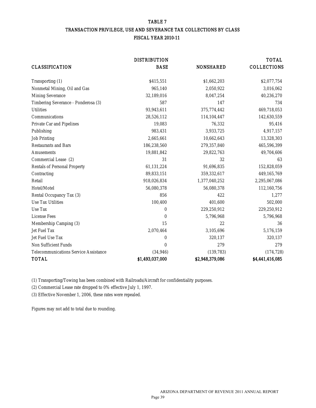#### TABLE 7 TRANSACTION PRIVILEGE, USE AND SEVERANCE TAX COLLECTIONS BY CLASS FISCAL YEAR 2010-11

|                                              | <b>DISTRIBUTION</b> |                  | <b>TOTAL</b>       |
|----------------------------------------------|---------------------|------------------|--------------------|
| <b>CLASSIFICATION</b>                        | <b>BASE</b>         | <b>NONSHARED</b> | <b>COLLECTIONS</b> |
| Transporting (1)                             | \$415,551           | \$1,662,203      | \$2,077,754        |
| Nonmetal Mining, Oil and Gas                 | 965,140             | 2,050,922        | 3,016,062          |
| <b>Mining Severance</b>                      | 32,189,016          | 8,047,254        | 40,236,270         |
| Timbering Severance - Ponderosa (3)          | 587                 | 147              | 734                |
| <b>Utilities</b>                             | 93,943,611          | 375,774,442      | 469,718,053        |
| Communications                               | 28,526,112          | 114,104,447      | 142,630,559        |
| <b>Private Car and Pipelines</b>             | 19,083              | 76,332           | 95,416             |
| Publishing                                   | 983,431             | 3,933,725        | 4,917,157          |
| <b>Job Printing</b>                          | 2,665,661           | 10,662,643       | 13,328,303         |
| <b>Restaurants and Bars</b>                  | 186,238,560         | 279,357,840      | 465,596,399        |
| <b>Amusements</b>                            | 19,881,842          | 29,822,763       | 49,704,606         |
| Commercial Lease (2)                         | 31                  | 32               | 63                 |
| <b>Rentals of Personal Property</b>          | 61,131,224          | 91,696,835       | 152,828,059        |
| Contracting                                  | 89,833,151          | 359,332,617      | 449,165,769        |
| Retail                                       | 918,026,834         | 1,377,040,252    | 2,295,067,086      |
| Hotel/Motel                                  | 56,080,378          | 56,080,378       | 112,160,756        |
| <b>Rental Occupancy Tax (3)</b>              | 856                 | 422              | 1,277              |
| <b>Use Tax Utilities</b>                     | 100,400             | 401,600          | 502,000            |
| <b>Use Tax</b>                               | $\bf{0}$            | 229,250,912      | 229,250,912        |
| <b>License Fees</b>                          | 0                   | 5,796,968        | 5,796,968          |
| <b>Membership Camping (3)</b>                | 15                  | 22               | 36                 |
| <b>Jet Fuel Tax</b>                          | 2,070,464           | 3,105,696        | 5,176,159          |
| Jet Fuel Use Tax                             | 0                   | 320,137          | 320,137            |
| <b>Non Sufficient Funds</b>                  | 0                   | 279              | 279                |
| <b>Telecommunications Service Assistance</b> | (34, 946)           | (139, 783)       | (174, 728)         |
| <b>TOTAL</b>                                 | \$1,493,037,000     | \$2,948,379,086  | \$4,441,416,085    |

(1) Transporting/Towing has been combined with Railroads/Aircraft for confidentiality purposes.

(2) Commercial Lease rate dropped to 0% effective July 1, 1997.

(3) Effective November 1, 2006, these rates were repealed.

Figures may not add to total due to rounding.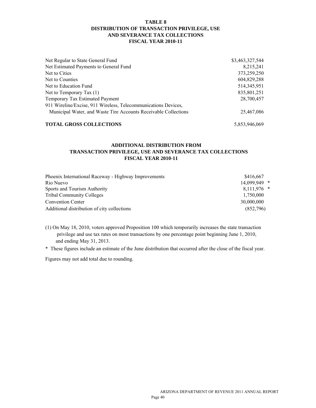#### **TABLE 8 DISTRIBUTION OF TRANSACTION PRIVILEGE, USE AND SEVERANCE TAX COLLECTIONS FISCAL YEAR 2010-11**

| Net Regular to State General Fund                               | \$3,463,327,544 |
|-----------------------------------------------------------------|-----------------|
| Net Estimated Payments to General Fund                          | 8,215,241       |
| Net to Cities                                                   | 373,259,250     |
| Net to Counties                                                 | 604,829,288     |
| Net to Education Fund                                           | 514, 345, 951   |
| Net to Temporary Tax $(1)$                                      | 835,801,251     |
| Temporary Tax Estimated Payment                                 | 28,700,457      |
| 911 Wireline/Excise, 911 Wireless, Telecommunications Devices,  |                 |
| Municipal Water, and Waste Tire Accounts Receivable Collections | 25,467,086      |
| <b>TOTAL GROSS COLLECTIONS</b>                                  | 5,853,946,069   |

#### **ADDITIONAL DISTRIBUTION FROM TRANSACTION PRIVILEGE, USE AND SEVERANCE TAX COLLECTIONS FISCAL YEAR 2010-11**

| Phoenix International Raceway - Highway Improvements | \$416.667    |  |
|------------------------------------------------------|--------------|--|
| Rio Nuevo                                            | 14,099,949 * |  |
| Sports and Tourism Authority                         | 8,111,976 *  |  |
| <b>Tribal Community Colleges</b>                     | 1,750,000    |  |
| <b>Convention Center</b>                             | 30,000,000   |  |
| Additional distribution of city collections          | (852,796)    |  |
|                                                      |              |  |

- (1) On May 18, 2010, voters approved Proposition 100 which temporarily increases the state transaction privilege and use tax rates on most transactions by one percentage point beginning June 1, 2010, and ending May 31, 2013.
- \* These figures include an estimate of the June distribution that occurred after the close of the fiscal year.

Figures may not add total due to rounding.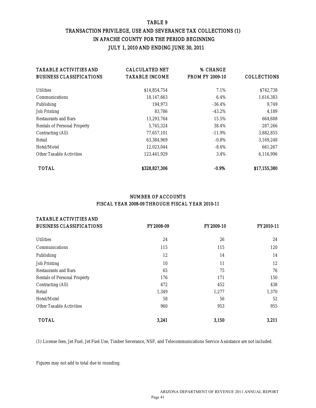## TABLE 9 TRANSACTION PRIVILEGE, USE AND SEVERANCE TAX COLLECTIONS (1) IN APACHE COUNTY FOR THE PERIOD BEGINNING JULY 1, 2010 AND ENDING JUNE 30, 2011

| <b>TAXABLE ACTIVITIES AND</b>       | <b>CALCULATED NET</b> | % CHANGE               |                    |
|-------------------------------------|-----------------------|------------------------|--------------------|
| <b>BUSINESS CLASSIFICATIONS</b>     | <b>TAXABLE INCOME</b> | <b>FROM FY 2009-10</b> | <b>COLLECTIONS</b> |
| <b>Utilities</b>                    | \$14,854,754          | 7.1%                   | \$742,738          |
| <b>Communications</b>               | 18,147,663            | $6.4\%$                | 1,616,383          |
| Publishing                          | 194.973               | $-36.4\%$              | 9,749              |
| <b>Job Printing</b>                 | 83,786                | $-43.2\%$              | 4,189              |
| <b>Restaurants and Bars</b>         | 13,293,764            | 15.5%                  | 664,688            |
| <b>Rentals of Personal Property</b> | 5,745,324             | 38.4%                  | 287,266            |
| Contracting (All)                   | 77,657,101            | $-11.9\%$              | 3,882,855          |
| Retail                              | 63,384,969            | $-0.8\%$               | 3,169,248          |
| Hotel/Motel                         | 12,023,044            | $-8.6\%$               | 661,267            |
| <b>Other Taxable Activities</b>     | 123,441,929           | 3.4%                   | 6,116,996          |
| <b>TOTAL</b>                        | \$328,827,306         | $-0.9\%$               | \$17,155,380       |

### NUMBER OF ACCOUNTS FISCAL YEAR 2008-09 THROUGH FISCAL YEAR 2010-11

| <b>TAXABLE ACTIVITIES AND</b>       |           |                  |           |
|-------------------------------------|-----------|------------------|-----------|
| <b>BUSINESS CLASSIFICATIONS</b>     | FY2008-09 | <b>FY2009-10</b> | FY2010-11 |
| <b>Utilities</b>                    | 24        | 26               | 24        |
| <b>Communications</b>               | 115       | 115              | 120       |
| Publishing                          | 12        | 14               | 14        |
| <b>Job Printing</b>                 | 10        | 11               | 12        |
| <b>Restaurants and Bars</b>         | 65        | 75               | 76        |
| <b>Rentals of Personal Property</b> | 176       | 171              | 150       |
| <b>Contracting (All)</b>            | 472       | 452              | 438       |
| Retail                              | 1,349     | 1,277            | 1,370     |
| Hotel/Motel                         | 58        | 56               | 52        |
| <b>Other Taxable Activities</b>     | 960       | 953              | 955       |
| <b>TOTAL</b>                        | 3,241     | 3,150            | 3,211     |

(1) License fees, Jet Fuel, Jet Fuel Use, Timber Severance, NSF, and Telecommunications Service Assistance are not included.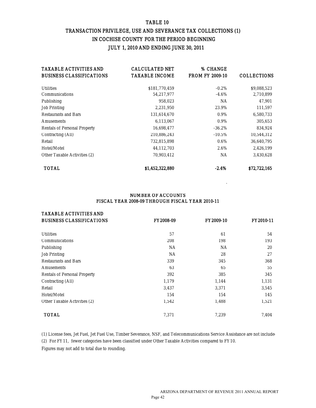#### TABLE 10

## TRANSACTION PRIVILEGE, USE AND SEVERANCE TAX COLLECTIONS (1) IN COCHISE COUNTY FOR THE PERIOD BEGINNING JULY 1, 2010 AND ENDING JUNE 30, 2011

| <b>TAXABLE ACTIVITIES AND</b>       | <b>CALCULATED NET</b> | % CHANGE               |                    |
|-------------------------------------|-----------------------|------------------------|--------------------|
| <b>BUSINESS CLASSIFICATIONS</b>     | <b>TAXABLE INCOME</b> | <b>FROM FY 2009-10</b> | <b>COLLECTIONS</b> |
| <b>Utilities</b>                    | \$181,770,459         | $-0.2\%$               | \$9,088,523        |
| <b>Communications</b>               | 54,217,977            | $-4.6\%$               | 2,710,899          |
| Publishing                          | 958.023               | <b>NA</b>              | 47,901             |
| <b>Job Printing</b>                 | 2,231,950             | 23.9%                  | 111,597            |
| <b>Restaurants and Bars</b>         | 131,614,670           | $0.9\%$                | 6,580,733          |
| <b>Amusements</b>                   | 6,113,067             | $0.9\%$                | 305,653            |
| <b>Rentals of Personal Property</b> | 16,698,477            | $-36.2\%$              | 834,924            |
| Contracting (All)                   | 210,886,243           | $-10.5\%$              | 10,544,312         |
| Retail                              | 732,815,898           | $0.6\%$                | 36,640,795         |
| Hotel/Motel                         | 44,112,703            | 2.6%                   | 2,426,199          |
| <b>Other Taxable Activities (2)</b> | 70,903,412            | NA                     | 3,430,628          |
| <b>TOTAL</b>                        | \$1,452,322,880       | $-2.4%$                | \$72,722,165       |

#### NUMBER OF ACCOUNTS FISCAL YEAR 2008-09 THROUGH FISCAL YEAR 2010-11

| <b>TAXABLE ACTIVITIES AND</b>       |                  |                  |                  |
|-------------------------------------|------------------|------------------|------------------|
| <b>BUSINESS CLASSIFICATIONS</b>     | <b>FY2008-09</b> | <b>FY2009-10</b> | <b>FY2010-11</b> |
| <b>Utilities</b>                    | 57               | 61               | 54               |
| <b>Communications</b>               | 208              | 198              | 193              |
| Publishing                          | NA.              | <b>NA</b>        | 20               |
| <b>Job Printing</b>                 | <b>NA</b>        | 28               | 27               |
| <b>Restaurants and Bars</b>         | 339              | 345              | 368              |
| <b>Amusements</b>                   | 63               | 65               | 55               |
| <b>Rentals of Personal Property</b> | 392              | 385              | 345              |
| <b>Contracting (All)</b>            | 1,179            | 1,144            | 1,131            |
| Retail                              | 3,437            | 3,371            | 3,545            |
| Hotel/Motel                         | 154              | 154              | 145              |
| <b>Other Taxable Activities (2)</b> | 1,542            | 1,488            | 1,521            |
| <b>TOTAL</b>                        | 7,371            | 7,239            | 7.404            |

(1) License fees, Jet Fuel, Jet Fuel Use, Timber Severance, NSF, and Telecommunications Service Assistance are not include (2) For FY11, fewer categories have been classified under Other Taxable Activities compared to FY10.

Figures may not add to total due to rounding.

.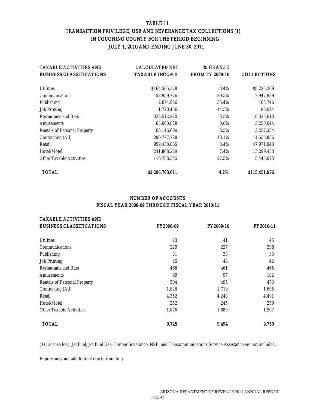#### TABLE 11

## TRANSACTION PRIVILEGE, USE AND SEVERANCE TAX COLLECTIONS (1) IN COCONINO COUNTY FOR THE PERIOD BEGINNING JULY 1, 2010 AND ENDING JUNE 30, 2011

| <b>TAXABLE ACTIVITIES AND</b><br><b>BUSINESS CLASSIFICATIONS</b> | <b>CALCULATED NET</b><br><b>TAXABLE INCOME</b> | % CHANGE<br><b>FROM FY 2009-10</b> | <b>COLLECTIONS</b> |
|------------------------------------------------------------------|------------------------------------------------|------------------------------------|--------------------|
|                                                                  |                                                |                                    |                    |
| <b>Utilities</b>                                                 | \$164,505,378                                  | $-3.4\%$                           | \$8,225,269        |
| <b>Communications</b>                                            | 58,959,776                                     | $-29.5\%$                          | 2,947,989          |
| Publishing                                                       | 2,074,926                                      | 35.4%                              | 103,746            |
| <b>Job Printing</b>                                              | 1,720,486                                      | $-14.5%$                           | 86,024             |
| <b>Restaurants and Bars</b>                                      | 326,512,270                                    | 3.5%                               | 16,325,613         |
| <b>Amusements</b>                                                | 65,000,878                                     | $0.6\%$                            | 3,250,044          |
| <b>Rentals of Personal Property</b>                              | 65,146,690                                     | 8.5%                               | 3,257,334          |
| <b>Contracting (All)</b>                                         | 290,777,728                                    | 13.1%                              | 14,538,886         |
| Retail                                                           | 959,438,865                                    | 3.4%                               | 47,971,943         |
| Hotel/Motel                                                      | 241,808,229                                    | 7.4%                               | 13,299,453         |
| <b>Other Taxable Activities</b>                                  | 110,758,385                                    | 27.5%                              | 5,445,673          |
| <b>TOTAL</b>                                                     | \$2,286,703,611                                | 4.2%                               | \$115,451,976      |

## NUMBER OF ACCOUNTS FISCAL YEAR 2008-09 THROUGH FISCAL YEAR 2010-11

| <b>TAXABLE ACTIVITIES AND</b>       |                  |                  |           |
|-------------------------------------|------------------|------------------|-----------|
| <b>BUSINESS CLASSIFICATIONS</b>     | <b>FY2008-09</b> | <b>FY2009-10</b> | FY2010-11 |
| <b>Utilities</b>                    | 43               | 41               | 45        |
| <b>Communications</b>               | 229              | 227              | 238       |
| Publishing                          | 31               | 33               | 33        |
| <b>Job Printing</b>                 | 45               | 44               | 42        |
| <b>Restaurants and Bars</b>         | 468              | 461              | 465       |
| <b>Amusements</b>                   | 99               | 97               | 102       |
| <b>Rentals of Personal Property</b> | 504              | 495              | 473       |
| <b>Contracting (All)</b>            | 1,826            | 1,719            | 1,695     |
| Retail                              | 4,352            | 4,243            | 4,491     |
| Hotel/Motel                         | 252              | 245              | 259       |
| <b>Other Taxable Activities</b>     | 1,876            | 1,889            | 1,907     |
| <b>TOTAL</b>                        | 9,725            | 9,494            | 9,750     |

(1) License fees, Jet Fuel, Jet Fuel Use, Timber Severance, NSF, and Telecommunications Service Assistance are not included.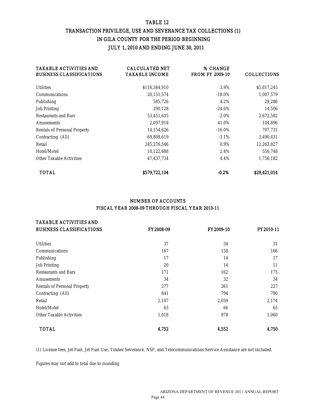## TABLE 12 TRANSACTION PRIVILEGE, USE AND SEVERANCE TAX COLLECTIONS (1) IN GILA COUNTY FOR THE PERIOD BEGINNING JULY 1, 2010 AND ENDING JUNE 30, 2011

| <b>TAXABLE ACTIVITIES AND</b><br><b>BUSINESS CLASSIFICATIONS</b> | <b>CALCULATED NET</b><br><b>TAXABLE INCOME</b> | % CHANGE<br><b>FROM FY 2009-10</b> | <b>COLLECTIONS</b> |
|------------------------------------------------------------------|------------------------------------------------|------------------------------------|--------------------|
| <b>Utilities</b>                                                 | \$116,344,910                                  | 3.9%                               | \$5,817,245        |
| <b>Communications</b>                                            | 20,151,574                                     | $-18.0\%$                          | 1,007,579          |
| Publishing                                                       | 585,726                                        | 4.2%                               | 29,286             |
| <b>Job Printing</b>                                              | 290,128                                        | $-24.6\%$                          | 14,506             |
| <b>Restaurants and Bars</b>                                      | 53,451,635                                     | $-2.0\%$                           | 2,672,582          |
| <b>Amusements</b>                                                | 2,097,918                                      | 41.0%                              | 104,896            |
| <b>Rentals of Personal Property</b>                              | 14,154,626                                     | $-16.0\%$                          | 707,731            |
| Contracting (All)                                                | 69,808,619                                     | $-3.1\%$                           | 3,490,431          |
| Retail                                                           | 245,276,546                                    | $0.9\%$                            | 12,263,827         |
| Hotel/Motel                                                      | 10,122,688                                     | 2.4%                               | 556,748            |
| <b>Other Taxable Activities</b>                                  | 47,437,734                                     | 4.4%                               | 1,756,182          |
| <b>TOTAL</b>                                                     | \$579,722,104                                  | $-0.2\%$                           | \$28,421,014       |

## NUMBER OF ACCOUNTS FISCAL YEAR 2008-09 THROUGH FISCAL YEAR 2010-11

| <b>TAXABLE ACTIVITIES AND</b>       |                  |                  |           |
|-------------------------------------|------------------|------------------|-----------|
| <b>BUSINESS CLASSIFICATIONS</b>     | <b>FY2008-09</b> | <b>FY2009-10</b> | FY2010-11 |
| <b>Utilities</b>                    | 37               | 34               | 31        |
| Communications                      | 167              | 158              | 166       |
| Publishing                          | 17               | 14               | 17        |
| <b>Job Printing</b>                 | 20               | 14               | 11        |
| <b>Restaurants and Bars</b>         | 171              | 162              | 175       |
| <b>Amusements</b>                   | 34               | 32               | 34        |
| <b>Rentals of Personal Property</b> | 277              | 261              | 227       |
| Contracting (All)                   | 841              | 794              | 790       |
| Retail                              | 2,107            | 2,039            | 2,174     |
| Hotel/Motel                         | 63               | 66               | 65        |
| <b>Other Taxable Activities</b>     | 1,018            | 978              | 1,060     |
| <b>TOTAL</b>                        | 4,752            | 4,552            | 4,750     |

(1) License fees, Jet Fuel, Jet Fuel Use, Timber Severance, NSF, and Telecommunications Service Assistance are not included.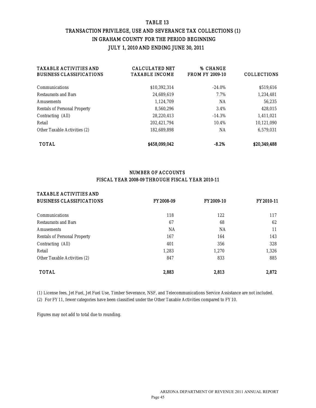## TABLE 13 TRANSACTION PRIVILEGE, USE AND SEVERANCE TAX COLLECTIONS (1) IN GRAHAM COUNTY FOR THE PERIOD BEGINNING JULY 1, 2010 AND ENDING JUNE 30, 2011

| <b>TAXABLE ACTIVITIES AND</b><br><b>BUSINESS CLASSIFICATIONS</b> | <b>CALCULATED NET</b><br><b>TAXABLE INCOME</b> | % CHANGE<br><b>FROM FY 2009-10</b> | <b>COLLECTIONS</b> |
|------------------------------------------------------------------|------------------------------------------------|------------------------------------|--------------------|
| <b>Communications</b>                                            | \$10,392,314                                   | $-24.0\%$                          | \$519,616          |
| <b>Restaurants and Bars</b>                                      | 24,689,619                                     | 7.7%                               | 1,234,481          |
| <b>Amusements</b>                                                | 1,124,709                                      | NA                                 | 56,235             |
| <b>Rentals of Personal Property</b>                              | 8,560,296                                      | 3.4%                               | 428,015            |
| Contracting (All)                                                | 28.220.413                                     | $-14.3%$                           | 1,411,021          |
| Retail                                                           | 202.421.794                                    | 10.4%                              | 10,121,090         |
| <b>Other Taxable Activities (2)</b>                              | 182,689,898                                    | NA                                 | 6,579,031          |
| <b>TOTAL</b>                                                     | \$458.099.042                                  | $-8.2%$                            | \$20,349,488       |

## NUMBER OF ACCOUNTS FISCAL YEAR 2008-09 THROUGH FISCAL YEAR 2010-11

## TAXABLE ACTIVITIES AND

| <b>BUSINESS CLASSIFICATIONS</b>     | <b>FY2008-09</b> | <b>FY2009-10</b> | <b>FY2010-11</b> |
|-------------------------------------|------------------|------------------|------------------|
| <b>Communications</b>               | 118              | 122              | 117              |
| <b>Restaurants and Bars</b>         | 67               | 68               | 62               |
| <b>Amusements</b>                   | <b>NA</b>        | <b>NA</b>        | 11               |
| <b>Rentals of Personal Property</b> | 167              | 164              | 143              |
| Contracting (All)                   | 401              | 356              | 328              |
| Retail                              | 1,283            | 1.270            | 1,326            |
| <b>Other Taxable Activities (2)</b> | 847              | 833              | 885              |
| <b>TOTAL</b>                        | 2,883            | 2,813            | 2.872            |

(1) License fees, Jet Fuel, Jet Fuel Use, Timber Severance, NSF, and Telecommunications Service Assistance are not included. (2) For FY11, fewer categories have been classified under the Other Taxable Activities compared to FY10.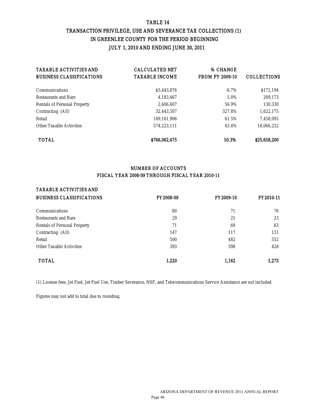## TABLE 14 TRANSACTION PRIVILEGE, USE AND SEVERANCE TAX COLLECTIONS (1) IN GREENLEE COUNTY FOR THE PERIOD BEGINNING JULY 1, 2010 AND ENDING JUNE 30, 2011

| <b>TAXABLE ACTIVITIES AND</b><br><b>BUSINESS CLASSIFICATIONS</b> | <b>CALCULATED NET</b><br><b>TAXABLE INCOME</b> | % CHANGE<br><b>FROM FY 2009-10</b> | <b>COLLECTIONS</b> |
|------------------------------------------------------------------|------------------------------------------------|------------------------------------|--------------------|
| <b>Communications</b>                                            | \$3,443,876                                    | $-6.7\%$                           | \$172,194          |
| <b>Restaurants and Bars</b>                                      | 4,183,467                                      | 5.0%                               | 209,173            |
| <b>Rentals of Personal Property</b>                              | 2.606.607                                      | 56.9%                              | 130,330            |
| Contracting (All)                                                | 32.443.507                                     | 327.8%                             | 1,622,175          |
| Retail                                                           | 149,161,906                                    | 61.5%                              | 7,458,095          |
| <b>Other Taxable Activities</b>                                  | 574.223.111                                    | 43.4%                              | 16,066,232         |
| <b>TOTAL</b>                                                     | \$766.062.475                                  | 50.3%                              | \$25,658,200       |

## NUMBER OF ACCOUNTS FISCAL YEAR 2008-09 THROUGH FISCAL YEAR 2010-11

#### TAXABLE ACTIVITIES AND

| <b>BUSINESS CLASSIFICATIONS</b>     | <b>FY2008-09</b> | <b>FY2009-10</b> | <b>FY2010-11</b> |
|-------------------------------------|------------------|------------------|------------------|
| <b>Communications</b>               | 80               | 71               | 76               |
| <b>Restaurants and Bars</b>         | 29               | 25               | 23               |
| <b>Rentals of Personal Property</b> | 71               | 69               | 63               |
| Contracting (All)                   | 147              | 117              | 131              |
| Retail                              | 500              | 482              | 552              |
| <b>Other Taxable Activities</b>     | 393              | 398              | 428              |
| <b>TOTAL</b>                        | 1.220            | 1,162            | 1.273            |

(1) License fees, Jet Fuel, Jet Fuel Use, Timber Severance, NSF, and Telecommunications Service Assistance are not included.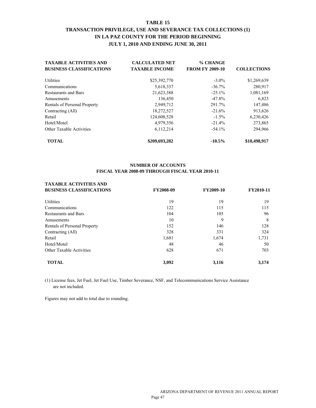## **TABLE 15 TRANSACTION PRIVILEGE, USE AND SEVERANCE TAX COLLECTIONS (1) IN LA PAZ COUNTY FOR THE PERIOD BEGINNING JULY 1, 2010 AND ENDING JUNE 30, 2011**

| <b>TAXABLE ACTIVITIES AND</b>   | <b>CALCULATED NET</b> | % CHANGE               |                    |
|---------------------------------|-----------------------|------------------------|--------------------|
| <b>BUSINESS CLASSIFICATIONS</b> | <b>TAXABLE INCOME</b> | <b>FROM FY 2009-10</b> | <b>COLLECTIONS</b> |
| <b>Utilities</b>                | \$25,392,770          | $-3.0\%$               | \$1,269,639        |
| Communications                  | 5,618,337             | $-36.7%$               | 280,917            |
| <b>Restaurants and Bars</b>     | 21,623,388            | $-25.1%$               | 1,081,169          |
| Amusements                      | 136,450               | $-47.8%$               | 6,823              |
| Rentals of Personal Property    | 2,949,712             | 291.7%                 | 147,486            |
| Contracting (All)               | 18,272,527            | $-21.6%$               | 913,626            |
| Retail                          | 124,608,528           | $-1.5\%$               | 6,230,426          |
| Hotel/Motel                     | 4,979,356             | $-21.4%$               | 273,865            |
| <b>Other Taxable Activities</b> | 6,112,214             | $-54.1%$               | 294,966            |
| <b>TOTAL</b>                    | \$209,693,282         | $-10.5%$               | \$10,498,917       |

#### **NUMBER OF ACCOUNTS FISCAL YEAR 2008-09 THROUGH FISCAL YEAR 2010-11**

## **TAXABLE ACTIVITIES AND**

| <b>BUSINESS CLASSIFICATIONS</b> | FY2008-09 | <b>FY2009-10</b> | <b>FY2010-11</b> |
|---------------------------------|-----------|------------------|------------------|
| Utilities                       | 19        | 19               | 19               |
| Communications                  | 122       | 115              | 115              |
| <b>Restaurants and Bars</b>     | 104       | 105              | 96               |
| Amusements                      | 10        | 9                | 8                |
| Rentals of Personal Property    | 152       | 146              | 128              |
| Contracting (All)               | 328       | 331              | 324              |
| Retail                          | 1,681     | 1,674            | 1,731            |
| Hotel/Motel                     | 48        | 46               | 50               |
| <b>Other Taxable Activities</b> | 628       | 671              | 703              |
| <b>TOTAL</b>                    | 3,092     | 3,116            | 3,174            |

(1) License fees, Jet Fuel, Jet Fuel Use, Timber Severance, NSF, and Telecommunications Service Assistance are not included.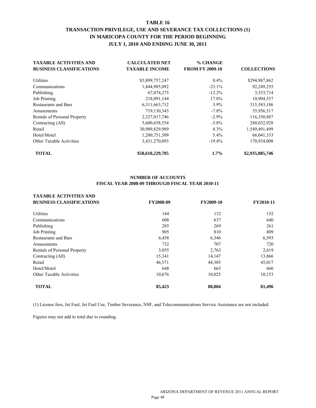## **TABLE 16 TRANSACTION PRIVILEGE, USE AND SEVERANCE TAX COLLECTIONS (1) IN MARICOPA COUNTY FOR THE PERIOD BEGINNING JULY 1, 2010 AND ENDING JUNE 30, 2011**

| <b>TAXABLE ACTIVITIES AND</b>   | <b>CALCULATED NET</b> | % CHANGE               |                    |
|---------------------------------|-----------------------|------------------------|--------------------|
| <b>BUSINESS CLASSIFICATIONS</b> | <b>TAXABLE INCOME</b> | <b>FROM FY 2009-10</b> | <b>COLLECTIONS</b> |
| <b>Utilities</b>                | \$5,899,757,247       | $0.4\%$                | \$294,987,862      |
| Communications                  | 1,844,985,092         | $-23.1%$               | 92,249,255         |
| Publishing                      | 67,074,275            | $-12.2%$               | 3,353,714          |
| <b>Job Printing</b>             | 218,091,144           | 17.8%                  | 10,904,557         |
| <b>Restaurants and Bars</b>     | 6,311,663,712         | 3.9%                   | 315,583,186        |
| Amusements                      | 719,130,343           | $-7.8\%$               | 35,956,517         |
| Rentals of Personal Property    | 2,327,017,746         | $-2.9%$                | 116,350,887        |
| Contracting (All)               | 5,600,658,554         | $-3.8\%$               | 280,032,928        |
| Retail                          | 30,989,829,989        | 8.3%                   | 1,549,491,499      |
| Hotel/Motel                     | 1,200,751,509         | $5.4\%$                | 66,041,333         |
| <b>Other Taxable Activities</b> | 3,431,270,093         | $-19.4%$               | 170,934,008        |
| <b>TOTAL</b>                    | \$58,610,229,705      | $1.7\%$                | \$2,935,885,746    |

#### **NUMBER OF ACCOUNTS FISCAL YEAR 2008-09 THROUGH FISCAL YEAR 2010-11**

| FY2008-09 | FY2009-10 | FY2010-11 |
|-----------|-----------|-----------|
| 144       | 132       | 152       |
| 608       | 637       | 640       |
| 285       | 269       | 261       |
| 905       | 810       | 809       |
| 6,458     | 6,346     | 6,593     |
| 732       | 707       | 720       |
| 3,055     | 2,763     | 2,619     |
| 15,341    | 14,147    | 13,866    |
| 46,571    | 44,305    | 45,017    |
| 648       | 663       | 666       |
| 10,676    | 10,025    | 10,153    |
| 85,423    | 80,804    | 81,496    |
|           |           |           |

(1) License fees, Jet Fuel, Jet Fuel Use, Timber Severance, NSF, and Telecommunications Service Assistance are not included.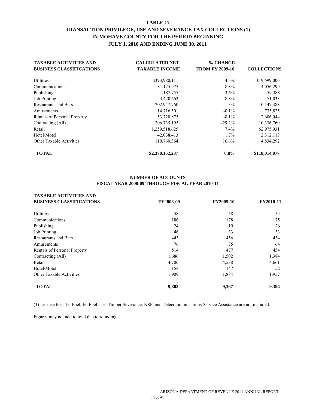## **TABLE 17 TRANSACTION PRIVILEGE, USE AND SEVERANCE TAX COLLECTIONS (1) IN MOHAVE COUNTY FOR THE PERIOD BEGINNING JULY 1, 2010 AND ENDING JUNE 30, 2011**

| <b>TAXABLE ACTIVITIES AND</b>   | <b>CALCULATED NET</b> | % CHANGE               |                    |
|---------------------------------|-----------------------|------------------------|--------------------|
| <b>BUSINESS CLASSIFICATIONS</b> | <b>TAXABLE INCOME</b> | <b>FROM FY 2009-10</b> | <b>COLLECTIONS</b> |
| Utilities                       | \$393,980,111         | 4.5%                   | \$19,699,006       |
| Communications                  | 81,125,975            | $-8.8\%$               | 4,056,299          |
| Publishing                      | 1,187,755             | $-3.6\%$               | 59,388             |
| Job Printing                    | 3,420,662             | $-8.8\%$               | 171,033            |
| <b>Restaurants and Bars</b>     | 202,947,760           | $1.3\%$                | 10,147,388         |
| Amusements                      | 14,716,501            | $-0.1\%$               | 735,825            |
| Rentals of Personal Property    | 53,720,875            | $-8.1\%$               | 2,686,044          |
| Contracting (All)               | 206, 735, 195         | $-29.2%$               | 10,336,760         |
| Retail                          | 1,259,518,625         | 7.4%                   | 62,975,931         |
| Hotel/Motel                     | 42,038,413            | $1.7\%$                | 2,312,113          |
| <b>Other Taxable Activities</b> | 110,760,364           | $10.6\%$               | 4,834,292          |
| <b>TOTAL</b>                    | \$2,370,152,237       | $0.8\%$                | \$118,014,077      |

#### **NUMBER OF ACCOUNTS FISCAL YEAR 2008-09 THROUGH FISCAL YEAR 2010-11**

| <b>TAXABLE ACTIVITIES AND</b>   |           |           |           |
|---------------------------------|-----------|-----------|-----------|
| <b>BUSINESS CLASSIFICATIONS</b> | FY2008-09 | FY2009-10 | FY2010-11 |
| Utilities                       | 58        | 58        | 54        |
| Communications                  | 186       | 178       | 175       |
| Publishing                      | 24        | 19        | 26        |
| <b>Job Printing</b>             | 46        | 33        | 33        |
| <b>Restaurants and Bars</b>     | 443       | 456       | 434       |
| Amusements                      | 76        | 75        | 64        |
| Rentals of Personal Property    | 514       | 477       | 454       |
| Contracting (All)               | 1,686     | 1,502     | 1,384     |
| Retail                          | 4,706     | 4,538     | 4,661     |
| Hotel/Motel                     | 154       | 147       | 152       |
| <b>Other Taxable Activities</b> | 1,909     | 1,884     | 1,957     |
| <b>TOTAL</b>                    | 9,802     | 9,367     | 9,394     |

(1) License fees, Jet Fuel, Jet Fuel Use, Timber Severance, NSF, and Telecommunications Service Assistance are not included.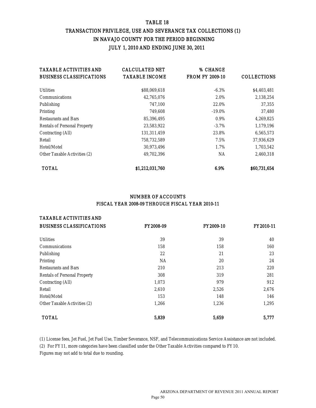## TABLE 18 TRANSACTION PRIVILEGE, USE AND SEVERANCE TAX COLLECTIONS (1) IN NAVAJO COUNTY FOR THE PERIOD BEGINNING JULY 1, 2010 AND ENDING JUNE 30, 2011

| <b>TAXABLE ACTIVITIES AND</b>       | <b>CALCULATED NET</b> | % CHANGE               |                    |
|-------------------------------------|-----------------------|------------------------|--------------------|
| <b>BUSINESS CLASSIFICATIONS</b>     | <b>TAXABLE INCOME</b> | <b>FROM FY 2009-10</b> | <b>COLLECTIONS</b> |
| <b>Utilities</b>                    | \$88,069,618          | $-6.3\%$               | \$4,403,481        |
| <b>Communications</b>               | 42,765,076            | 2.0%                   | 2,138,254          |
| Publishing                          | 747.100               | 22.0%                  | 37,355             |
| Printing                            | 749,608               | $-19.0\%$              | 37,480             |
| <b>Restaurants and Bars</b>         | 85,396,495            | $0.9\%$                | 4,269,825          |
| <b>Rentals of Personal Property</b> | 23,583,922            | $-3.7\%$               | 1,179,196          |
| <b>Contracting (All)</b>            | 131,311,459           | 23.8%                  | 6,565,573          |
| Retail                              | 758,732,589           | 7.5%                   | 37,936,629         |
| Hotel/Motel                         | 30,973,496            | 1.7%                   | 1,703,542          |
| <b>Other Taxable Activities (2)</b> | 49,702,396            | <b>NA</b>              | 2,460,318          |
| <b>TOTAL</b>                        | \$1,212,031,760       | 6.9%                   | \$60,731,654       |

#### NUMBER OF ACCOUNTS FISCAL YEAR 2008-09 THROUGH FISCAL YEAR 2010-11

#### TAXABLE ACTIVITIES AND

| <b>BUSINESS CLASSIFICATIONS</b>     | <b>FY2008-09</b> | FY2009-10 | FY2010-11 |
|-------------------------------------|------------------|-----------|-----------|
| <b>Utilities</b>                    | 39               | 39        | 40        |
| <b>Communications</b>               | 158              | 158       | 160       |
| Publishing                          | 22               | 21        | 23        |
| Printing                            | <b>NA</b>        | 20        | 24        |
| <b>Restaurants and Bars</b>         | 210              | 213       | 220       |
| <b>Rentals of Personal Property</b> | 308              | 319       | 281       |
| <b>Contracting (All)</b>            | 1,073            | 979       | 912       |
| Retail                              | 2,610            | 2,526     | 2,676     |
| Hotel/Motel                         | 153              | 148       | 146       |
| <b>Other Taxable Activities (2)</b> | 1,266            | 1,236     | 1,295     |
| <b>TOTAL</b>                        | 5.839            | 5.659     | 5,777     |

(1) License fees, Jet Fuel, Jet Fuel Use, Timber Severance, NSF, and Telecommunications Service Assistance are not included. (2) For FY11, more categories have been classified under the Other Taxable Activities compared to FY10. Figures may not add to total due to rounding.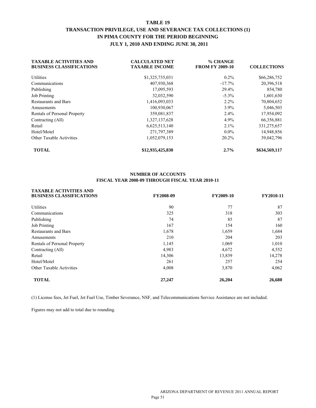## **TABLE 19 TRANSACTION PRIVILEGE, USE AND SEVERANCE TAX COLLECTIONS (1) IN PIMA COUNTY FOR THE PERIOD BEGINNING JULY 1, 2010 AND ENDING JUNE 30, 2011**

| <b>TAXABLE ACTIVITIES AND</b><br><b>BUSINESS CLASSIFICATIONS</b> | <b>CALCULATED NET</b><br><b>TAXABLE INCOME</b> | % CHANGE<br><b>FROM FY 2009-10</b> | <b>COLLECTIONS</b> |
|------------------------------------------------------------------|------------------------------------------------|------------------------------------|--------------------|
| Utilities                                                        | \$1,325,735,031                                | $0.2\%$                            | \$66,286,752       |
| Communications                                                   | 407,930,368                                    | $-17.7\%$                          | 20,396,518         |
| Publishing                                                       | 17,095,593                                     | 29.4%                              | 854,780            |
| <b>Job Printing</b>                                              | 32,032,590                                     | $-5.3\%$                           | 1,601,630          |
| <b>Restaurants and Bars</b>                                      | 1,416,093,033                                  | $2.2\%$                            | 70,804,652         |
| Amusements                                                       | 100,930,067                                    | $3.9\%$                            | 5,046,503          |
| Rentals of Personal Property                                     | 359,081,837                                    | $2.4\%$                            | 17,954,092         |
| Contracting (All)                                                | 1,327,137,628                                  | 4.9%                               | 66,356,881         |
| Retail                                                           | 6,625,513,140                                  | 2.1%                               | 331,275,657        |
| Hotel/Motel                                                      | 271,797,389                                    | $0.0\%$                            | 14,948,856         |
| <b>Other Taxable Activities</b>                                  | 1,052,079,153                                  | 20.2%                              | 39,042,796         |
| <b>TOTAL</b>                                                     | \$12,935,425,830                               | 2.7%                               | \$634,569,117      |

#### **NUMBER OF ACCOUNTS FISCAL YEAR 2008-09 THROUGH FISCAL YEAR 2010-11**

| <b>TAXABLE ACTIVITIES AND</b>   |           |           |           |
|---------------------------------|-----------|-----------|-----------|
| <b>BUSINESS CLASSIFICATIONS</b> | FY2008-09 | FY2009-10 | FY2010-11 |
| <b>Utilities</b>                | 90        | 77        | 87        |
| Communications                  | 325       | 318       | 303       |
| Publishing                      | 74        | 85        | 87        |
| <b>Job Printing</b>             | 167       | 154       | 160       |
| <b>Restaurants and Bars</b>     | 1,678     | 1,659     | 1,684     |
| Amusements                      | 210       | 204       | 203       |
| Rentals of Personal Property    | 1,145     | 1,069     | 1,010     |
| Contracting (All)               | 4,983     | 4,672     | 4,552     |
| Retail                          | 14,306    | 13,839    | 14,278    |
| Hotel/Motel                     | 261       | 257       | 254       |
| <b>Other Taxable Activities</b> | 4,008     | 3,870     | 4,062     |
| <b>TOTAL</b>                    | 27,247    | 26,204    | 26,680    |
|                                 |           |           |           |

(1) License fees, Jet Fuel, Jet Fuel Use, Timber Severance, NSF, and Telecommunications Service Assistance are not included.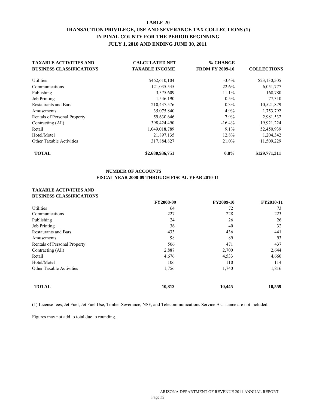## **TABLE 20 TRANSACTION PRIVILEGE, USE AND SEVERANCE TAX COLLECTIONS (1) IN PINAL COUNTY FOR THE PERIOD BEGINNING JULY 1, 2010 AND ENDING JUNE 30, 2011**

| <b>TAXABLE ACTIVITIES AND</b>   | <b>CALCULATED NET</b> | % CHANGE               |                    |
|---------------------------------|-----------------------|------------------------|--------------------|
| <b>BUSINESS CLASSIFICATIONS</b> | <b>TAXABLE INCOME</b> | <b>FROM FY 2009-10</b> | <b>COLLECTIONS</b> |
| <b>Utilities</b>                | \$462,610,104         | $-3.4\%$               | \$23,130,505       |
| Communications                  | 121,035,545           | $-22.6%$               | 6,051,777          |
| Publishing                      | 3,375,609             | $-11.1%$               | 168,780            |
| <b>Job Printing</b>             | 1,546,190             | $0.5\%$                | 77,310             |
| <b>Restaurants and Bars</b>     | 210,437,576           | $0.3\%$                | 10,521,879         |
| Amusements                      | 35,075,840            | 4.9%                   | 1,753,792          |
| Rentals of Personal Property    | 59,630,646            | 7.9%                   | 2,981,532          |
| Contracting (All)               | 398,424,490           | $-16.4%$               | 19,921,224         |
| Retail                          | 1,049,018,789         | 9.1%                   | 52,450,939         |
| Hotel/Motel                     | 21,897,135            | 12.8%                  | 1,204,342          |
| <b>Other Taxable Activities</b> | 317,884,827           | 21.0%                  | 11,509,229         |
| <b>TOTAL</b>                    | \$2,680,936,751       | $0.8\%$                | \$129,771,311      |

#### **NUMBER OF ACCOUNTS FISCAL YEAR 2008-09 THROUGH FISCAL YEAR 2010-11**

#### **TAXABLE ACTIVITIES AND BUSINESS CLASSIFICATIONS**

|                                 | FY2008-09 | FY2009-10 | FY2010-11 |
|---------------------------------|-----------|-----------|-----------|
| <b>Utilities</b>                | 64        | 72        | 73        |
| Communications                  | 227       | 228       | 223       |
| Publishing                      | 24        | 26        | 26        |
| <b>Job Printing</b>             | 36        | 40        | 32        |
| <b>Restaurants and Bars</b>     | 433       | 436       | 441       |
| Amusements                      | 98        | 89        | 93        |
| Rentals of Personal Property    | 506       | 471       | 437       |
| Contracting (All)               | 2,887     | 2,700     | 2,644     |
| Retail                          | 4,676     | 4,533     | 4,660     |
| Hotel/Motel                     | 106       | 110       | 114       |
| <b>Other Taxable Activities</b> | 1,756     | 1,740     | 1,816     |
| <b>TOTAL</b>                    | 10,813    | 10,445    | 10,559    |

(1) License fees, Jet Fuel, Jet Fuel Use, Timber Severance, NSF, and Telecommunications Service Assistance are not included.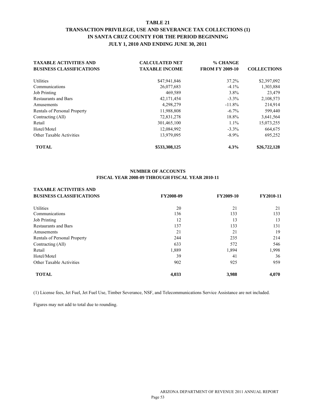## **TABLE 21 TRANSACTION PRIVILEGE, USE AND SEVERANCE TAX COLLECTIONS (1) IN SANTA CRUZ COUNTY FOR THE PERIOD BEGINNING JULY 1, 2010 AND ENDING JUNE 30, 2011**

| <b>TAXABLE ACTIVITIES AND</b>   | <b>CALCULATED NET</b> | % CHANGE               |                    |
|---------------------------------|-----------------------|------------------------|--------------------|
| <b>BUSINESS CLASSIFICATIONS</b> | <b>TAXABLE INCOME</b> | <b>FROM FY 2009-10</b> | <b>COLLECTIONS</b> |
| Utilities                       | \$47,941,846          | 37.2%                  | \$2,397,092        |
| Communications                  | 26,077,683            | $-4.1\%$               | 1,303,884          |
| <b>Job Printing</b>             | 469,589               | $3.8\%$                | 23,479             |
| <b>Restaurants and Bars</b>     | 42,171,454            | $-3.3\%$               | 2,108,573          |
| Amusements                      | 4,298,279             | $-11.8%$               | 214,914            |
| Rentals of Personal Property    | 11,988,808            | $-6.7\%$               | 599,440            |
| Contracting (All)               | 72,831,278            | 18.8%                  | 3,641,564          |
| Retail                          | 301,465,100           | $1.1\%$                | 15,073,255         |
| Hotel/Motel                     | 12,084,992            | $-3.3\%$               | 664,675            |
| <b>Other Taxable Activities</b> | 13,979,095            | $-8.9\%$               | 695.252            |
| <b>TOTAL</b>                    | \$533,308,125         | 4.3%                   | \$26,722,128       |

#### **NUMBER OF ACCOUNTS FISCAL YEAR 2008-09 THROUGH FISCAL YEAR 2010-11**

| <b>TAXABLE ACTIVITIES AND</b>   |           |           |           |
|---------------------------------|-----------|-----------|-----------|
| <b>BUSINESS CLASSIFICATIONS</b> | FY2008-09 | FY2009-10 | FY2010-11 |
| <b>Utilities</b>                | 20        | 21        | 21        |
| Communications                  | 136       | 133       | 133       |
| <b>Job Printing</b>             | 12        | 13        | 13        |
| <b>Restaurants and Bars</b>     | 137       | 133       | 131       |
| Amusements                      | 21        | 21        | 19        |
| Rentals of Personal Property    | 244       | 235       | 214       |
| Contracting (All)               | 633       | 572       | 546       |
| Retail                          | 1,889     | 1,894     | 1,998     |
| Hotel/Motel                     | 39        | 41        | 36        |
| <b>Other Taxable Activities</b> | 902       | 925       | 959       |
| <b>TOTAL</b>                    | 4,033     | 3,988     | 4,070     |

(1) License fees, Jet Fuel, Jet Fuel Use, Timber Severance, NSF, and Telecommunications Service Assistance are not included.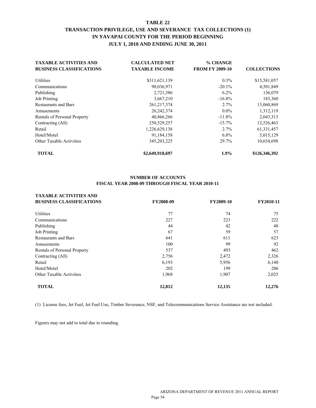## **TABLE 22 TRANSACTION PRIVILEGE, USE AND SEVERANCE TAX COLLECTIONS (1) IN YAVAPAI COUNTY FOR THE PERIOD BEGINNING JULY 1, 2010 AND ENDING JUNE 30, 2011**

| <b>TAXABLE ACTIVITIES AND</b>   | <b>CALCULATED NET</b> | % CHANGE               |                    |
|---------------------------------|-----------------------|------------------------|--------------------|
| <b>BUSINESS CLASSIFICATIONS</b> | <b>TAXABLE INCOME</b> | <b>FROM FY 2009-10</b> | <b>COLLECTIONS</b> |
| Utilities                       | \$311,621,139         | $0.3\%$                | \$15,581,057       |
| Communications                  | 90,036,971            | $-20.1\%$              | 4,501,849          |
| Publishing                      | 2,721,586             | $6.2\%$                | 136,079            |
| <b>Job Printing</b>             | 3,667,210             | $-16.8%$               | 183,360            |
| <b>Restaurants and Bars</b>     | 261, 217, 374         | 2.7%                   | 13,060,869         |
| Amusements                      | 26, 242, 374          | $0.0\%$                | 1,312,119          |
| Rentals of Personal Property    | 40,866,266            | $-11.8%$               | 2,043,313          |
| Contracting (All)               | 250,529,257           | $-15.7\%$              | 12,526,463         |
| Retail                          | 1,226,629,138         | 2.7%                   | 61,331,457         |
| Hotel/Motel                     | 91,184,158            | $6.8\%$                | 5,015,129          |
| <b>Other Taxable Activities</b> | 345, 203, 225         | 29.7%                  | 10,654,698         |
| <b>TOTAL</b>                    | \$2,649,918,697       | 1.9%                   | \$126,346,392      |

#### **NUMBER OF ACCOUNTS FISCAL YEAR 2008-09 THROUGH FISCAL YEAR 2010-11**

| <b>TAXABLE ACTIVITIES AND</b>   |           |                  |           |
|---------------------------------|-----------|------------------|-----------|
| <b>BUSINESS CLASSIFICATIONS</b> | FY2008-09 | <b>FY2009-10</b> | FY2010-11 |
| Utilities                       | 77        | 74               | 75        |
| Communications                  | 227       | 223              | 222       |
| Publishing                      | 44        | 42               | 48        |
| <b>Job Printing</b>             | 67        | 59               | 57        |
| <b>Restaurants and Bars</b>     | 641       | 611              | 623       |
| Amusements                      | 100       | 99               | 92        |
| Rentals of Personal Property    | 537       | 493              | 462       |
| Contracting (All)               | 2,756     | 2,472            | 2,326     |
| Retail                          | 6,193     | 5,956            | 6,140     |
| Hotel/Motel                     | 202       | 199              | 206       |
| <b>Other Taxable Activities</b> | 1,968     | 1,907            | 2,025     |
| <b>TOTAL</b>                    | 12,812    | 12,135           | 12,276    |

(1) License fees, Jet Fuel, Jet Fuel Use, Timber Severance, NSF, and Telecommunications Service Assistance are not included.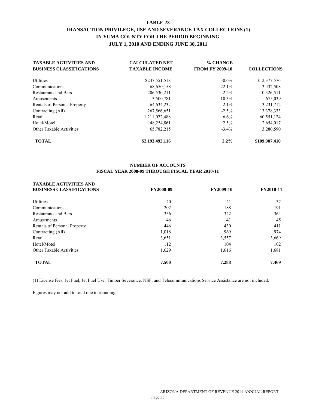## **TABLE 23 TRANSACTION PRIVILEGE, USE AND SEVERANCE TAX COLLECTIONS (1) IN YUMA COUNTY FOR THE PERIOD BEGINNING JULY 1, 2010 AND ENDING JUNE 30, 2011**

| <b>TAXABLE ACTIVITIES AND</b>   | <b>CALCULATED NET</b> | % CHANGE               |                    |
|---------------------------------|-----------------------|------------------------|--------------------|
| <b>BUSINESS CLASSIFICATIONS</b> | <b>TAXABLE INCOME</b> | <b>FROM FY 2009-10</b> | <b>COLLECTIONS</b> |
| Utilities                       | \$247,551,518         | $-0.6\%$               | \$12,377,576       |
| Communications                  | 68,650,158            | $-22.1%$               | 3,432,508          |
| <b>Restaurants and Bars</b>     | 206,530,211           | $2.2\%$                | 10,326,511         |
| Amusements                      | 13,500,781            | $-10.3%$               | 675,039            |
| Rentals of Personal Property    | 64,634,232            | $-2.1\%$               | 3,231,712          |
| Contracting (All)               | 267,566,651           | $-2.5%$                | 13,378,333         |
| Retail                          | 1,211,022,488         | $6.6\%$                | 60,551,124         |
| Hotel/Motel                     | 48,254,861            | 2.5%                   | 2,654,017          |
| <b>Other Taxable Activities</b> | 65,782,215            | $-3.4\%$               | 3,280,590          |
| <b>TOTAL</b>                    | \$2,193,493,116       | $2.2\%$                | \$109,907,410      |

#### **NUMBER OF ACCOUNTS FISCAL YEAR 2008-09 THROUGH FISCAL YEAR 2010-11**

| <b>TAXABLE ACTIVITIES AND</b>   |           |           |           |
|---------------------------------|-----------|-----------|-----------|
| <b>BUSINESS CLASSIFICATIONS</b> | FY2008-09 | FY2009-10 | FY2010-11 |
| Utilities                       | 40        | 41        | 32        |
| Communications                  | 202       | 188       | 191       |
| <b>Restaurants and Bars</b>     | 356       | 342       | 364       |
| Amusements                      | 46        | 41        | 45        |
| Rentals of Personal Property    | 446       | 430       | 411       |
| Contracting (All)               | 1,018     | 969       | 974       |
| Retail                          | 3,651     | 3,557     | 3,669     |
| Hotel/Motel                     | 112       | 104       | 102       |
| <b>Other Taxable Activities</b> | 1,629     | 1,616     | 1,681     |
| <b>TOTAL</b>                    | 7.500     | 7.288     | 7.469     |

(1) License fees, Jet Fuel, Jet Fuel Use, Timber Severance, NSF, and Telecommunications Service Assistance are not included.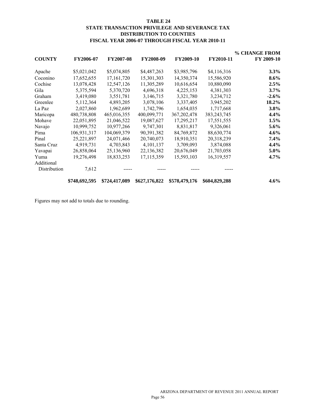#### **TABLE 24 STATE TRANSACTION PRIVILEGE AND SEVERANCE TAX DISTRIBUTION TO COUNTIES FISCAL YEAR 2006-07 THROUGH FISCAL YEAR 2010-11**

|               |               |                  |               |               |                  | % CHANGE FROM |
|---------------|---------------|------------------|---------------|---------------|------------------|---------------|
| <b>COUNTY</b> | FY2006-07     | <b>FY2007-08</b> | FY2008-09     | FY2009-10     | <b>FY2010-11</b> | FY 2009-10    |
| Apache        | \$5,021,042   | \$5,074,805      | \$4,487,263   | \$3,985,796   | \$4,116,316      | $3.3\%$       |
| Coconino      | 17,652,655    | 17,161,720       | 15,301,303    | 14,350,374    | 15,586,920       | 8.6%          |
| Cochise       | 13,078,428    | 12,547,126       | 11,305,289    | 10,616,654    | 10,880,090       | 2.5%          |
| Gila          | 5,375,594     | 5,370,720        | 4,696,318     | 4,225,153     | 4,381,303        | $3.7\%$       |
| Graham        | 3,419,080     | 3,551,781        | 3,146,715     | 3,321,780     | 3,234,712        | $-2.6\%$      |
| Greenlee      | 5,112,364     | 4,893,205        | 3,078,106     | 3,337,405     | 3,945,202        | 18.2%         |
| La Paz        | 2,027,860     | 1,962,689        | 1,742,796     | 1,654,035     | 1,717,668        | $3.8\%$       |
| Maricopa      | 480,738,808   | 465,016,355      | 400,099,771   | 367, 202, 478 | 383, 243, 745    | 4.4%          |
| Mohave        | 22,051,895    | 21,046,522       | 19,087,627    | 17,295,217    | 17,551,555       | $1.5\%$       |
| Navajo        | 10,999,752    | 10,977,266       | 9,747,301     | 8,831,817     | 9,326,061        | $5.6\%$       |
| Pima          | 106,931,317   | 104,069,379      | 90,391,382    | 84,769,872    | 88,630,774       | $4.6\%$       |
| Pinal         | 25,221,897    | 24,071,466       | 20,740,073    | 18,910,351    | 20,318,239       | $7.4\%$       |
| Santa Cruz    | 4,919,731     | 4,703,843        | 4, 101, 137   | 3,709,093     | 3,874,088        | $4.4\%$       |
| Yavapai       | 26,858,064    | 25,136,960       | 22,136,382    | 20,676,049    | 21,703,058       | $5.0\%$       |
| Yuma          | 19,276,498    | 18,833,253       | 17,115,359    | 15,593,103    | 16,319,557       | $4.7\%$       |
| Additional    |               |                  |               |               |                  |               |
| Distribution  | 7,612         |                  |               |               |                  |               |
|               | \$748,692,595 | \$724,417,089    | \$627,176,822 | \$578,479,176 | \$604,829,288    | $4.6\%$       |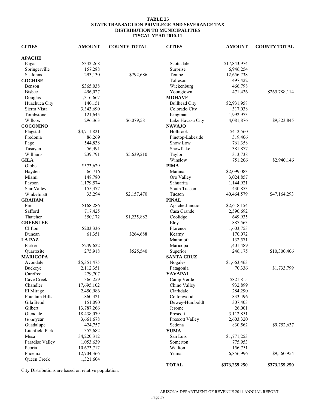#### **TABLE 25 STATE TRANSACTION PRIVILEGE AND SEVERANCE TAX DISTRIBUTION TO MUNICIPALITIES FISCAL YEAR 2010-11**

| <b>CITIES</b>           | <b>AMOUNT</b> | <b>COUNTY TOTAL</b> | <b>CITIES</b>        | <b>AMOUNT</b> | <b>COUNTY TOTAL</b> |
|-------------------------|---------------|---------------------|----------------------|---------------|---------------------|
| <b>APACHE</b>           |               |                     |                      |               |                     |
| Eagar                   | \$342,268     |                     | Scottsdale           | \$17,843,974  |                     |
| Springerville           | 157,288       |                     | Surprise             | 6,946,254     |                     |
| St. Johns               | 293,130       | \$792,686           | Tempe                | 12,656,738    |                     |
| <b>COCHISE</b>          |               |                     | Tolleson             | 497,422       |                     |
| Benson                  | \$365,038     |                     | Wickenburg           | 466,798       |                     |
| <b>Bisbee</b>           | 496,027       |                     | Youngtown            | 471,436       | \$265,788,114       |
| Douglas                 | 1,316,667     |                     | <b>MOHAVE</b>        |               |                     |
| Huachuca City           | 140,151       |                     | <b>Bullhead City</b> | \$2,931,958   |                     |
| Sierra Vista            | 3,343,690     |                     | Colorado City        | 317,038       |                     |
| Tombstone               | 121,645       |                     | Kingman              | 1,992,973     |                     |
| Willcox                 | 296,363       | \$6,079,581         | Lake Havasu City     | 4,081,876     | \$9,323,845         |
| <b>COCONINO</b>         |               |                     | <b>NAVAJO</b>        |               |                     |
| Flagstaff               | \$4,711,821   |                     | Holbrook             | \$412,560     |                     |
| Fredonia                | 86,269        |                     | Pinetop-Lakeside     | 319,406       |                     |
|                         | 544,838       |                     | Show Low             |               |                     |
| Page                    |               |                     |                      | 761,358       |                     |
| Tusayan                 | 56,491        |                     | Snowflake            | 381,877       |                     |
| Williams                | 239,791       | \$5,639,210         | Taylor               | 313,738       |                     |
| <b>GILA</b>             |               |                     | Winslow              | 751,206       | \$2,940,146         |
| Globe                   | \$573,629     |                     | <b>PIMA</b>          |               |                     |
| Hayden                  | 66,716        |                     | Marana               | \$2,099,083   |                     |
| Miami                   | 148,780       |                     | Oro Valley           | 3,024,857     |                     |
| Payson                  | 1,179,574     |                     | Sahuarita            | 1,144,921     |                     |
| <b>Star Valley</b>      | 155,477       |                     | South Tucson         | 430,853       |                     |
| Winkelman               | 33,294        | \$2,157,470         | Tucson               | 40,464,579    | \$47,164,293        |
| <b>GRAHAM</b>           |               |                     | <b>PINAL</b>         |               |                     |
| Pima                    | \$168,286     |                     | Apache Junction      | \$2,618,154   |                     |
| Safford                 | 717,425       |                     | Casa Grande          | 2,590,692     |                     |
| Thatcher                | 350,172       | \$1,235,882         | Coolidge             | 649,935       |                     |
| <b>GREENLEE</b>         |               |                     | Eloy                 | 887,563       |                     |
| Clifton                 | \$203,336     |                     | Florence             | 1,603,753     |                     |
| Duncan                  | 61,351        | \$264,688           | Kearny               | 170,072       |                     |
| <b>LA PAZ</b>           |               |                     | Mammoth              | 132,571       |                     |
| Parker                  | \$249,622     |                     | Maricopa             | 1,401,489     |                     |
| Quartzsite              | 275,918       | \$525,540           | Superior             | 246,175       | \$10,300,406        |
| <b>MARICOPA</b>         |               |                     | <b>SANTA CRUZ</b>    |               |                     |
| Avondale                | \$5,351,475   |                     | Nogales              | \$1,663,463   |                     |
| Buckeye                 | 2,112,351     |                     | Patagonia            | 70,336        | \$1,733,799         |
| Carefree                | 279,707       |                     | YAVAPAI              |               |                     |
| Cave Creek              | 366,259       |                     | Camp Verde           | \$821,815     |                     |
| Chandler                | 17,695,102    |                     | Chino Valley         | 932,899       |                     |
| El Mirage               | 2,450,986     |                     | Clarkdale            | 284,290       |                     |
| Fountain Hills          | 1,860,421     |                     | Cottonwood           | 833,496       |                     |
| Gila Bend               | 151,090       |                     | Dewey-Humboldt       | 307,403       |                     |
| Gilbert                 | 13,787,266    |                     | Jerome               | 26,001        |                     |
| Glendale                | 18,438,079    |                     | Prescott             | 3,112,851     |                     |
| Goodyear                | 3,661,678     |                     | Prescott Valley      | 2,603,320     |                     |
| Guadalupe               | 424,757       |                     | Sedona               | 830,562       | \$9,752,637         |
| Litchfield Park         | 352,682       |                     | <b>YUMA</b>          |               |                     |
|                         |               |                     |                      |               |                     |
| Mesa<br>Paradise Valley | 34,220,312    |                     | San Luis<br>Somerton | \$1,771,253   |                     |
|                         | 1,053,639     |                     |                      | 775,953       |                     |
| Peoria                  | 10,673,717    |                     | Wellton              | 156,751       |                     |
| Phoenix                 | 112,704,366   |                     | Yuma                 | 6,856,996     | \$9,560,954         |
| Queen Creek             | 1,321,604     |                     | <b>TOTAL</b>         | \$373,259,250 | \$373,259,250       |

City Distributions are based on relative population.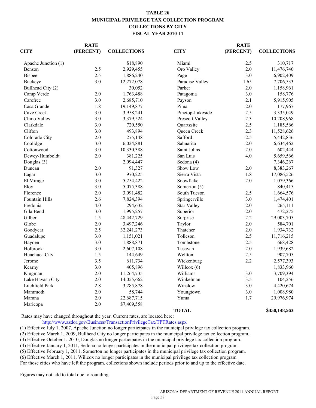#### **TABLE 26 MUNICIPAL PRIVILEGE TAX COLLECTION PROGRAM COLLECTIONS BY CITY FISCAL YEAR 2010-11**

|                     | <b>RATE</b> |                    |                    | <b>RATE</b> |                    |
|---------------------|-------------|--------------------|--------------------|-------------|--------------------|
| <b>CITY</b>         | (PERCENT)   | <b>COLLECTIONS</b> | <b>CITY</b>        | (PERCENT)   | <b>COLLECTIONS</b> |
| Apache Junction (1) |             | \$18,890           | Miami              | 2.5         | 310,717            |
| Benson              | 2.5         | 2,929,455          | Oro Valley         | 2.0         | 11,476,740         |
| <b>Bisbee</b>       | 2.5         | 1,886,240          | Page               | 3.0         | 6,902,409          |
| Buckeye             | 3.0         | 12,272,078         | Paradise Valley    | 1.65        | 7,706,533          |
| Bullhead City (2)   |             | 30,052             | Parker             | 2.0         | 1,158,961          |
| Camp Verde          | 2.0         | 1,763,488          | Patagonia          | 3.0         | 158,776            |
| Carefree            | 3.0         | 2,685,710          | Payson             | 2.1         | 5,915,905          |
| Casa Grande         | 1.8         | 19,149,877         | Pima               | 2.0         | 177,967            |
| Cave Creek          | 3.0         | 3,958,241          | Pinetop-Lakeside   | 2.5         | 3,335,049          |
| Chino Valley        | 3.0         | 3,379,524          | Prescott Valley    | 2.3         | 10,208,968         |
| Clarkdale           | 3.0         | 720,550            | Quartzsite         | 2.5         | 1,185,566          |
| Clifton             | 3.0         | 493,894            | Queen Creek        | 2.3         | 11,528,626         |
| Colorado City       | 2.0         | 275,148            | Safford            | 2.5         | 5,442,836          |
| Coolidge            | 3.0         | 6,024,881          | Sahuarita          | 2.0         | 6,634,462          |
| Cottonwood          | 3.0         | 10,330,388         | Saint Johns        | 2.0         | 602,444            |
| Dewey-Humboldt      | 2.0         | 381,225            | San Luis           | 4.0         | 5,659,566          |
| Douglas (3)         |             | 2,094,447          | Sedona (4)         |             | 7,346,267          |
| Duncan              | 2.0         | 91,327             | Show Low           | 2.0         | 8,383,267          |
| Eagar               | 3.0         | 970,225            | Sierra Vista       | 1.8         | 17,086,526         |
| El Mirage           | 3.0         | 5,254,422          | Snowflake          | 2.0         | 1,079,366          |
| Eloy                | 3.0         | 5,075,388          | Somerton (5)       |             | 840,415            |
| Florence            | 2.0         | 3,091,482          | South Tucson       | 2.5         | 1,664,576          |
| Fountain Hills      | 2.6         | 7,824,394          | Springerville      | 3.0         | 1,474,401          |
| Fredonia            | 4.0         | 294,632            | <b>Star Valley</b> | 2.0         | 265,111            |
| Gila Bend           | 3.0         | 1,995,257          | Superior           | 2.0         | 472,275            |
| Gilbert             | 1.5         | 48,442,729         | Surprise           | 2.2         | 29,003,705         |
| Globe               | 2.0         | 3,497,246          | Taylor             | 2.0         | 584,701            |
| Goodyear            | 2.5         | 32,241,273         | Thatcher           | 2.0         | 1,934,732          |
| Guadalupe           | 3.0         | 1,151,021          | Tolleson           | 2.5         | 11,716,215         |
| Hayden              | 3.0         | 1,888,871          | Tombstone          | 2.5         | 668,428            |
| Holbrook            | 3.0         | 2,607,108          | Tusayan            | 2.0         | 1,939,682          |
| Huachuca City       | 1.5         | 144,649            | Wellton            | 2.5         | 907,705            |
| Jerome              | 3.5         | 611,734            | Wickenburg         | 2.2         | 2,577,393          |
| Kearny              | 3.0         | 405,896            | Willcox $(6)$      |             | 1,833,960          |
| Kingman             | $2.0\,$     | 11,264,735         | Williams           | 3.0         | 3,709,394          |
| Lake Havasu City    | 2.0         | 14,055,662         | Winkelman          | 3.5         | 104,256            |
| Litchfield Park     | 2.8         | 3,285,878          | Winslow            | 3.0         | 4,420,674          |
| Mammoth             | 2.0         | 58,744             | Youngtown          | 3.0         | 1,008,980          |
| Marana              | $2.0\,$     | 22,687,715         | Yuma               | 1.7         | 29,976,974         |
| Maricopa            | $2.0\,$     | \$7,409,558        |                    |             |                    |
|                     |             |                    | <b>TOTAL</b>       |             | \$450,148,563      |

Rates may have changed throughout the year. Current rates, are located here:

http://www.azdor.gov/Business/TransactionPrivilegeTax/TPTRates.aspx

(1) Effective July 1, 2007, Apache Junction no longer participates in the municipal privilege tax collection program.

(2) Effective March 1, 2009, Bullhead City no longer participates in the municipal privilege tax collection program.

(3) Effective October 1, 2010, Douglas no longer participates in the municipal privilege tax collection program. (4) Effective January 1, 2011, Sedona no longer participates in the municipal privilege tax collection program.

(5) Effective February 1, 2011, Somerton no longer participates in the municipal privilege tax collection program.

(6) Effective March 1, 2011, Willcox no longer participates in the municipal privilege tax collection program.

For those cities who have left the program, collections shown include periods prior to and up to the effective date.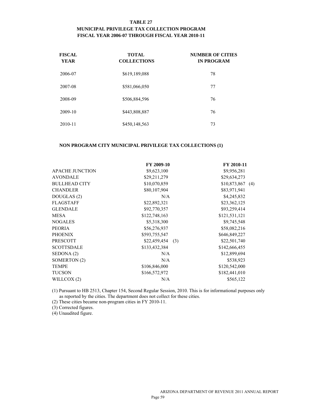#### **TABLE 27 MUNICIPAL PRIVILEGE TAX COLLECTION PROGRAM FISCAL YEAR 2006-07 THROUGH FISCAL YEAR 2010-11**

| <b>FISCAL</b><br><b>YEAR</b> | <b>TOTAL</b><br><b>COLLECTIONS</b> | <b>NUMBER OF CITIES</b><br><b>IN PROGRAM</b> |
|------------------------------|------------------------------------|----------------------------------------------|
| 2006-07                      | \$619,189,088                      | 78                                           |
| 2007-08                      | \$581,066,050                      | 77                                           |
| 2008-09                      | \$506,884,596                      | 76                                           |
| 2009-10                      | \$443,808,887                      | 76                                           |
| 2010-11                      | \$450,148,563                      | 73                                           |

#### **NON PROGRAM CITY MUNICIPAL PRIVILEGE TAX COLLECTIONS (1)**

| <b>APACHE JUNCTION</b><br>\$9,623,100<br>\$9,956,281      |  |
|-----------------------------------------------------------|--|
| <b>AVONDALE</b><br>\$29,211,279<br>\$29,634,273           |  |
| <b>BULLHEAD CITY</b><br>\$10,070,859<br>$$10,873,867$ (4) |  |
| <b>CHANDLER</b><br>\$80,107,904<br>\$83,971,941           |  |
| DOUGLAS (2)<br>N/A<br>\$4,245,832                         |  |
| <b>FLAGSTAFF</b><br>\$23,362,125<br>\$22,892,321          |  |
| <b>GLENDALE</b><br>\$92,770,357<br>\$93,259,414           |  |
| <b>MESA</b><br>\$122,748,163<br>\$121,531,121             |  |
| <b>NOGALES</b><br>\$5,318,300<br>\$9,745,548              |  |
| <b>PEORIA</b><br>\$56,276,937<br>\$58,082,216             |  |
| <b>PHOENIX</b><br>\$593,755,547<br>\$646,849,227          |  |
| <b>PRESCOTT</b><br>\$22,501,740<br>$$22,459,454$ (3)      |  |
| <b>SCOTTSDALE</b><br>\$133,432,384<br>\$142,666,455       |  |
| SEDONA (2)<br>N/A<br>\$12,899,694                         |  |
| SOMERTON (2)<br>N/A<br>\$538,923                          |  |
| \$120,542,000<br><b>TEMPE</b><br>\$106,846,000            |  |
| <b>TUCSON</b><br>\$182,441,010<br>\$166,572,972           |  |
| WILLCOX (2)<br>\$565,122<br>N/A                           |  |

(1) Pursuant to HB 2513, Chapter 154, Second Regular Session, 2010. This is for informational purposes only as reported by the cities. The department does not collect for these cities.

(2) These cities became non-program cities in FY 2010-11.

(3) Corrected figures.

(4) Unaudited figure.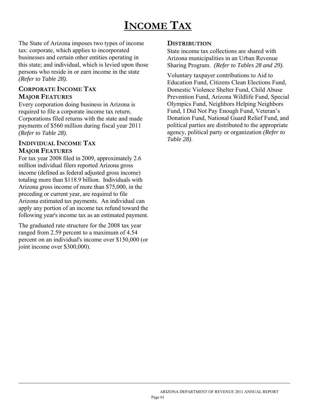# **INCOME TAX**

The State of Arizona imposes two types of income tax: corporate, which applies to incorporated businesses and certain other entities operating in this state; and individual, which is levied upon those persons who reside in or earn income in the state *(Refer to Table 28).*

## **CORPORATE INCOME TAX MAJOR FEATURES**

Every corporation doing business in Arizona is required to file a corporate income tax return. Corporations filed returns with the state and made payments of \$560 million during fiscal year 2011 *(Refer to Table 28).*

## **INDIVIDUAL INCOME TAX MAJOR FEATURES**

l

For tax year 2008 filed in 2009, approximately 2.6 million individual filers reported Arizona gross income (defined as federal adjusted gross income) totaling more than \$118.9 billion. Individuals with Arizona gross income of more than \$75,000, in the preceding or current year, are required to file Arizona estimated tax payments. An individual can apply any portion of an income tax refund toward the following year's income tax as an estimated payment.

The graduated rate structure for the 2008 tax year ranged from 2.59 percent to a maximum of 4.54 percent on an individual's income over \$150,000 (or joint income over \$300,000).

## **DISTRIBUTION**

State income tax collections are shared with Arizona municipalities in an Urban Revenue Sharing Program. *(Refer to Tables 28 and 29)*.

Voluntary taxpayer contributions to Aid to Education Fund, Citizens Clean Elections Fund, Domestic Violence Shelter Fund, Child Abuse Prevention Fund, Arizona Wildlife Fund, Special Olympics Fund, Neighbors Helping Neighbors Fund, I Did Not Pay Enough Fund, Veteran's Donation Fund, National Guard Relief Fund, and political parties are distributed to the appropriate agency, political party or organization *(Refer to Table 28)*.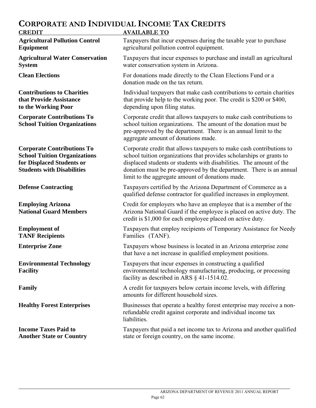## **CORPORATE AND INDIVIDUAL INCOME TAX CREDITS**

| <b>CREDIT</b>                                                                                                                              | <b>AVAILABLE TO</b>                                                                                                                                                                                                                                                                                                                            |
|--------------------------------------------------------------------------------------------------------------------------------------------|------------------------------------------------------------------------------------------------------------------------------------------------------------------------------------------------------------------------------------------------------------------------------------------------------------------------------------------------|
| <b>Agricultural Pollution Control</b><br><b>Equipment</b>                                                                                  | Taxpayers that incur expenses during the taxable year to purchase<br>agricultural pollution control equipment.                                                                                                                                                                                                                                 |
| <b>Agricultural Water Conservation</b><br><b>System</b>                                                                                    | Taxpayers that incur expenses to purchase and install an agricultural<br>water conservation system in Arizona.                                                                                                                                                                                                                                 |
| <b>Clean Elections</b>                                                                                                                     | For donations made directly to the Clean Elections Fund or a<br>donation made on the tax return.                                                                                                                                                                                                                                               |
| <b>Contributions to Charities</b><br>that Provide Assistance<br>to the Working Poor                                                        | Individual taxpayers that make cash contributions to certain charities<br>that provide help to the working poor. The credit is \$200 or \$400,<br>depending upon filing status.                                                                                                                                                                |
| <b>Corporate Contributions To</b><br><b>School Tuition Organizations</b>                                                                   | Corporate credit that allows taxpayers to make cash contributions to<br>school tuition organizations. The amount of the donation must be<br>pre-approved by the department. There is an annual limit to the<br>aggregate amount of donations made.                                                                                             |
| <b>Corporate Contributions To</b><br><b>School Tuition Organizations</b><br>for Displaced Students or<br><b>Students with Disabilities</b> | Corporate credit that allows taxpayers to make cash contributions to<br>school tuition organizations that provides scholarships or grants to<br>displaced students or students with disabilities. The amount of the<br>donation must be pre-approved by the department. There is an annual<br>limit to the aggregate amount of donations made. |
| <b>Defense Contracting</b>                                                                                                                 | Taxpayers certified by the Arizona Department of Commerce as a<br>qualified defense contractor for qualified increases in employment.                                                                                                                                                                                                          |
| <b>Employing Arizona</b><br><b>National Guard Members</b>                                                                                  | Credit for employers who have an employee that is a member of the<br>Arizona National Guard if the employee is placed on active duty. The<br>credit is \$1,000 for each employee placed on active duty.                                                                                                                                        |
| <b>Employment of</b><br><b>TANF Recipients</b>                                                                                             | Taxpayers that employ recipients of Temporary Assistance for Needy<br>Families (TANF).                                                                                                                                                                                                                                                         |
| <b>Enterprise Zone</b>                                                                                                                     | Taxpayers whose business is located in an Arizona enterprise zone<br>that have a net increase in qualified employment positions.                                                                                                                                                                                                               |
| <b>Environmental Technology</b><br><b>Facility</b>                                                                                         | Taxpayers that incur expenses in constructing a qualified<br>environmental technology manufacturing, producing, or processing<br>facility as described in ARS § 41-1514.02.                                                                                                                                                                    |
| Family                                                                                                                                     | A credit for taxpayers below certain income levels, with differing<br>amounts for different household sizes.                                                                                                                                                                                                                                   |
| <b>Healthy Forest Enterprises</b>                                                                                                          | Businesses that operate a healthy forest enterprise may receive a non-<br>refundable credit against corporate and individual income tax<br>liabilities.                                                                                                                                                                                        |
| <b>Income Taxes Paid to</b><br><b>Another State or Country</b>                                                                             | Taxpayers that paid a net income tax to Arizona and another qualified<br>state or foreign country, on the same income.                                                                                                                                                                                                                         |

 $\overline{a}$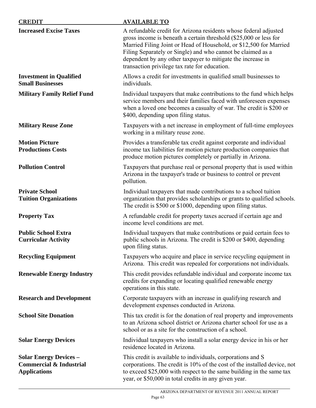| <b>CREDIT</b>                                                                              | <b>AVAILABLE TO</b>                                                                                                                                                                                                                                                                                                                                                                        |
|--------------------------------------------------------------------------------------------|--------------------------------------------------------------------------------------------------------------------------------------------------------------------------------------------------------------------------------------------------------------------------------------------------------------------------------------------------------------------------------------------|
| <b>Increased Excise Taxes</b>                                                              | A refundable credit for Arizona residents whose federal adjusted<br>gross income is beneath a certain threshold (\$25,000 or less for<br>Married Filing Joint or Head of Household, or \$12,500 for Married<br>Filing Separately or Single) and who cannot be claimed as a<br>dependent by any other taxpayer to mitigate the increase in<br>transaction privilege tax rate for education. |
| <b>Investment in Qualified</b><br><b>Small Businesses</b>                                  | Allows a credit for investments in qualified small businesses to<br>individuals.                                                                                                                                                                                                                                                                                                           |
| <b>Military Family Relief Fund</b>                                                         | Individual taxpayers that make contributions to the fund which helps<br>service members and their families faced with unforeseen expenses<br>when a loved one becomes a casualty of war. The credit is \$200 or<br>\$400, depending upon filing status.                                                                                                                                    |
| <b>Military Reuse Zone</b>                                                                 | Taxpayers with a net increase in employment of full-time employees<br>working in a military reuse zone.                                                                                                                                                                                                                                                                                    |
| <b>Motion Picture</b><br><b>Productions Costs</b>                                          | Provides a transferable tax credit against corporate and individual<br>income tax liabilities for motion picture production companies that<br>produce motion pictures completely or partially in Arizona.                                                                                                                                                                                  |
| <b>Pollution Control</b>                                                                   | Taxpayers that purchase real or personal property that is used within<br>Arizona in the taxpayer's trade or business to control or prevent<br>pollution.                                                                                                                                                                                                                                   |
| <b>Private School</b><br><b>Tuition Organizations</b>                                      | Individual taxpayers that made contributions to a school tuition<br>organization that provides scholarships or grants to qualified schools.<br>The credit is \$500 or \$1000, depending upon filing status.                                                                                                                                                                                |
| <b>Property Tax</b>                                                                        | A refundable credit for property taxes accrued if certain age and<br>income level conditions are met.                                                                                                                                                                                                                                                                                      |
| <b>Public School Extra</b><br><b>Curricular Activity</b>                                   | Individual taxpayers that make contributions or paid certain fees to<br>public schools in Arizona. The credit is \$200 or \$400, depending<br>upon filing status.                                                                                                                                                                                                                          |
| <b>Recycling Equipment</b>                                                                 | Taxpayers who acquire and place in service recycling equipment in<br>Arizona. This credit was repealed for corporations not individuals.                                                                                                                                                                                                                                                   |
| <b>Renewable Energy Industry</b>                                                           | This credit provides refundable individual and corporate income tax<br>credits for expanding or locating qualified renewable energy<br>operations in this state.                                                                                                                                                                                                                           |
| <b>Research and Development</b>                                                            | Corporate taxpayers with an increase in qualifying research and<br>development expenses conducted in Arizona.                                                                                                                                                                                                                                                                              |
| <b>School Site Donation</b>                                                                | This tax credit is for the donation of real property and improvements<br>to an Arizona school district or Arizona charter school for use as a<br>school or as a site for the construction of a school.                                                                                                                                                                                     |
| <b>Solar Energy Devices</b>                                                                | Individual taxpayers who install a solar energy device in his or her<br>residence located in Arizona.                                                                                                                                                                                                                                                                                      |
| <b>Solar Energy Devices -</b><br><b>Commercial &amp; Industrial</b><br><b>Applications</b> | This credit is available to individuals, corporations and S<br>corporations. The credit is 10% of the cost of the installed device, not<br>to exceed \$25,000 with respect to the same building in the same tax<br>year, or \$50,000 in total credits in any given year.                                                                                                                   |

 $\overline{a}$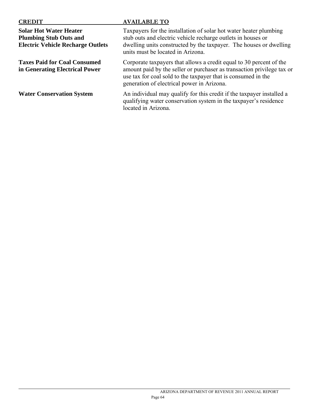| <b>CREDIT</b>                                                                                              | <b>AVAILABLE TO</b>                                                                                                                                                                                                                                          |
|------------------------------------------------------------------------------------------------------------|--------------------------------------------------------------------------------------------------------------------------------------------------------------------------------------------------------------------------------------------------------------|
| <b>Solar Hot Water Heater</b><br><b>Plumbing Stub Outs and</b><br><b>Electric Vehicle Recharge Outlets</b> | Taxpayers for the installation of solar hot water heater plumbing<br>stub outs and electric vehicle recharge outlets in houses or<br>dwelling units constructed by the taxpayer. The houses or dwelling<br>units must be located in Arizona.                 |
| <b>Taxes Paid for Coal Consumed</b><br>in Generating Electrical Power                                      | Corporate taxpayers that allows a credit equal to 30 percent of the<br>amount paid by the seller or purchaser as transaction privilege tax or<br>use tax for coal sold to the taxpayer that is consumed in the<br>generation of electrical power in Arizona. |
| <b>Water Conservation System</b>                                                                           | An individual may qualify for this credit if the taxpayer installed a<br>qualifying water conservation system in the taxpayer's residence<br>located in Arizona.                                                                                             |

 $\overline{a}$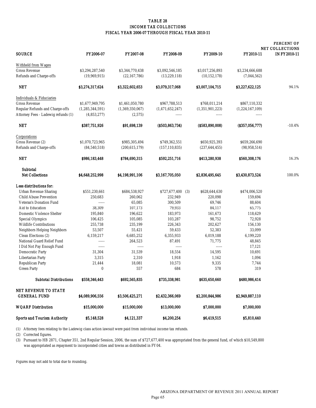#### TABLE 28 INCOME TAX COLLECTIONS FISCAL YEAR 2006-07 THROUGH FISCAL YEAR 2010-11

|                                                    |                 |                  |                      |                  |                 | <b>PERCENT OF</b><br><b>NET COLLECTIONS</b> |
|----------------------------------------------------|-----------------|------------------|----------------------|------------------|-----------------|---------------------------------------------|
| <b>SOURCE</b>                                      | FY2006-07       | <b>FY2007-08</b> | <b>FY2008-09</b>     | <b>FY2009-10</b> | FY2010-11       | <b>IN FY2010-11</b>                         |
| <b>Withheld from Wages</b>                         |                 |                  |                      |                  |                 |                                             |
| <b>Gross Revenue</b>                               | \$3,294,287,540 | \$3,344,770,438  | \$3,092,546,185      | \$3,017,256,893  | \$3,234,666,688 |                                             |
| <b>Refunds and Charge-offs</b>                     | (19,969,915)    | (22, 167, 786)   | (13, 229, 118)       | (10, 152, 178)   | (7,044,562)     |                                             |
| <b>NET</b>                                         | \$3,274,317,624 | \$3,322,602,653  | \$3,079,317,068      | \$3,007,104,715  | \$3,227,622,125 | 94.1%                                       |
| Individuals & Fiduciaries                          |                 |                  |                      |                  |                 |                                             |
| <b>Gross Revenue</b>                               | \$1,677,949,795 | \$1,461,050,780  | \$967,788,513        | \$768,011,214    | \$867,110,332   |                                             |
| <b>Regular Refunds and Charge-offs</b>             | (1,285,344,591) | (1,369,350,067)  | (1,471,652,247)      | (1,351,901,223)  | (1,224,167,109) |                                             |
| Attorney Fees - Ladewig refunds (1)                | (4,853,277)     | (2,575)          | -----                | -----            | $- - - - -$     |                                             |
| <b>NET</b>                                         | \$387,751,926   | \$91,698,139     | (S503, 863, 734)     | (\$583,890,008)  | (S357,056,777)  | $-10.4%$                                    |
| Corporations                                       |                 |                  |                      |                  |                 |                                             |
| Gross Revenue (2)                                  | \$1,070,723,965 | \$985,305,494    | \$749,362,551        | \$650,925,393    | \$659,266,690   |                                             |
| <b>Refunds and Charge-offs</b>                     | (84, 540, 518)  | (200, 615, 179)  | (157, 110, 835)      | (237, 644, 455)  | (98, 958, 514)  |                                             |
| NET                                                | \$986,183,448   | \$784,690,315    | \$592,251,716        | \$413,280,938    | \$560,308,176   | 16.3%                                       |
| <b>Subtotal</b>                                    |                 |                  |                      |                  |                 |                                             |
| <b>Net Collections</b>                             | \$4,648,252,998 | \$4,198,991,106  | \$3.167.705.050      | \$2,836,495,645  | \$3,430,873,524 | 100.0%                                      |
| Less distributions for:                            |                 |                  |                      |                  |                 |                                             |
| <b>Urban Revenue Sharing</b>                       | \$551,230,661   | \$684,538,927    | \$727,677,400<br>(3) | \$628,644,630    | \$474,006,520   |                                             |
| <b>Child Abuse Prevention</b>                      | 250,683         | 260,062          | 232,949              | 220,098          | 159,694         |                                             |
| <b>Veteran's Donation Fund</b>                     | -----           | 65,085           | 300,509              | 69,746           | 88,604          |                                             |
| <b>Aid to Education</b>                            | 38,309          | 107,173          | 79,933               | 84,117           | 65,775          |                                             |
| <b>Domestic Violence Shelter</b>                   | 195,840         | 196,622          | 183,973              | 161,673          | 118,629         |                                             |
| <b>Special Olympics</b>                            | 106,425         | 105,085          | 103,287              | 98,752           | 72,928          |                                             |
| <b>Wildlife Contributions</b>                      | 255,738         | 235,199          | 226,343              | 202,627          | 156,130         |                                             |
| <b>Neighbors Helping Neighbors</b>                 | 53,507          | 55,421           | 59,433               | 52,383           | 33,099          |                                             |
| <b>Clean Elections (2)</b>                         | 6,159,217       | 6,685,252        | 6,355,933            | 6,019,188        | 6,199,220       |                                             |
| <b>National Guard Relief Fund</b>                  | 1.1.1.1         | 264,523          | 87,491               | 71,775           | 48,845          |                                             |
| I Did Not Pay Enough Fund                          | $- - - - -$     | $1 - 1 - 1$      | -----                | -----            | 17,121          |                                             |
| <b>Democratic Party</b>                            | 31,304          | 31,539           | 18,554               | 14,595           | 10,691          |                                             |
| <b>Libertarian Party</b>                           | 3,315           | 2,310            | 1,918                | 1,162            | 1,094           |                                             |
| <b>Republican Party</b>                            | 21,444          | 18,081           | 10,573               | 9,335            | 7,744           |                                             |
| <b>Green Party</b>                                 | $\bf{0}$        | 557              | 684                  | 578              | 319             |                                             |
| <b>Subtotal Distributions</b>                      | \$558,346,443   | \$692,565,835    | \$735,338,981        | \$635,650,660    | \$480,986,414   |                                             |
| <b>NET REVENUE TO STATE</b><br><b>GENERAL FUND</b> | \$4,089,906,556 | \$3,506,425,271  | \$2,432,366,069      | \$2,200,844,986  | \$2,949,887,110 |                                             |
|                                                    |                 |                  |                      |                  |                 |                                             |
| <b>WQARF</b> Distribution                          | \$15,000,000    | \$15,000,000     | \$13,000,000         | \$7,000,000      | \$7,000,000     |                                             |
| <b>Sports and Tourism Authority</b>                | \$5,148,528     | \$4,121,337      | \$4,200,254          | \$6,419,515      | \$5,810,440     |                                             |

(1) Attorney fees relating to the Ladewig class action lawsuit were paid from individual income tax refunds.

(3) Pursuant to HB 2871, Chapter 351, 2nd Regular Session, 2006, the sum of \$727,677,400 was appropriated from the general fund, of which \$10,549,800 was appropriated as repayment to incorporated cities and towns as distributed in FY04.

<sup>(2)</sup> Corrected figures.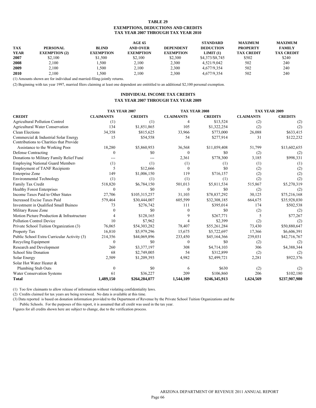#### **TABLE 29 EXEMPTIONS, DEDUCTIONS AND CREDITS TAX YEAR 2007 THROUGH TAX YEAR 2010**

|             |                      |                  | AGE 65           |                  | <b>STANDARD</b>  | MAXIMUM           | <b>MAXIMUM</b>    |
|-------------|----------------------|------------------|------------------|------------------|------------------|-------------------|-------------------|
| <b>TAX</b>  | <b>PERSONAL</b>      | <b>BLIND</b>     | AND OVER         | <b>DEPENDENT</b> | <b>DEDUCTION</b> | <b>PROPERTY</b>   | <b>FAMILY</b>     |
| <b>YEAR</b> | <b>EXEMPTION</b> (2) | <b>EXEMPTION</b> | <b>EXEMPTION</b> | <b>EXEMPTION</b> | LIMIT(1)         | <b>TAX CREDIT</b> | <b>TAX CREDIT</b> |
| 2007        | \$2.100              | \$1.500          | \$2.100          | \$2,300          | \$4,373/\$8,745  | \$502             | \$240             |
| 2008        | 2.100                | .500             | 2.100            | 2,300            | 4.521/9.042      | 502               | 240               |
| 2009        | 2.100                | .500             | 2.100            | 2,300            | 4.677/9.354      | 502               | 240               |
| 2010        | 2.100                | .500             | 2,100            | 2,300            | 4,677/9,354      | 502               | 240               |

(1) Amounts shown are for individual and married-filing-jointly returns.

(2) Beginning with tax year 1997, married filers claiming at least one dependent are entititled to an additional \$2,100 personal exemption.

#### **INDIVIDUAL INCOME TAX CREDITS TAX YEAR 2007 THROUGH TAX YEAR 2009**

|                                                                                 | TAX YEAR 2007    |                | <b>TAX YEAR 2008</b> |                |                  | TAX YEAR 2009  |
|---------------------------------------------------------------------------------|------------------|----------------|----------------------|----------------|------------------|----------------|
| <b>CREDIT</b>                                                                   | <b>CLAIMANTS</b> | <b>CREDITS</b> | <b>CLAIMANTS</b>     | <b>CREDITS</b> | <b>CLAIMANTS</b> | <b>CREDITS</b> |
| <b>Agricultural Pollution Control</b>                                           | (1)              | (1)            | $\overline{4}$       | \$13,524       | (2)              | (2)            |
| <b>Agricultural Water Conservation</b>                                          | 134              | \$1,851,865    | 105                  | \$1,322,254    | (2)              | (2)            |
| <b>Clean Elections</b>                                                          | 34,358           | \$815,625      | 33,966               | \$773,000      | 26,088           | \$633,415      |
| Commercial & Industrial Solar Energy<br>Contributions to Charities that Provide | 15               | \$54,558       | 54                   | \$277,914      | 31               | \$122,232      |
| Assistance to the Working Poor                                                  | 18,280           | \$5,860,953    | 36,568               | \$11,059,408   | 51,799           | \$13,602,655   |
| <b>Defense Contracting</b>                                                      | $\theta$         | \$0            | $\mathbf{0}$         | \$0            | (2)              | (2)            |
| Donations to Military Family Relief Fund                                        |                  | ---            | 2,361                | \$778,300      | 3.185            | \$998,331      |
| <b>Employing National Guard Members</b>                                         | (1)              | (1)            | (1)                  | (1)            | (1)              | (1)            |
| <b>Employment of TANF Recipients</b>                                            | 5                | \$12,666       | $\mathbf{0}$         | \$0            | (2)              | (2)            |
| Enterprise Zone                                                                 | 149              | \$1,006,150    | 119                  | \$716,157      | (2)              | (2)            |
| <b>Environmental Technology</b>                                                 | (1)              | (1)            | (1)                  | (1)            | (2)              | (2)            |
| Family Tax Credit                                                               | 518,820          | \$6,784,150    | 501,013              | \$5,811,534    | 515,867          | \$5,270,319    |
| <b>Healthy Forest Enterprises</b>                                               | $\mathbf{0}$     | \$0            | $\mathbf{0}$         | \$0            | (2)              | (2)            |
| Income Taxes Paid to Other States                                               | 27,706           | \$105,315,257  | 31,103               | \$78,837,292   | 30,125           | \$75,216,168   |
| Increased Excise Taxes Paid                                                     | 579,464          | \$30,444,007   | 605,599              | \$32,308,185   | 664,675          | \$35,928,030   |
| Investment in Qualified Small Buiness                                           | 73               | \$276,742      | 111                  | \$395,014      | 174              | \$502,538      |
| Military Reuse Zone                                                             | $\Omega$         | \$0            | $\mathbf{0}$         | \$0            | (2)              | (2)            |
| Motion Picture Production & Infrastructure                                      | 4                | \$128,165      |                      | \$267,771      | 5                | \$77,267       |
| <b>Pollution Control Device</b>                                                 | 10               | \$7,962        |                      | \$2,399        | (2)              | (2)            |
| Private School Tuition Organization (3)                                         | 76,065           | \$54,303,282   | 78,407               | \$55,261,284   | 73,430           | \$50,880,647   |
| Property Tax                                                                    | 16,810           | \$5,979,296    | 15,675               | \$5,722,697    | 17,366           | \$6,606,391    |
| Public School Extra Curricular Activity (3)                                     | 214,356          | \$44,069,896   | 233,450              | \$45,164,366   | 239,031          | \$42,716,767   |
| Recycling Equipment                                                             | $\theta$         | \$0            | $\Omega$             | \$0            | (2)              | (2)            |
| Research and Development                                                        | 260              | \$3,377,197    | 308                  | \$4,714,103    | 306              | \$4,388,344    |
| School Site Donation                                                            | 68               | \$2,749,005    | 54                   | \$312,899      | (2)              | (2)            |
| Solar Energy                                                                    | 2,509            | \$1,209,393    | 4,982                | \$2,499,721    | 2,281            | \$922,376      |
| Solar Hot Water Heater &                                                        |                  |                |                      |                |                  |                |
| <b>Plumbing Stub Outs</b>                                                       | $\Omega$         | \$0            | 6                    | \$630          | (2)              | (2)            |
| <b>Water Conservation Systems</b>                                               | 61               | \$36,227       | 209                  | \$106,860      | 206              | \$102,180      |
| <b>Total</b>                                                                    | 1,489,150        | \$264,284,077  | 1,544,109            | \$246,345,913  | 1,624,569        | \$237,907,980  |

(1) Too few claimants to allow release of information without violating confidentiality laws.

(2) Credits claimed for tax years are being reviewed. No data is available at this time.

(3) Data reported is based on donation information provided to the Department of Revenue by the Private School Tuition Organizations and the Public Schools. For the purposes of this report, it is assumed that all credit was used in the tax year.

Figures for all credits shown here are subject to change, due to the verification process.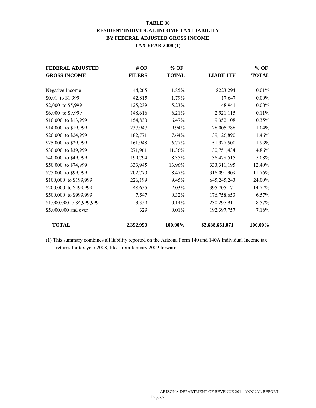## **TABLE 30 RESIDENT INDIVIDUAL INCOME TAX LIABILITY BY FEDERAL ADJUSTED GROSS INCOME TAX YEAR 2008 (1)**

| <b>FEDERAL ADJUSTED</b>    | # OF          | $%$ OF       |                  | $%$ OF       |
|----------------------------|---------------|--------------|------------------|--------------|
| <b>GROSS INCOME</b>        | <b>FILERS</b> | <b>TOTAL</b> | <b>LIABILITY</b> | <b>TOTAL</b> |
|                            |               |              |                  |              |
| Negative Income            | 44,265        | 1.85%        | \$223,294        | 0.01%        |
| \$0.01 to \$1,999          | 42,815        | 1.79%        | 17,647           | $0.00\%$     |
| \$2,000 to \$5,999         | 125,239       | 5.23%        | 48,941           | $0.00\%$     |
| \$6,000 to \$9,999         | 148,616       | 6.21%        | 2,921,115        | 0.11%        |
| \$10,000 to \$13,999       | 154,830       | 6.47%        | 9,352,108        | 0.35%        |
| \$14,000 to \$19,999       | 237,947       | 9.94%        | 28,005,788       | 1.04%        |
| \$20,000 to \$24,999       | 182,771       | 7.64%        | 39,126,890       | 1.46%        |
| \$25,000 to \$29,999       | 161,948       | 6.77%        | 51,927,500       | 1.93%        |
| \$30,000 to \$39,999       | 271,961       | 11.36%       | 130,751,434      | 4.86%        |
| \$40,000 to \$49,999       | 199,794       | 8.35%        | 136,478,515      | 5.08%        |
| \$50,000 to \$74,999       | 333,945       | 13.96%       | 333, 311, 195    | 12.40%       |
| \$75,000 to \$99,999       | 202,770       | 8.47%        | 316,091,909      | 11.76%       |
| \$100,000 to \$199,999     | 226,199       | 9.45%        | 645,245,243      | 24.00%       |
| \$200,000 to \$499,999     | 48,655        | 2.03%        | 395,705,171      | 14.72%       |
| \$500,000 to \$999,999     | 7,547         | 0.32%        | 176,758,653      | 6.57%        |
| \$1,000,000 to \$4,999,999 | 3,359         | 0.14%        | 230,297,911      | 8.57%        |
| \$5,000,000 and over       | 329           | 0.01%        | 192,397,757      | 7.16%        |
| <b>TOTAL</b>               | 2,392,990     | 100.00%      | \$2,688,661,071  | 100.00%      |

(1) This summary combines all liability reported on the Arizona Form 140 and 140A Individual Income tax returns for tax year 2008, filed from January 2009 forward.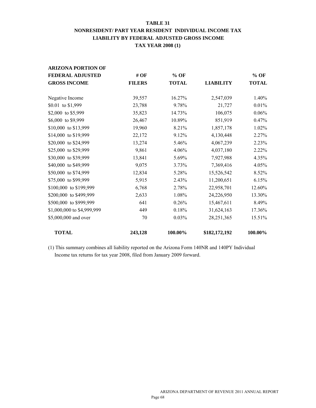#### **TABLE 31**

## **NONRESIDENT/ PART YEAR RESIDENT INDIVIDUAL INCOME TAX LIABILITY BY FEDERAL ADJUSTED GROSS INCOME TAX YEAR 2008 (1)**

| <b>ARIZONA PORTION OF</b>  |               |              |                  |              |
|----------------------------|---------------|--------------|------------------|--------------|
| <b>FEDERAL ADJUSTED</b>    | # OF          | $%$ OF       |                  | $%$ OF       |
| <b>GROSS INCOME</b>        | <b>FILERS</b> | <b>TOTAL</b> | <b>LIABILITY</b> | <b>TOTAL</b> |
|                            |               |              |                  |              |
| Negative Income            | 39,557        | 16.27%       | 2,547,039        | 1.40%        |
| \$0.01 to \$1,999          | 23,788        | 9.78%        | 21,727           | 0.01%        |
| \$2,000 to \$5,999         | 35,823        | 14.73%       | 106,075          | 0.06%        |
| \$6,000 to \$9,999         | 26,467        | 10.89%       | 851,919          | 0.47%        |
| \$10,000 to \$13,999       | 19,960        | 8.21%        | 1,857,178        | 1.02%        |
| \$14,000 to \$19,999       | 22,172        | 9.12%        | 4,130,448        | 2.27%        |
| \$20,000 to \$24,999       | 13,274        | 5.46%        | 4,067,239        | 2.23%        |
| \$25,000 to \$29,999       | 9,861         | 4.06%        | 4,037,180        | 2.22%        |
| \$30,000 to \$39,999       | 13,841        | 5.69%        | 7,927,988        | 4.35%        |
| \$40,000 to \$49,999       | 9,075         | 3.73%        | 7,369,416        | 4.05%        |
| \$50,000 to \$74,999       | 12,834        | 5.28%        | 15,526,542       | 8.52%        |
| \$75,000 to \$99,999       | 5,915         | 2.43%        | 11,200,651       | 6.15%        |
| \$100,000 to \$199,999     | 6,768         | 2.78%        | 22,958,701       | 12.60%       |
| \$200,000 to \$499,999     | 2,633         | 1.08%        | 24,226,950       | 13.30%       |
| \$500,000 to \$999,999     | 641           | 0.26%        | 15,467,611       | 8.49%        |
| \$1,000,000 to \$4,999,999 | 449           | 0.18%        | 31,624,163       | 17.36%       |
| \$5,000,000 and over       | 70            | 0.03%        | 28, 251, 365     | 15.51%       |
| <b>TOTAL</b>               | 243,128       | 100.00%      | \$182,172,192    | 100.00%      |

(1) This summary combines all liability reported on the Arizona Form 140NR and 140PY Individual Income tax returns for tax year 2008, filed from January 2009 forward.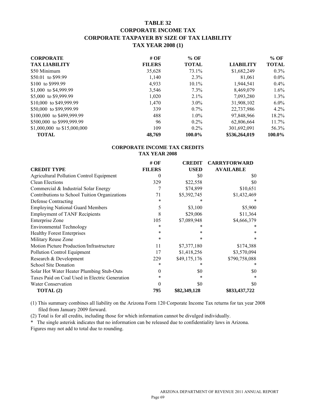## **TABLE 32 CORPORATE INCOME TAX CORPORATE TAXPAYER BY SIZE OF TAX LIABILITY TAX YEAR 2008 (1)**

| <b>CORPORATE</b>            | # OF          | $%$ OF       |                  | $\%$ OF      |
|-----------------------------|---------------|--------------|------------------|--------------|
| <b>TAX LIABILITY</b>        | <b>FILERS</b> | <b>TOTAL</b> | <b>LIABILITY</b> | <b>TOTAL</b> |
| \$50 Minimum                | 35,628        | 73.1%        | \$1,682,249      | $0.3\%$      |
| \$50.01 to \$99.99          | 1,140         | 2.3%         | 81,061           | $0.0\%$      |
| \$100 to \$999.99           | 4,933         | $10.1\%$     | 1,944,541        | $0.4\%$      |
| \$1,000 to \$4,999.99       | 3,546         | $7.3\%$      | 8,469,079        | 1.6%         |
| \$5,000 to \$9,999.99       | 1,020         | $2.1\%$      | 7,093,280        | $1.3\%$      |
| \$10,000 to \$49,999.99     | 1,470         | $3.0\%$      | 31,908,102       | $6.0\%$      |
| \$50,000 to \$99,999.99     | 339           | $0.7\%$      | 22,737,986       | 4.2%         |
| \$100,000 to \$499,999.99   | 488           | $1.0\%$      | 97,848,966       | 18.2%        |
| \$500,000 to \$999,999.99   | 96            | $0.2\%$      | 62,806,664       | 11.7%        |
| \$1,000,000 to \$15,000,000 | 109           | $0.2\%$      | 301,692,091      | 56.3%        |
| <b>TOTAL</b>                | 48,769        | 100.0%       | \$536,264,019    | 100.0%       |

#### **CORPORATE INCOME TAX CREDITS TAX YEAR 2008**

|                                                 | # $OF$        | <b>CREDIT</b> | <b>CARRYFORWARD</b> |
|-------------------------------------------------|---------------|---------------|---------------------|
| <b>CREDIT TYPE</b>                              | <b>FILERS</b> | <b>USED</b>   | <b>AVAILABLE</b>    |
| <b>Agricultural Pollution Control Equipment</b> | 0             | \$0           | \$0                 |
| Clean Elections                                 | 329           | \$22,558      | \$0                 |
| Commercial & Industrial Solar Energy            | 7             | \$74,899      | \$10,651            |
| Contributions to School Tuition Organizations   | 71            | \$5,392,745   | \$1,432,469         |
| Defense Contracting                             | $\ast$        |               |                     |
| <b>Employing National Guard Members</b>         | 5             | \$3,100       | \$5,900             |
| <b>Employment of TANF Recipients</b>            | 8             | \$29,006      | \$11,364            |
| <b>Enterprise Zone</b>                          | 105           | \$7,089,948   | \$4,666,379         |
| <b>Environmental Technology</b>                 | $\ast$        |               |                     |
| <b>Healthy Forest Enterprises</b>               | $\ast$        | *             | *                   |
| Military Reuse Zone                             | $\ast$        | $\ast$        | $\ast$              |
| Motion Picture Production/Infrastructure        | 11            | \$7,377,180   | \$174,388           |
| Pollution Control Equipment                     | 17            | \$1,418,256   | \$3,570,094         |
| Research & Development                          | 229           | \$49,175,176  | \$790,758,088       |
| School Site Donation                            |               |               |                     |
| Solar Hot Water Heater Plumbing Stub-Outs       | 0             | \$0           | \$0                 |
| Taxes Paid on Coal Used in Electric Generation  | $\ast$        | *             | $\ast$              |
| Water Conservation                              | $\Omega$      | \$0           | \$0                 |
| TOTAL (2)                                       | 795           | \$82,349,128  | \$833,437,722       |

(1) This summary combines all liability on the Arizona Form 120 Corporate Income Tax returns for tax year 2008 filed from January 2009 forward.

(2) Total is for all credits, including those for which information cannot be divulged individually.

\* The single asterisk indicates that no information can be released due to confidentiality laws in Arizona. Figures may not add to total due to rounding.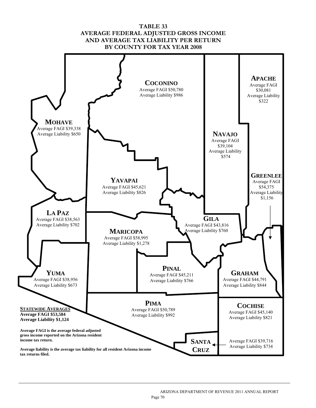## **TABLE 33 AVERAGE FEDERAL ADJUSTED GROSS INCOME AND AVERAGE TAX LIABILITY PER RETURN BY COUNTY FOR TAX YEAR 2008**



l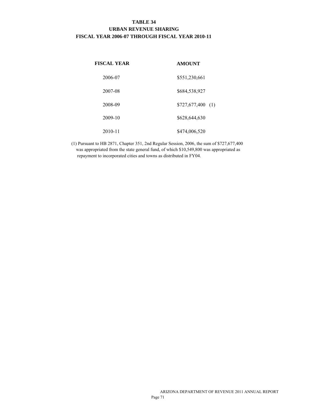## **TABLE 34 URBAN REVENUE SHARING FISCAL YEAR 2006-07 THROUGH FISCAL YEAR 2010-11**

| <b>FISCAL YEAR</b> | <b>AMOUNT</b>      |
|--------------------|--------------------|
| 2006-07            | \$551,230,661      |
| 2007-08            | \$684,538,927      |
| 2008-09            | $$727,677,400$ (1) |
| 2009-10            | \$628,644,630      |
| 2010-11            | \$474,006,520      |

(1) Pursuant to HB 2871, Chapter 351, 2nd Regular Session, 2006, the sum of \$727,677,400 was appropriated from the state general fund, of which \$10,549,800 was appropriated as repayment to incorporated cities and towns as distributed in FY04.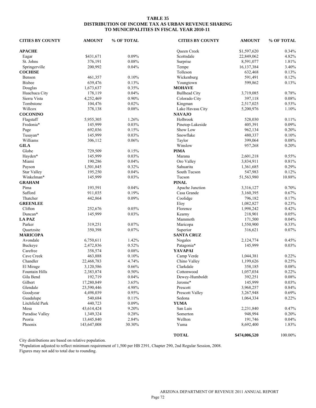#### **TABLE 35 DISTRIBUTION OF INCOME TAX AS URBAN REVENUE SHARING TO MUNICIPALITIES IN FISCAL YEAR 2010-11**

| <b>CITIES BY COUNTY</b> | <b>AMOUNT</b> | % OF TOTAL | <b>CITIES BY COUNTY</b> | <b>AMOUNT</b> | % OF TOTAL |
|-------------------------|---------------|------------|-------------------------|---------------|------------|
| <b>APACHE</b>           |               |            | Queen Creek             | \$1,597,620   | 0.34%      |
| Eagar                   | \$431,671     | 0.09%      | Scottsdale              | 22,849,062    | 4.82%      |
| St. Johns               | 376,191       | 0.08%      | Surprise                | 8,591,077     | 1.81%      |
| Springerville           | 200,992       | 0.04%      | Tempe                   | 16,137,384    | 3.40%      |
| <b>COCHISE</b>          |               |            | Tolleson                | 632,468       | 0.13%      |
| Benson                  | 461,357       | 0.10%      | Wickenburg              | 591,491       | 0.12%      |
| <b>Bisbee</b>           | 639,476       | 0.13%      | Youngtown               | 599,862       | 0.13%      |
| Douglas                 | 1,673,637     | 0.35%      | <b>MOHAVE</b>           |               |            |
| Huachuca City           | 178,119       | 0.04%      | <b>Bullhead City</b>    | 3,719,085     | 0.78%      |
| Sierra Vista            | 4,252,469     | 0.90%      | Colorado City           | 397,118       | 0.08%      |
| Tombstone               | 104,476       | 0.02%      |                         | 2,517,025     | 0.53%      |
| Willcox                 |               |            | Kingman                 |               |            |
|                         | 378,138       | 0.08%      | Lake Havasu City        | 5,200,976     | 1.10%      |
| <b>COCONINO</b>         |               |            | <b>NAVAJO</b>           |               |            |
| Flagstaff               | 5,955,305     | 1.26%      | Holbrook                | 528,030       | 0.11%      |
| Fredonia*               | 145,999       | 0.03%      | Pinetop-Lakeside        | 405,391       | 0.09%      |
| Page                    | 692,036       | 0.15%      | Show Low                | 962,134       | 0.20%      |
| Tusayan*                | 145,999       | 0.03%      | Snowflake               | 480,337       | 0.10%      |
| Williams                | 306,112       | 0.06%      | Taylor                  | 399,064       | 0.08%      |
| <b>GILA</b>             |               |            | Winslow                 | 957,268       | 0.20%      |
| Globe                   | 729,509       | 0.15%      | <b>PIMA</b>             |               |            |
| Hayden*                 | 145,999       | 0.03%      | Marana                  | 2,601,218     | 0.55%      |
| Miami                   | 190,286       | 0.04%      | Oro Valley              | 3,834,911     | 0.81%      |
| Payson                  | 1,501,845     | 0.32%      | Sahuarita               | 1,361,685     | 0.29%      |
| <b>Star Valley</b>      | 195,250       | 0.04%      | South Tucson            | 547,983       | 0.12%      |
| Winkelman*              | 145,999       | 0.03%      | Tucson                  | 51,563,980    | 10.88%     |
| <b>GRAHAM</b>           |               |            | <b>PINAL</b>            |               |            |
| Pima                    | 193,591       | 0.04%      | Apache Junction         | 3,316,127     | 0.70%      |
| Safford                 | 911,035       | 0.19%      | Casa Grande             | 3,160,395     | 0.67%      |
| Thatcher                | 442,864       | 0.09%      | Coolidge                | 796,182       | 0.17%      |
| <b>GREENLEE</b>         |               |            | Eloy                    | 1,082,827     | 0.23%      |
| Clifton                 | 252,676       | 0.05%      | Florence                | 1,998,242     | 0.42%      |
| Duncan*                 | 145,999       | 0.03%      | Kearny                  | 218,901       | 0.05%      |
| <b>LA PAZ</b>           |               |            | Mammoth                 | 171,500       | 0.04%      |
| Parker                  | 319,251       | 0.07%      | Maricopa                | 1,550,900     | 0.33%      |
| Quartzsite              | 350,398       | 0.07%      | Superior                | 316,621       | 0.07%      |
| <b>MARICOPA</b>         |               |            | <b>SANTA CRUZ</b>       |               |            |
| Avondale                | 6,750,611     | 1.42%      | Nogales                 | 2,124,774     | 0.45%      |
| Buckeye                 | 2,472,836     | 0.52%      | Patagonia*              | 145,999       | 0.03%      |
| Carefree                | 358,574       | 0.08%      | <b>YAVAPAI</b>          |               |            |
| Cave Creek              |               |            |                         |               |            |
|                         | 463,888       | 0.10%      | Camp Verde              | 1,044,381     | 0.22%      |
| Chandler                | 22,468,783    | 4.74%      | Chino Valley            | 1,199,626     | 0.25%      |
| El Mirage               | 3,120,586     | 0.66%      | Clarkdale               | 358,185       | 0.08%      |
| Fountain Hills          | 2,383,874     | 0.50%      | Cottonwood              | 1,057,034     | 0.22%      |
| Gila Bend               | 192,719       | 0.04%      | Dewey-Humboldt          | 392,251       | 0.08%      |
| Gilbert                 | 17,280,849    | 3.65%      | Jerome*                 | 145,999       | 0.03%      |
| Glendale                | 23,590,446    | 4.98%      | Prescott                | 3,968,257     | 0.84%      |
| Goodyear                | 4,498,039     | 0.95%      | Prescott Valley         | 3,267,948     | 0.69%      |
| Guadalupe               | 540,684       | 0.11%      | Sedona                  | 1,064,334     | 0.22%      |
| Litchfield Park         | 440,723       | 0.09%      | <b>YUMA</b>             |               |            |
| Mesa                    | 43,614,424    | 9.20%      | San Luis                | 2,231,840     | 0.47%      |
| Paradise Valley         | 1,349,324     | 0.28%      | Somerton                | 948,994       | 0.20%      |
| Peoria                  | 13,445,840    | 2.84%      | Wellton                 | 191,746       | 0.04%      |
| Phoenix                 | 143,647,008   | 30.30%     | Yuma                    | 8,692,400     | 1.83%      |
|                         |               |            | <b>TOTAL</b>            | \$474,006,520 | $100.00\%$ |

City distributions are based on relative population.

\*Population adjusted to reflect minimum requirement of 1,500 per HB 2391, Chapter 290, 2nd Regular Session, 2008.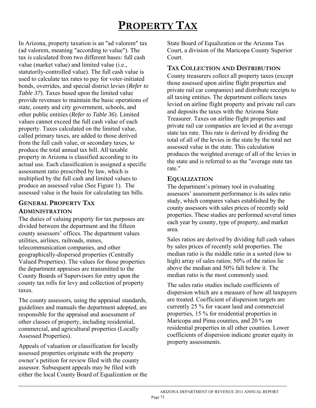# **PROPERTY TAX**

In Arizona, property taxation is an "ad valorem" tax (ad valorem, meaning "according to value"). The tax is calculated from two different bases: full cash value (market value) and limited value (i.e., statutorily-controlled value). The full cash value is used to calculate tax rates to pay for voter-initiated bonds, overrides, and special district levies (*Refer to Table 37*). Taxes based upon the limited value provide revenues to maintain the basic operations of state, county and city government, schools, and other public entities (*Refer to Table 36*). Limited values cannot exceed the full cash value of each property. Taxes calculated on the limited value, called primary taxes, are added to those derived from the full cash value, or secondary taxes, to produce the total annual tax bill. All taxable property in Arizona is classified according to its actual use. Each classification is assigned a specific assessment ratio prescribed by law, which is multiplied by the full cash and limited values to produce an assessed value (See Figure 1). The assessed value is the basis for calculating tax bills.

## **GENERAL PROPERTY TAX ADMINISTRATION**

The duties of valuing property for tax purposes are divided between the department and the fifteen county assessors' offices. The department values utilities, airlines, railroads, mines, telecommunication companies, and other geographically-dispersed properties (Centrally Valued Properties). The values for those properties the department appraises are transmitted to the County Boards of Supervisors for entry upon the county tax rolls for levy and collection of property taxes.

The county assessors, using the appraisal standards, guidelines and manuals the department adopted, are responsible for the appraisal and assessment of other classes of property, including residential, commercial, and agricultural properties (Locally Assessed Properties).

Appeals of valuation or classification for locally assessed properties originate with the property owner's petition for review filed with the county assessor. Subsequent appeals may be filed with either the local County Board of Equalization or the State Board of Equalization or the Arizona Tax Court, a division of the Maricopa County Superior Court.

## **TAX COLLECTION AND DISTRIBUTION**

County treasurers collect all property taxes (except those assessed upon airline flight properties and private rail car companies) and distribute receipts to all taxing entities. The department collects taxes levied on airline flight property and private rail cars and deposits the taxes with the Arizona State Treasurer. Taxes on airline flight properties and private rail car companies are levied at the average state tax rate. This rate is derived by dividing the total of all of the levies in the state by the total net assessed value in the state. This calculation produces the weighted average of all of the levies in the state and is referred to as the "average state tax rate<sup>"</sup>

## **EQUALIZATION**

The department's primary tool in evaluating assessors' assessment performance is its sales ratio study, which compares values established by the county assessors with sales prices of recently sold properties. These studies are performed several times each year by county, type of property, and market area.

Sales ratios are derived by dividing full cash values by sales prices of recently sold properties. The median ratio is the middle ratio in a sorted (low to high) array of sales ratios; 50% of the ratios lie above the median and 50% fall below it. The median ratio is the most commonly used.

The sales ratio studies include coefficients of dispersion which are a measure of how all taxpayers are treated. Coefficient of dispersion targets are currently 25 % for vacant land and commercial properties, 15 % for residential properties in Maricopa and Pima counties, and 20 % on residential properties in all other counties. Lower coefficients of dispersion indicate greater equity in property assessments.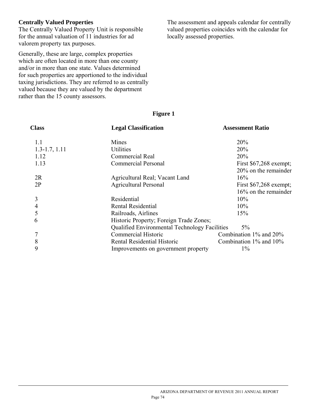## **Centrally Valued Properties**

The Centrally Valued Property Unit is responsible for the annual valuation of 11 industries for ad valorem property tax purposes.

Generally, these are large, complex properties which are often located in more than one county and/or in more than one state. Values determined for such properties are apportioned to the individual taxing jurisdictions. They are referred to as centrally valued because they are valued by the department rather than the 15 county assessors.

The assessment and appeals calendar for centrally valued properties coincides with the calendar for locally assessed properties.

## **Figure 1**

| <b>Class</b>      | <b>Legal Classification</b>                          |                              |
|-------------------|------------------------------------------------------|------------------------------|
| 1.1               | Mines                                                | 20%                          |
| $1.3 - 1.7, 1.11$ | <b>Utilities</b>                                     | 20%                          |
| 1.12              | Commercial Real                                      | 20%                          |
| 1.13              | <b>Commercial Personal</b>                           | First $$67,268$ exempt;      |
|                   |                                                      | $20\%$ on the remainder      |
| 2R                | Agricultural Real; Vacant Land                       | 16%                          |
| 2P                | <b>Agricultural Personal</b>                         | First $$67,268$ exempt;      |
|                   |                                                      | $16\%$ on the remainder      |
| 3                 | Residential                                          | 10%                          |
| 4                 | Rental Residential                                   | 10%                          |
| 5                 | Railroads, Airlines                                  | 15%                          |
| 6                 | Historic Property; Foreign Trade Zones;              |                              |
|                   | <b>Qualified Environmental Technology Facilities</b> | $5\%$                        |
| 7                 | Commercial Historic                                  | Combination $1\%$ and $20\%$ |
| 8                 | Rental Residential Historic                          | Combination $1\%$ and $10\%$ |
| 9                 | Improvements on government property                  | $1\%$                        |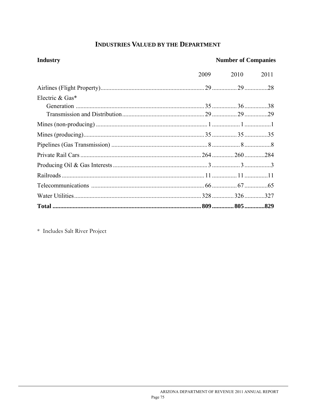## **INDUSTRIES VALUED BY THE DEPARTMENT**

| <b>Industry</b> | <b>Number of Companies</b> |      |      |  |  |
|-----------------|----------------------------|------|------|--|--|
|                 | 2009                       | 2010 | 2011 |  |  |
|                 |                            |      |      |  |  |
| Electric & Gas* |                            |      |      |  |  |
|                 |                            |      |      |  |  |
|                 |                            |      |      |  |  |
|                 |                            |      |      |  |  |
|                 |                            |      |      |  |  |
|                 |                            |      |      |  |  |
|                 |                            |      |      |  |  |
|                 |                            |      |      |  |  |
|                 |                            |      |      |  |  |
|                 |                            |      |      |  |  |
|                 |                            |      |      |  |  |
|                 |                            |      |      |  |  |

\* Includes Salt River Project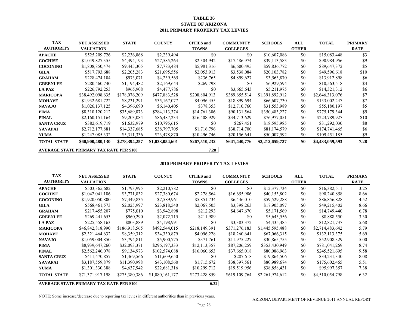#### **TABLE 36 STATE OF ARIZONA 2011 PRIMARY PROPERTY TAX LEVIES**

| <b>TAX</b>                                              | <b>NET ASSESSED</b> | <b>STATE</b>  | <b>COUNTY</b>   | <b>CITIES</b> and | <b>COMMUNITY</b> | <b>SCHOOLS</b>  | ALL          | <b>TOTAL</b>    | <b>PRIMARY</b> |
|---------------------------------------------------------|---------------------|---------------|-----------------|-------------------|------------------|-----------------|--------------|-----------------|----------------|
| <b>AUTHORITY</b>                                        | <b>VALUATION</b>    |               |                 | <b>TOWNS</b>      | <b>COLLEGES</b>  |                 | <b>OTHER</b> |                 | <b>RATE</b>    |
| <b>APACHE</b>                                           | \$525,209,726       | \$2,236,868   | \$2,239,494     | \$0               | \$0              | \$10,607,086    | \$0          | \$15,083,448    | \$3            |
| <b>COCHISE</b>                                          | \$1,049,827,355     | \$4,494,193   | \$27,585,264    | \$2,304,942       | \$17,486,974     | \$39,113,583    | \$0          | \$90,984,956    | \$9            |
| <b>COCONINO</b>                                         | \$1,808,850,474     | \$9,445,305   | \$7,783,484     | \$5,981,316       | \$6,600,495      | \$59,836,772    | \$0          | \$89,647,372    | \$5            |
| <b>GILA</b>                                             | \$517,793,688       | \$2,205,283   | \$21,695,556    | \$2,053,913       | \$3,538,084      | \$20,103,782    | \$0          | \$49,596,618    | \$10           |
| <b>GRAHAM</b>                                           | \$228,474,104       | \$973,071     | \$4,239,565     | \$236,765         | \$4,899,627      | \$3,563,870     | \$0          | \$13,912,898    | \$6            |
| <b>GREENLEE</b>                                         | \$280,460,740       | \$1,194,482   | \$2,169,644     | \$269,798         | \$0              | \$6,929,594     | \$0          | \$10,563,518    | \$4            |
| <b>LA PAZ</b>                                           | \$226,792,253       | \$965,908     | \$4,477,786     | \$0               | \$3,665,643      | \$5,211,975     | \$0          | \$14,321,312    | \$6            |
| <b>MARICOPA</b>                                         | \$38,492,098,635    | \$178,076,209 | \$477,883,528   | \$208,804,913     | \$389,655,514    | \$1,391,892,912 | \$0          | \$2,646,313,076 | \$7            |
| <b>MOHAVE</b>                                           | \$1,932,681,722     | \$8,231,291   | \$35,167,077    | \$4,096,455       | \$18,899,694     | \$66,607,730    | \$0          | \$133,002,247   | \$7            |
| <b>NAVAJO</b>                                           | \$1,026,137,125     | \$4,396,690   | \$6,140,405     | \$378,353         | \$12,710,760     | \$31,553,989    | \$0          | \$55,180,197    | \$5            |
| <b>PIMA</b>                                             | \$8,310,120,212     | \$35,689,873  | \$284,113,374   | \$14,761,306      | \$90,131,564     | \$350,483,227   | \$0          | \$775,179,344   | \$9            |
| <b>PINAL</b>                                            | \$2,160,151,164     | \$9,203,084   | \$86,487,234    | \$16,408,929      | \$34,713,629     | \$76,977,051    | \$0          | \$223,789,927   | \$10           |
| <b>SANTA CRUZ</b>                                       | \$382,619,719       | \$1,632,979   | \$10,795,615    | \$0               | \$267,451        | \$18,595,985    | \$0          | \$31,292,030    | \$8            |
| <b>YAVAPAI</b>                                          | \$2,712,177,881     | \$14,337,685  | \$38,797,705    | \$1,716,796       | \$38,714,700     | \$81,174,579    | \$0          | \$174,741,465   | \$6            |
| <b>YUMA</b>                                             | \$1,247,085,332     | \$5,311,336   | \$23,478,870    | \$10,496,746      | \$20,156,641     | \$50,007,592    | \$0          | \$109,451,185   | \$9            |
| <b>TOTAL STATE</b>                                      | \$60,900,480,130    | \$278,394,257 | \$1,033,054,601 | \$267,510,232     | \$641,440,776    | \$2,212,659,727 | \$0          | \$4,433,059,593 | 7.28           |
| 7.28<br><b>AVERAGE STATE PRIMARY TAX RATE PER \$100</b> |                     |               |                 |                   |                  |                 |              |                 |                |

#### **2010 PRIMARY PROPERTY TAX LEVIES**

| <b>TAX</b><br><b>AUTHORITY</b>                          | <b>NET ASSESSED</b><br><b>VALUATION</b> | <b>STATE</b>  | <b>COUNTY</b>   | <b>CITIES</b> and<br><b>TOWNS</b> | <b>COMMUNITY</b><br><b>COLLEGES</b> | <b>SCHOOLS</b>  | ALL<br><b>OTHER</b> | <b>TOTAL</b>    | <b>PRIMARY</b><br><b>RATE</b> |
|---------------------------------------------------------|-----------------------------------------|---------------|-----------------|-----------------------------------|-------------------------------------|-----------------|---------------------|-----------------|-------------------------------|
| <b>APACHE</b>                                           | \$503,365,682                           | \$1,793,995   | \$2,210,782     | \$0                               | \$0                                 | \$12,377,734    | $\$0$               | \$16,382,511    | 3.25                          |
| <b>COCHISE</b>                                          | \$1,042,041,186                         | \$3,771,832   | \$27,380,674    | \$2,278,564                       | \$16,655,986                        | \$40,153,802    | \$0                 | \$90,240,858    | 8.66                          |
| <b>COCONINO</b>                                         | \$1,920,050,800                         | \$7,449,835   | \$7,589,961     | \$5,851,734                       | \$6,436,010                         | \$59,529,288    | \$0                 | \$86,856,828    | 4.52                          |
| <b>GILA</b>                                             | \$568,461,573                           | \$2,025,997   | \$23,818,540    | \$2,067,505                       | \$3,398,263                         | \$17,905,097    | \$0                 | \$49,215,402    | 8.66                          |
| <b>GRAHAM</b>                                           | \$217,455,207                           | \$775,010     | \$3,942,898     | \$212,293                         | \$4,647,670                         | \$5,171,569     | \$0                 | \$14,749,440    | 6.78                          |
| <b>GREENLEE</b>                                         | \$269,441,653                           | \$960,290     | \$2,072,715     | \$211,989                         | \$0                                 | \$5,643,556     | \$0                 | \$8,888,550     | 3.30                          |
| <b>LA PAZ</b>                                           | \$225,558,163                           | \$803,889     | \$4,198,991     | \$0                               | \$3,383,372                         | \$4,435,485     | \$0                 | \$12,821,737    | 5.68                          |
| <b>MARICOPA</b>                                         | \$46,842,818,990                        | \$186,918,565 | \$492,544,015   | \$218,149,391                     | \$371,276,183                       | \$1,445,595,488 | \$0                 | \$2,714,483,642 | 5.79                          |
| <b>MOHAVE</b>                                           | \$2,321,464,632                         | \$8,359,312   | \$34,330,879    | \$4,096,228                       | \$18,260,641                        | \$67,066,315    | \$0                 | \$132,113,375   | 5.69                          |
| <b>NAVAJO</b>                                           | \$1,059,004,850                         | \$3,794,811   | \$5,900,775     | \$371,761                         | \$11,975,227                        | \$30,865,755    | \$0                 | \$52,908,329    | 5.00                          |
| <b>PIMA</b>                                             | \$8,939,647,260                         | \$32,093,371  | \$296,197,333   | \$12,113,357                      | \$87,206,259                        | \$353,430,949   | \$0                 | \$781,041,269   | 8.74                          |
| <b>PINAL</b>                                            | \$2,562,246,078                         | \$9,134,973   | \$102,574,088   | \$16,060,653                      | \$37,665,018                        | \$80,086,963    | \$0                 | \$245,521,695   | 9.58                          |
| <b>SANTA CRUZ</b>                                       | \$411,470,857                           | \$1,469,566   | \$11,609,650    | \$0                               | \$287,618                           | \$19,864,506    | \$0                 | \$33,231,340    | 8.08                          |
| <b>YAVAPAI</b>                                          | \$3,187,559,879                         | \$11,390,998  | \$43,108,560    | \$1,715,672                       | \$38,397,561                        | \$80,989,674    | \$0                 | \$175,602,465   | 5.51                          |
| <b>YUMA</b>                                             | \$1,301,330,388                         | \$4,637,942   | \$22,681,316    | \$10,299,712                      | \$19,519,956                        | \$38,858,431    | \$0                 | \$95,997,357    | 7.38                          |
| <b>TOTAL STATE</b>                                      | \$71,371,917,198                        | \$275,380,386 | \$1,080,161,177 | \$273,428,859                     | \$619,109,764                       | \$2,261,974,612 | \$0                 | \$4,510,054,798 | 6.32                          |
| <b>AVERAGE STATE PRIMARY TAX RATE PER \$100</b><br>6.32 |                                         |               |                 |                                   |                                     |                 |                     |                 |                               |

NOTE: Some increase/decrease due to reporting tax levies in different authorities than in previous years.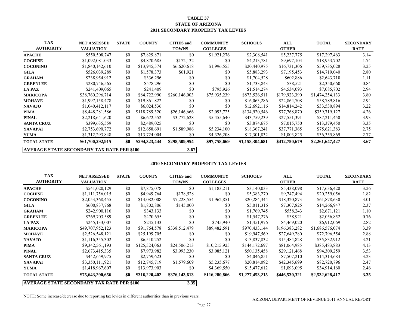#### **TABLE 37 STATE OF ARIZONA 2011 SECONDARY PROPERTY TAX LEVIES**

| <b>TAX</b>                                          | <b>NET ASSESSED</b> | <b>STATE</b> | <b>COUNTY</b> | <b>CITIES</b> and | <b>COMMUNITY</b> | <b>SCHOOLS</b>  | ALL           | <b>TOTAL</b>    | <b>SECONDARY</b> |
|-----------------------------------------------------|---------------------|--------------|---------------|-------------------|------------------|-----------------|---------------|-----------------|------------------|
| <b>AUTHORITY</b>                                    | <b>VALUATION</b>    |              |               | <b>TOWNS</b>      | <b>COLLEGES</b>  |                 | <b>OTHER</b>  |                 | <b>RATE</b>      |
| <b>APACHE</b>                                       | \$550,508,747       | \$0          | \$7,829,871   | \$0               | \$1,921,276      | \$2,308,541     | \$5,237,775   | \$17,297,463    | 3.14             |
| <b>COCHISE</b>                                      | \$1,092,081,033     | \$0          | \$4,870,685   | \$172,132         | \$0              | \$4,213,781     | \$9,697,104   | \$18,953,702    | 1.74             |
| <b>COCONINO</b>                                     | \$1,840,142,610     | \$0          | \$13,945,574  | \$6,620,618       | \$1,996,555      | \$20,440,975    | \$16,731,306  | \$59,735,028    | 3.25             |
| <b>GILA</b>                                         | \$526,039,289       | \$0          | \$1,578,373   | \$61,921          | \$0              | \$5,883,293     | \$7,195,453   | \$14,719,040    | 2.80             |
| <b>GRAHAM</b>                                       | \$238,954,912       | \$0          | \$336,296     | \$0               | \$0              | \$1,704,528     | \$602,886     | \$2,643,710     | 1.11             |
| <b>GREENLEE</b>                                     | \$280,746,565       | \$0          | \$578,296     | \$0               | \$0              | \$1,733,843     | \$38,521      | \$2,350,660     | 0.84             |
| <b>LA PAZ</b>                                       | \$241,409,065       | \$0          | \$241,409     | \$0               | \$795,926        | \$1,514,274     | \$4,534,093   | \$7,085,702     | 2.94             |
| <b>MARICOPA</b>                                     | \$38,760,296,714    | \$0          | \$84,722,990  | \$260,146,003     | \$75,935,239     | \$873,526,511   | \$179,923,390 | \$1,474,254,133 | 3.80             |
| <b>MOHAVE</b>                                       | \$1,997,158,478     | \$0          | \$19,861,822  | \$0               | \$0              | \$16,063,286    | \$22,864,708  | \$58,789,816    | 2.94             |
| <b>NAVAJO</b>                                       | \$1,040,412,117     | \$0          | \$6,024,536   | \$0               | \$0              | \$12,692,116    | \$14,814,242  | \$33,530,894    | 3.22             |
| <b>PIMA</b>                                         | \$8,448,281,586     | \$0          | \$118,789,320 | \$26,146,666      | \$2,093,725      | \$134,920,546   | \$77,768,870  | \$359,719,127   | 4.26             |
| <b>PINAL</b>                                        | \$2,218,641,620     | \$0          | \$6,672,552   | \$3,772,628       | \$5,455,640      | \$43,759,239    | \$27,551,391  | \$87,211,450    | 3.93             |
| <b>SANTA CRUZ</b>                                   | \$399,635,559       | \$0          | \$2,489,025   | \$0               | \$0              | \$3,874,675     | \$7,015,750   | \$13,379,450    | 3.35             |
| YAVAPAI                                             | \$2,753,690,772     | \$0          | \$12,658,691  | \$1,589,986       | \$5,234,100      | \$18,367,241    | \$37,771,365  | \$75,621,383    | 2.75             |
| <b>YUMA</b>                                         | \$1,312,293,848     | \$0          | \$13,724,004  | \$0               | \$4,326,208      | \$17,301,832    | \$1,003,825   | \$36,355,869    | 2.77             |
| <b>TOTAL STATE</b>                                  | \$61,700,292,915    | \$0          | \$294,323,444 | \$298,509,954     | \$97,758,669     | \$1,158,304,681 | \$412,750,679 | \$2,261,647,427 | 3.67             |
| 3.67<br> AVERAGE STATE SECONDARY TAX RATE PER \$100 |                     |              |               |                   |                  |                 |               |                 |                  |

#### **2010 SECONDARY PROPERTY TAX LEVIES**

| <b>TAX</b><br><b>AUTHORITY</b>                            | <b>NET ASSESSED</b><br><b>VALUATION</b> | <b>STATE</b> | <b>COUNTY</b> | <b>CITIES</b> and<br><b>TOWNS</b> | <b>COMMUNITY</b><br><b>COLLEGES</b> | <b>SCHOOLS</b>  | ALL<br><b>OTHER</b> | <b>TOTAL</b>    | <b>SECONDARY</b><br><b>RATE</b> |
|-----------------------------------------------------------|-----------------------------------------|--------------|---------------|-----------------------------------|-------------------------------------|-----------------|---------------------|-----------------|---------------------------------|
| <b>APACHE</b>                                             | \$541,020,129                           | \$0          | \$7,875,078   | \$0                               | \$1,183,211                         | \$3,140,033     | \$5,438,098         | \$17,636,420    | 3.26                            |
| <b>COCHISE</b>                                            | \$1,111,756,015                         | \$0          | \$4,949,764   | \$178,528                         | \$0                                 | \$5,383,270     | \$9,747,494         | \$20,259,056    | 1.82                            |
| <b>COCONINO</b>                                           | \$2,053,368,455                         | \$0          | \$14,082,008  | \$7,228,554                       | \$1,962,851                         | \$20,284,344    | \$18,320,873        | \$61,878,630    | 3.01                            |
| <b>GILA</b>                                               | \$600,837,768                           | \$0          | \$1,802,806   | \$145,000                         | \$0                                 | \$5,011,316     | \$7,307,825         | \$14,266,947    | 2.37                            |
| <b>GRAHAM</b>                                             | \$242,900,116                           | \$0          | \$343,133     | \$0                               | \$0                                 | \$1,769,745     | \$558,243           | \$2,671,121     | 1.10                            |
| <b>GREENLEE</b>                                           | \$269,703,589                           | \$0          | \$470,655     | \$0                               | \$0                                 | \$1,547,276     | \$38,921            | \$2,056,852     | 0.76                            |
| <b>LA PAZ</b>                                             | \$245,133,007                           | \$0          | \$245,133     | \$0                               | \$745,940                           | \$1,451,976     | \$4,469,020         | \$6,912,069     | 2.82                            |
| <b>MARICOPA</b>                                           | \$49,707,952,123                        | \$0          | \$91,764,578  | \$338,512,479                     | \$89,482,591                        | \$970,433,144   | \$196,383,282       | \$1,686,576,074 | 3.39                            |
| <b>MOHAVE</b>                                             | \$2,526,548,121                         | \$0          | \$25,199,705  | \$0                               | \$0                                 | \$19,947,569    | \$27,649,280        | \$72,796,554    | 2.88                            |
| <b>NAVAJO</b>                                             | \$1,116,355,302                         | \$0          | \$6,510,252   | \$0                               | \$0                                 | \$13,837,832    | \$15,484,828        | \$35,832,912    | 3.21                            |
| <b>PIMA</b>                                               | \$9,342,561,193                         | \$0          | \$125,524,063 | \$24,506,213                      | \$10,215,925                        | \$144,172,697   | \$81,064,985        | \$385,483,883   | 4.13                            |
| <b>PINAL</b>                                              | \$2,673,415,335                         | \$0          | \$7,973,982   | \$3,993,230                       | \$3,085,121                         | \$50,135,458    | \$29,121,468        | \$94,309,259    | 3.53                            |
| <b>SANTA CRUZ</b>                                         | \$442,659,975                           | \$0          | \$2,759,623   | \$0                               | \$0                                 | \$4,046,851     | \$7,507,210         | \$14,313,684    | 3.23                            |
| <b>YAVAPAI</b>                                            | \$3,350,111,921                         | \$0          | \$12,745,719  | \$1,579,609                       | \$5,235,677                         | \$20,814,092    | \$42,345,699        | \$82,720,796    | 2.47                            |
| <b>YUMA</b>                                               | \$1,418,967,607                         | \$0          | \$13,973,903  | \$0                               | \$4,369,550                         | \$15,477,612    | \$1,093,095         | \$34,914,160    | 2.46                            |
| <b>TOTAL STATE</b>                                        | \$75,643,290,656                        | \$0          | \$316,220,402 | \$376,143,613                     | \$116,280,866                       | \$1,277,453,215 | \$446,530,321       | \$2,532,628,417 | 3.35                            |
| 3.35<br><b>AVERAGE STATE SECONDARY TAX RATE PER \$100</b> |                                         |              |               |                                   |                                     |                 |                     |                 |                                 |

NOTE: Some increase/decrease due to reporting tax levies in different authorities than in previous years.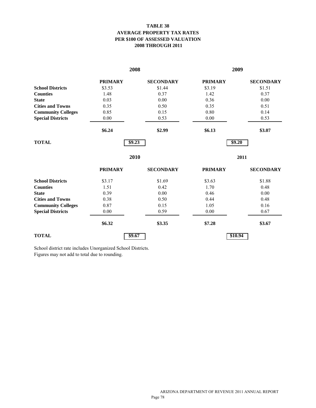### **TABLE 38 AVERAGE PROPERTY TAX RATES PER \$100 OF ASSESSED VALUATION 2008 THROUGH 2011**

|                           |                | 2008             | 2009           |                  |  |  |
|---------------------------|----------------|------------------|----------------|------------------|--|--|
|                           | <b>PRIMARY</b> | <b>SECONDARY</b> | <b>PRIMARY</b> | <b>SECONDARY</b> |  |  |
| <b>School Districts</b>   | \$3.53         | \$1.44           | \$3.19         | \$1.51           |  |  |
| <b>Counties</b>           | 1.48           | 0.37             | 1.42           | 0.37             |  |  |
| <b>State</b>              | 0.03           | 0.00             | 0.36           | 0.00             |  |  |
| <b>Cities and Towns</b>   | 0.35           | 0.50             | 0.35           | 0.51             |  |  |
| <b>Community Colleges</b> | 0.85           | 0.15             | 0.80           | 0.14             |  |  |
| <b>Special Districts</b>  | 0.00           | 0.53             | 0.00           | 0.53             |  |  |
|                           | \$6.24         | \$2.99           | \$6.13         | \$3.07           |  |  |
| <b>TOTAL</b>              | \$9.23         |                  |                | \$9.20           |  |  |
|                           |                | 2010             |                | 2011             |  |  |
|                           | <b>PRIMARY</b> | <b>SECONDARY</b> | <b>PRIMARY</b> | <b>SECONDARY</b> |  |  |
| <b>School Districts</b>   | \$3.17         | \$1.69           | \$3.63         | \$1.88           |  |  |
| <b>Counties</b>           | 1.51           | 0.42             | 1.70           | 0.48             |  |  |
| <b>State</b>              | 0.39           | 0.00             | 0.46           | 0.00             |  |  |
| <b>Cities and Towns</b>   | 0.38           | 0.50             | 0.44           | 0.48             |  |  |
| <b>Community Colleges</b> | 0.87           | 0.15             | 1.05           | 0.16             |  |  |
| <b>Special Districts</b>  | 0.00           | 0.59             | 0.00           | 0.67             |  |  |
|                           | \$6.32         | \$3.35           | \$7.28         | \$3.67           |  |  |
| <b>TOTAL</b>              | \$9.67         |                  | \$10.94        |                  |  |  |

School district rate includes Unorganized School Districts. Figures may not add to total due to rounding.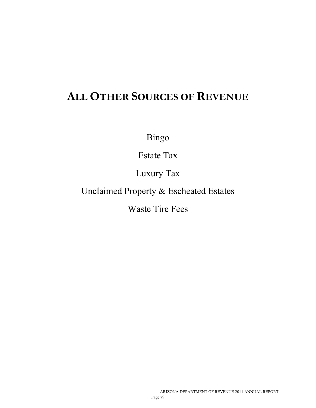# **ALL OTHER SOURCES OF REVENUE**

Bingo

Estate Tax

Luxury Tax

Unclaimed Property & Escheated Estates

Waste Tire Fees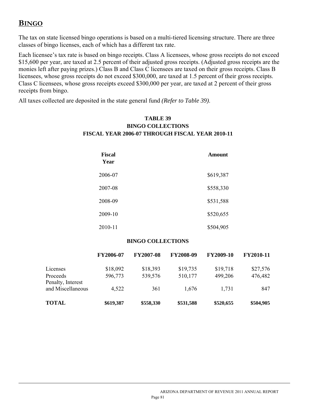# **BINGO**

l

The tax on state licensed bingo operations is based on a multi-tiered licensing structure. There are three classes of bingo licenses, each of which has a different tax rate.

Each licensee's tax rate is based on bingo receipts. Class A licensees, whose gross receipts do not exceed \$15,600 per year, are taxed at 2.5 percent of their adjusted gross receipts. (Adjusted gross receipts are the monies left after paying prizes.) Class B and Class C licensees are taxed on their gross receipts. Class B licensees, whose gross receipts do not exceed \$300,000, are taxed at 1.5 percent of their gross receipts. Class C licensees, whose gross receipts exceed \$300,000 per year, are taxed at 2 percent of their gross receipts from bingo.

> **TABLE 39 BINGO COLLECTIONS FISCAL YEAR 2006-07 THROUGH FISCAL YEAR 2010-11**

All taxes collected are deposited in the state general fund *(Refer to Table 39)*.

# **Fiscal** Amount  **Year**  2006-07 \$619,387 2007-08 \$558,330 2008-09 \$531,588 2009-10 \$520,655 2010-11 \$504,905

### **BINGO COLLECTIONS**

|                               | FY2006-07 | <b>FY2007-08</b> | <b>FY2008-09</b> | <b>FY2009-10</b> | <b>FY2010-11</b> |
|-------------------------------|-----------|------------------|------------------|------------------|------------------|
| Licenses                      | \$18,092  | \$18,393         | \$19,735         | \$19,718         | \$27,576         |
| Proceeds<br>Penalty, Interest | 596,773   | 539,576          | 510,177          | 499,206          | 476,482          |
| and Miscellaneous             | 4,522     | 361              | 1,676            | 1,731            | 847              |
| <b>TOTAL</b>                  | \$619,387 | \$558,330        | \$531,588        | \$520,655        | \$504,905        |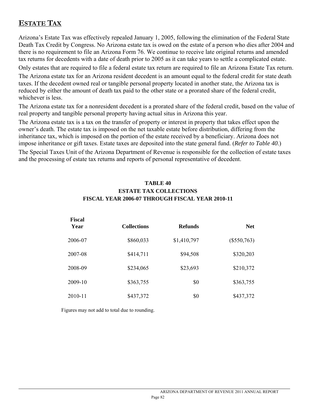# **ESTATE TAX**

 $\overline{a}$ 

Arizona's Estate Tax was effectively repealed January 1, 2005, following the elimination of the Federal State Death Tax Credit by Congress. No Arizona estate tax is owed on the estate of a person who dies after 2004 and there is no requirement to file an Arizona Form 76. We continue to receive late original returns and amended tax returns for decedents with a date of death prior to 2005 as it can take years to settle a complicated estate.

Only estates that are required to file a federal estate tax return are required to file an Arizona Estate Tax return.

The Arizona estate tax for an Arizona resident decedent is an amount equal to the federal credit for state death taxes. If the decedent owned real or tangible personal property located in another state, the Arizona tax is reduced by either the amount of death tax paid to the other state or a prorated share of the federal credit, whichever is less.

The Arizona estate tax for a nonresident decedent is a prorated share of the federal credit, based on the value of real property and tangible personal property having actual situs in Arizona this year.

The Arizona estate tax is a tax on the transfer of property or interest in property that takes effect upon the owner's death. The estate tax is imposed on the net taxable estate before distribution, differing from the inheritance tax, which is imposed on the portion of the estate received by a beneficiary. Arizona does not impose inheritance or gift taxes. Estate taxes are deposited into the state general fund. (*Refer to Table 40*.)

The Special Taxes Unit of the Arizona Department of Revenue is responsible for the collection of estate taxes and the processing of estate tax returns and reports of personal representative of decedent.

### **TABLE 40 ESTATE TAX COLLECTIONS FISCAL YEAR 2006-07 THROUGH FISCAL YEAR 2010-11**

| <b>Fiscal</b><br>Year | <b>Collections</b> | <b>Refunds</b> | <b>Net</b>    |
|-----------------------|--------------------|----------------|---------------|
| 2006-07               | \$860,033          | \$1,410,797    | $(\$550,763)$ |
| 2007-08               | \$414,711          | \$94,508       | \$320,203     |
| 2008-09               | \$234,065          | \$23,693       | \$210,372     |
| 2009-10               | \$363,755          | \$0            | \$363,755     |
| 2010-11               | \$437,372          | \$0            | \$437,372     |

Figures may not add to total due to rounding.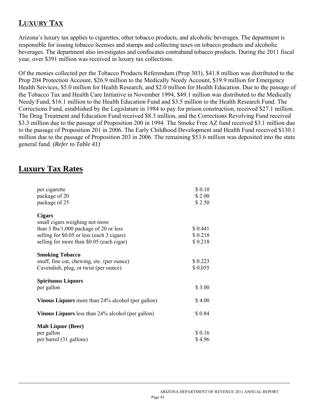# **LUXURY TAX**

Arizona's luxury tax applies to cigarettes, other tobacco products, and alcoholic beverages. The department is responsible for issuing tobacco licenses and stamps and collecting taxes on tobacco products and alcoholic beverages. The department also investigates and confiscates contraband tobacco products. During the 2011 fiscal year, over \$391 million was received in luxury tax collections.

Of the monies collected per the Tobacco Products Referendum (Prop 303), \$41.8 million was distributed to the Prop 204 Protection Account, \$26.9 million to the Medically Needy Account, \$19.9 million for Emergency Health Services, \$5.0 million for Health Research, and \$2.0 million for Health Education. Due to the passage of the Tobacco Tax and Health Care Initiative in November 1994, \$49.1 million was distributed to the Medically Needy Fund, \$16.1 million to the Health Education Fund and \$3.5 million to the Health Research Fund. The Corrections Fund, established by the Legislature in 1984 to pay for prison construction, received \$27.1 million. The Drug Treatment and Education Fund received \$8.3 million, and the Corrections Revolving Fund received \$3.3 million due to the passage of Proposition 200 in 1994. The Smoke Free AZ fund received \$3.1 million due to the passage of Proposition 201 in 2006. The Early Childhood Development and Health Fund received \$130.1 million due to the passage of Proposition 203 in 2006. The remaining \$53.6 million was deposited into the state general fund. *(Refer to Table 41)*

# **Luxury Tax Rates**

l

| per cigarette                                                                                                                                                                                                   | \$0.10                        |
|-----------------------------------------------------------------------------------------------------------------------------------------------------------------------------------------------------------------|-------------------------------|
| package of 20                                                                                                                                                                                                   | \$2.00                        |
| package of 25                                                                                                                                                                                                   | \$2.50                        |
| <b>Cigars</b><br>small cigars weighing not more<br>than $3 \text{ lbs}/1,000 \text{ package of } 20 \text{ or less}$<br>selling for \$0.05 or less (each 3 cigars)<br>selling for more than \$0.05 (each cigar) | \$0.441<br>\$0.218<br>\$0.218 |
| <b>Smoking Tobacco</b><br>snuff, fine cut, chewing, etc. (per ounce)<br>Cavendish, plug, or twist (per ounce)                                                                                                   | \$0.223<br>\$0.055            |
| <b>Spirituous Liquors</b><br>per gallon                                                                                                                                                                         | \$3.00                        |
| <b>Vinous Liquors</b> more than 24% alcohol (per gallon)                                                                                                                                                        | \$4.00                        |
| <b>Vinous Liquors</b> less than 24% alcohol (per gallon)                                                                                                                                                        | \$0.84                        |
| <b>Malt Liquor (Beer)</b>                                                                                                                                                                                       |                               |
| per gallon                                                                                                                                                                                                      | \$0.16                        |
| per barrel (31 gallons)                                                                                                                                                                                         | \$4.96                        |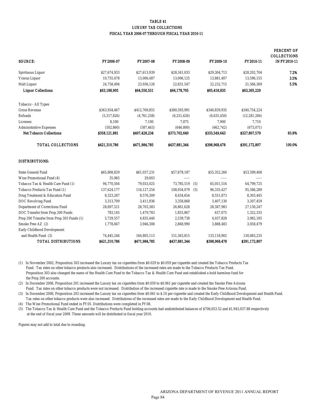#### TABLE 41 LUXURY TAX COLLECTIONS FISCAL YEAR 2006-07 THROUGH FISCAL YEAR 2010-11

| SOURCE:                                   | FY2006-07     | FY2007-08     | FY2008-09     |     | FY2009-10     | FY2010-11      | <b>PERCENT OF</b><br><b>COLLECTIONS</b><br><b>IN FY2010-11</b> |
|-------------------------------------------|---------------|---------------|---------------|-----|---------------|----------------|----------------------------------------------------------------|
| <b>Spirituous Liquor</b>                  | \$27,674,933  | \$27,613,939  | \$28,341,033  |     | \$29,304,713  | \$28,202,704   | 7.2%                                                           |
| <b>Vinous Liquor</b>                      | 10,755,478    | 13,006,487    | 13,006,125    |     | 13,881,407    | 13,596,155     | 3.5%                                                           |
| <b>Malt Liquor</b>                        | 24,758,494    | 23,936,126    | 22,831,547    |     | 22,232,715    | 21,566,369     | 5.5%                                                           |
| <b>Liquor Collections</b>                 | \$63,188,905  | \$64,556,551  | \$64,178,705  |     | \$65,418,835  | \$63,365,229   |                                                                |
| <b>Tobacco - All Types</b>                |               |               |               |     |               |                |                                                                |
| <b>Gross Revenue</b>                      | \$363,934,467 | \$412,769,855 | \$380,593,991 |     | \$340,839,935 | \$340,754,224  |                                                                |
| Refunds                                   | (5,317,826)   | (4,761,258)   | (6, 251, 626) |     | (6,635,450)   | (12, 281, 284) |                                                                |
| Licenses                                  | 8,100         | 7,100         | 7,075         |     | 7,900         | 7,710          |                                                                |
| <b>Administrative Expenses</b>            | (502, 860)    | (587, 463)    | (646, 800)    |     | (662, 742)    | (673,071)      |                                                                |
| <b>Net Tobacco Collections</b>            | \$358,121,881 | \$407,428,234 | \$373,702,640 |     | \$333,549,643 | \$327,807,579  | 83.8%                                                          |
| <b>TOTAL COLLECTIONS</b>                  | \$421,310,786 | \$471,984,785 | \$437,881,344 |     | \$398,968,478 | \$391,172,807  | 100.0%                                                         |
| <b>DISTRIBUTIONS:</b>                     |               |               |               |     |               |                |                                                                |
| <b>State General Fund</b>                 | \$65.808.829  | \$61,037,231  | \$57,878,187  |     | \$55,352,260  | \$53,599,408   |                                                                |
| Wine Promotional Fund (4)                 | 35,965        | 29,003        |               |     |               | -----          |                                                                |
| Tobacco Tax & Health Care Fund (1)        | 94,770,504    | 79,033,025    | 73,785,519    | (5) | 65,051,516    | 64,799,725     |                                                                |
| <b>Tobacco Products Tax Fund (1)</b>      | 137,624,177   | 116, 127, 254 | 108,934,079   | (5) | 96,335,427    | 95,586,289     |                                                                |
| Drug Treatment & Education Fund           | 8,323,287     | 8,576,309     | 8,434,654     |     | 8,551,873     | 8,303,445      |                                                                |
| <b>DOC Revolving Fund</b>                 | 3,313,709     | 3,411,936     | 3,358,868     |     | 3,407,130     | 3,307,459      |                                                                |
| <b>Department of Corrections Fund</b>     | 28,697,521    | 28,703,383    | 26,861,628    |     | 28,587,983    | 27,130,247     |                                                                |
| DOC Transfer from Prop 200 Funds          | 783,145       | 1,479,783     | 1,855,867     |     | 637,075       | 1,322,335      |                                                                |
| Prop 200 Transfer from Prop 303 Funds (1) | 5,729,557     | 4,835,440     | 2,539,738     |     | 4,037,828     | 3,982,185      |                                                                |
| Smoke Free AZ (2)                         | 1,778,847     | 3,946,308     | 2,868,990     |     | 3,888,483     | 3,058,479      |                                                                |
| <b>Early Childhood Development</b>        |               |               |               |     |               |                |                                                                |
| and Health Fund (3)                       | 74,445,246    | 164,805,113   | 151,363,815   |     | 133,118,902   | 130,083,235    |                                                                |
| <b>TOTAL DISTRIBUTIONS</b>                | S421.310.786  | \$471.984.785 | \$437.881.344 |     | \$398,968,478 | \$391.172.807  |                                                                |

(1) In November 2002, Proposition 303 increased the Luxury tax on cigarettes from \$0.029 to \$0.059 per cigarette and created the Tobacco Products Tax Fund. Tax rates on other tobacco products also increased. Distributions of the increased rates are made to the Tobacco Products Tax Fund. Proposition 303 also changed the name of the Health Care Fund to the Tobacco Tax & Health Care Fund and established a hold harmless fund for the Prop 200 accounts.

(2) In December 2006, Proposition 201 increased the Luxury tax on cigarettes from \$0.059 to \$0.061 per cigarette and created the Smoke Free Arizona Fund. Tax rates on other tobacco products were not increased. Distribution of the increased cigarette rate is made to the Smoke Free Arizona Fund.

(3) In December 2006, Proposition 203 increased the Luxury tax on cigarettes from \$0.061 to \$.10 per cigarette and created the Early Childhood Development and Health Fund. Tax rates on other tobacco products were also increased. Distributions of the increased rates are made to the Early Childhood Development and Health Fund.

(4) The Wine Promotional Fund ended in FY05. Distributions were completed in FY08.

(5) The Tobacco Tax & Health Care Fund and the Tobacco Products Fund holding accounts had undistributed balances of \$706,653.52 and \$1,943,037.88 respectively at the end of fiscal year 2009. These amounts will be distributed in fiscal year 2010.

Figures may not add to total due to rounding.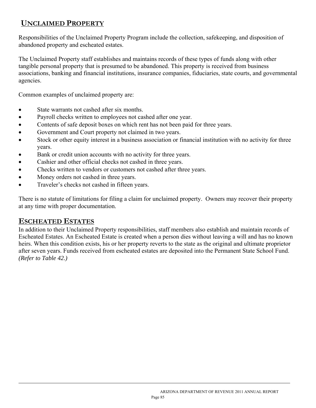# **UNCLAIMED PROPERTY**

Responsibilities of the Unclaimed Property Program include the collection, safekeeping, and disposition of abandoned property and escheated estates.

The Unclaimed Property staff establishes and maintains records of these types of funds along with other tangible personal property that is presumed to be abandoned. This property is received from business associations, banking and financial institutions, insurance companies, fiduciaries, state courts, and governmental agencies.

Common examples of unclaimed property are:

- State warrants not cashed after six months.
- Payroll checks written to employees not cashed after one year.
- Contents of safe deposit boxes on which rent has not been paid for three years.
- Government and Court property not claimed in two years.
- Stock or other equity interest in a business association or financial institution with no activity for three years.
- Bank or credit union accounts with no activity for three years.
- Cashier and other official checks not cashed in three years.
- Checks written to vendors or customers not cashed after three years.
- Money orders not cashed in three years.
- Traveler's checks not cashed in fifteen years.

There is no statute of limitations for filing a claim for unclaimed property. Owners may recover their property at any time with proper documentation.

## **ESCHEATED ESTATES**

l

In addition to their Unclaimed Property responsibilities, staff members also establish and maintain records of Escheated Estates. An Escheated Estate is created when a person dies without leaving a will and has no known heirs. When this condition exists, his or her property reverts to the state as the original and ultimate proprietor after seven years. Funds received from escheated estates are deposited into the Permanent State School Fund. *(Refer to Table 42.)*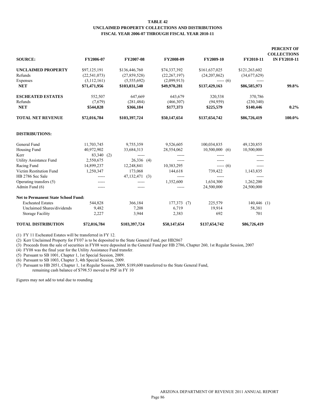#### **TABLE 42 UNCLAIMED PROPERTY COLLECTIONS AND DISTRIBUTIONS FISCAL YEAR 2006-07 THROUGH FISCAL YEAR 2010-11**

| <b>SOURCE:</b>                             | FY2006-07      | FY2007-08      | FY2008-09      | FY2009-10        | FY2010-11     | <b>PERCENT OF</b><br><b>COLLECTIONS</b><br><b>IN FY2010-11</b> |
|--------------------------------------------|----------------|----------------|----------------|------------------|---------------|----------------------------------------------------------------|
|                                            |                |                |                |                  |               |                                                                |
| <b>UNCLAIMED PROPERTY</b>                  | \$97,125,191   | \$136,446,760  | \$74,337,392   | \$161,637,025    | \$121,263,602 |                                                                |
| Refunds                                    | (22, 541, 073) | (27,859,528)   | (22, 267, 197) | (24,207,862)     | (34,677,629)  |                                                                |
| Expenses                                   | (3,112,161)    | (5,555,692)    | (2,099,913)    | $--- (6)$        | $- - - - -$   |                                                                |
| <b>NET</b>                                 | \$71,471,956   | \$103,031,540  | \$49,970,281   | \$137,429,163    | \$86,585,973  | 99.8%                                                          |
| <b>ESCHEATED ESTATES</b>                   | 552,507        | 647,669        | 643,679        | 320,538          | 370,786       |                                                                |
| Refunds                                    | (7,679)        | (281, 484)     | (466,307)      | (94, 959)        | (230, 340)    |                                                                |
| <b>NET</b>                                 | \$544,828      | \$366,184      | \$177,373      | \$225,579        | \$140,446     | 0.2%                                                           |
| <b>TOTAL NET REVENUE</b>                   | \$72,016,784   | \$103,397,724  | \$50,147,654   | \$137,654,742    | \$86,726,419  | 100.0%                                                         |
| <b>DISTRIBUTIONS:</b>                      |                |                |                |                  |               |                                                                |
| General Fund                               | 11,703,745     | 9,755,359      | 9,526,605      | 100,034,835      | 49,120,855    |                                                                |
| Housing Fund                               | 40,972,902     | 33,684,313     | 28,554,062     | $10,500,000$ (6) | 10,500,000    |                                                                |
| Kerr                                       | 83,340 (2)     | -----          |                | $\cdots$         | -----         |                                                                |
| <b>Utility Assistance Fund</b>             | 2,550,675      | $26,336$ (4)   |                |                  |               |                                                                |
| Racing Fund                                | 14,899,237     | 12,248,841     | 10,383,295     | $--- (6)$        | $- - - - -$   |                                                                |
| Victim Restitution Fund                    | 1,250,347      | 173,068        | 144,618        | 739,422          | 1,143,835     |                                                                |
| HB 2786 Sec Sale                           |                | 47,132,471 (3) | -----          | -----            | -----         |                                                                |
| Operating transfers (5)                    | -----          |                | 1,352,600      | 1,634,300        | 1,262,200     |                                                                |
| Admin Fund (6)                             | $- - - - -$    |                | $\cdots$       | 24,500,000       | 24,500,000    |                                                                |
| <b>Net to Permanent State School Fund:</b> |                |                |                |                  |               |                                                                |
| <b>Escheated Estates</b>                   | 544,828        | 366,184        | 177,373(7)     | 225,579          | $140,446$ (1) |                                                                |
| Unclaimed Shares/dividends                 | 9,482          | 7,208          | 6,719          | 19,914           | 58,381        |                                                                |
| <b>Storage Facility</b>                    | 2,227          | 3,944          | 2,383          | 692              | 701           |                                                                |
| <b>TOTAL DISTRIBUTION</b>                  | \$72,016,784   | \$103,397,724  | \$50,147,654   | \$137,654,742    | \$86,726,419  |                                                                |

(1) FY 11 Escheated Estates will be transferred in FY 12.

(2) Kerr Unclaimed Property for FY07 is to be deposited to the State General Fund, per HB2867

(3) Proceeds from the sale of securities in FY08 were deposited in the General Fund per HB 2786, Chapter 260, 1st Regular Session, 2007

(4) FY08 was the final year for the Utility Assistance Fund transfer.

(5) Pursuant to SB 1001, Chapter 1, 1st Special Seesion, 2009.

(6) Pursuant to SB 1003, Chapter 3, 4th Special Session, 2009.

(7) Pursuant to HB 2051, Chapter 1, 1st Regular Session, 2009, \$189,600 transferred to the State General Fund, remaining cash balance of \$798.53 moved to PSF in FY 10

Figures may not add to total due to rounding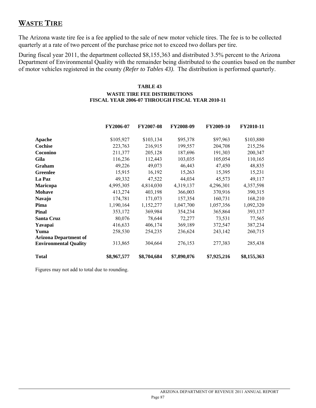# **WASTE TIRE**

The Arizona waste tire fee is a fee applied to the sale of new motor vehicle tires. The fee is to be collected quarterly at a rate of two percent of the purchase price not to exceed two dollars per tire.

During fiscal year 2011, the department collected \$8,155,363 and distributed 3.5% percent to the Arizona Department of Environmental Quality with the remainder being distributed to the counties based on the number of motor vehicles registered in the county *(Refer to Tables 43)*. The distribution is performed quarterly.

### **TABLE 43**

### **WASTE TIRE FEE DISTRIBUTIONS FISCAL YEAR 2006-07 THROUGH FISCAL YEAR 2010-11**

|                              | FY2006-07   | <b>FY2007-08</b> | <b>FY2008-09</b> | <b>FY2009-10</b> | <b>FY2010-11</b> |
|------------------------------|-------------|------------------|------------------|------------------|------------------|
| Apache                       | \$105,927   | \$103,134        | \$95,378         | \$97,963         | \$103,880        |
| Cochise                      | 223,763     | 216,915          | 199,557          | 204,708          | 215,256          |
| Coconino                     | 211,377     | 205,128          | 187,696          | 191,303          | 200,347          |
| Gila                         | 116,236     | 112,443          | 103,035          | 105,054          | 110,165          |
| Graham                       | 49,226      | 49,073           | 46,443           | 47,450           | 48,835           |
| <b>Greenlee</b>              | 15,915      | 16,192           | 15,263           | 15,395           | 15,231           |
| La Paz                       | 49,332      | 47,522           | 44,034           | 45,573           | 49,117           |
| <b>Maricopa</b>              | 4,995,305   | 4,814,030        | 4,319,137        | 4,296,301        | 4,357,598        |
| <b>Mohave</b>                | 413,274     | 403,198          | 366,003          | 370,916          | 390,315          |
| <b>Navajo</b>                | 174,781     | 171,073          | 157,354          | 160,731          | 168,210          |
| Pima                         | 1,190,164   | 1,152,277        | 1,047,700        | 1,057,356        | 1,092,320        |
| <b>Pinal</b>                 | 353,172     | 369,984          | 354,234          | 365,864          | 393,137          |
| Santa Cruz                   | 80,076      | 78,644           | 72,277           | 73,531           | 77,565           |
| Yavapai                      | 416,633     | 406,174          | 369,189          | 372,547          | 387,234          |
| Yuma                         | 258,530     | 254,235          | 236,624          | 243,142          | 260,715          |
| <b>Arizona Department of</b> |             |                  |                  |                  |                  |
| <b>Environmental Quality</b> | 313,865     | 304,664          | 276,153          | 277,383          | 285,438          |
| <b>Total</b>                 | \$8,967,577 | \$8,704,684      | \$7,890,076      | \$7,925,216      | \$8,155,363      |

Figures may not add to total due to rounding.

 $\overline{a}$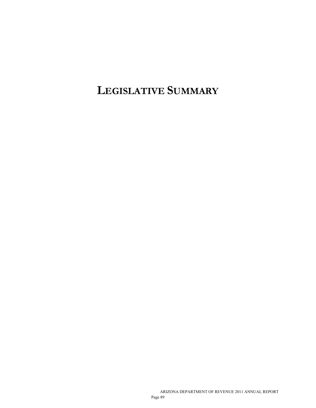**LEGISLATIVE SUMMARY**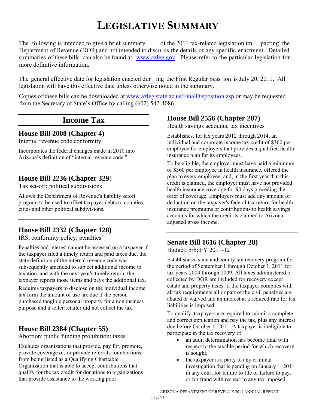# **LEGISLATIVE SUMMARY**

The following is intended to give a brief summary of the 2011 tax-related legislation im pacting the Department of Revenue (DOR) and not intended to discu ss the details of any specific enactment. Detailed summaries of these bills can also be found at [www.azleg.gov.](http://www.azleg.gov/) Please refer to the particular legislation for more definitive information.

The general effective date for legislation enacted dur ing the First Regular Sess ion is July 20, 2011. All legislation will have this effective date unless otherwise noted in the summary.

Copies of these bills can be downloaded at [www.azleg.state.az.us/FinalDisposition.asp](http://www.azleg.state.az.us/FinalDisposition.asp) or may be requested from the Secretary of State's Office by calling (602) 542-4086.

# **Income Tax**

**House Bill 2008 (Chapter 4)** 

Internal revenue code conformity

Incorporates the federal changes made in 2010 into Arizona's definition of "internal revenue code."

## **House Bill 2236 (Chapter 329**)

Tax set-off; political subdivisions

Allows the Department of Revenue's liability setoff program to be used to offset taxpayer debts to counties, cities and other political subdivisions.

# **House Bill 2332 (Chapter 128)**

IRS; conformity policy; penalties

Penalties and interest cannot be assessed on a taxpayer if the taxpayer filed a timely return and paid taxes due, the state definition of the internal revenue code was subsequently amended to subject additional income to taxation, and with the next year's timely return, the taxpayer reports those items and pays the additional tax.

Requires taxpayers to disclose on the individual income tax form the amount of use tax due if the person purchased tangible personal property for a nonbusiness purpose and a seller/retailer did not collect the tax.

# **House Bill 2384 (Chapter 55)**

 $\overline{a}$ 

Abortion; public funding prohibition; taxes

Excludes organizations that provide, pay for, promote, provide coverage of, or provide referrals for abortions from being listed as a Qualifying Charitable Organization that is able to accept contributions that qualify for the tax credit for donations to organizations that provide assistance to the working poor.

# **House Bill 2556 (Chapter 287)**

Health savings accounts; tax incentives

Establishes, for tax years 2012 through 2014, an individual and corporate income tax credit of \$360 per employee for employers that provides a qualified health insurance plan for its employees.

To be eligible, the employer must have paid a minimum of \$360 per employee in health insurance, offered the plan to every employee; and, in the first year that this credit is claimed, the employer must have not provided health insurance coverage for 90 days preceding the offer of coverage. Employers must add any amount of deduction on the taxpayer's federal tax return for health insurance premiums or contributions to health savings accounts for which the credit is claimed to Arizona adjusted gross income.

# **Senate Bill 1616 (Chapter 28)**

Budget; brb; FY 2011-12

Establishes a state and county tax recovery program for the period of September 1 through October 1, 2011 for tax years 2004 through 2009. All taxes administered or collected by DOR are included for recovery except estate and property taxes. If the taxpayer complies with all tax requirements all or part of the civil penalties are abated or waived and an interest at a reduced rate for tax liabilities is imposed

To qualify, taxpayers are required to submit a complete and correct application and pay the tax, plus any interest due before October 1, 2011. A taxpayer is ineligible to participate in the tax recovery if:

- an audit determination has become final with respect to the taxable period for which recovery is sought;
- the taxpayer is a party to any criminal investigation that is pending on January 1, 2011 in any court for failure to file or failure to pay, or for fraud with respect to any tax imposed;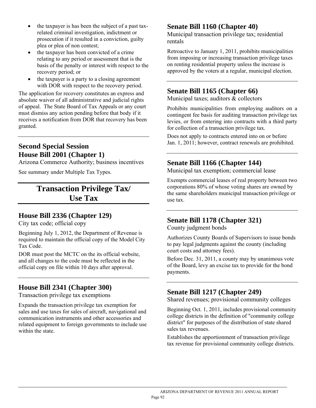- the taxpayer is has been the subject of a past taxrelated criminal investigation, indictment or prosecution if it resulted in a conviction, guilty plea or plea of non contest;
- the taxpayer has been convicted of a crime relating to any period or assessment that is the basis of the penalty or interest with respect to the recovery period; or
- the taxpayer is a party to a closing agreement with DOR with respect to the recovery period.

The application for recovery constitutes an express and absolute waiver of all administrative and judicial rights of appeal. The State Board of Tax Appeals or any court must dismiss any action pending before that body if it receives a notification from DOR that recovery has been granted.

### **Second Special Session House Bill 2001 (Chapter 1)**

Arizona Commerce Authority; business incentives

See summary under Multiple Tax Types.

# **Transaction Privilege Tax/ Use Tax**

### **House Bill 2336 (Chapter 129)**

City tax code; official copy

Beginning July 1, 2012, the Department of Revenue is required to maintain the official copy of the Model City Tax Code.

DOR must post the MCTC on the its official website, and all changes to the code must be reflected in the official copy on file within 10 days after approval.

## **House Bill 2341 (Chapter 300)**

Transaction privilege tax exemptions

Expands the transaction privilege tax exemption for sales and use taxes for sales of aircraft, navigational and communication instruments and other accessories and related equipment to foreign governments to include use within the state.

## **Senate Bill 1160 (Chapter 40)**

Municipal transaction privilege tax; residential rentals

Retroactive to January 1, 2011, prohibits municipalities from imposing or increasing transaction privilege taxes on renting residential property unless the increase is approved by the voters at a regular, municipal election.

### **Senate Bill 1165 (Chapter 66)**

Municipal taxes; auditors & collectors

Prohibits municipalities from employing auditors on a contingent fee basis for auditing transaction privilege tax levies, or from entering into contracts with a third party for collection of a transaction privilege tax.

Does not apply to contracts entered into on or before Jan. 1, 2011; however, contract renewals are prohibited.

### **Senate Bill 1166 (Chapter 144)**

Municipal tax exemption; commercial lease

Exempts commercial leases of real property between two corporations 80% of whose voting shares are owned by the same shareholders municipal transaction privilege or use tax.

### **Senate Bill 1178 (Chapter 321)**

County judgment bonds

Authorizes County Boards of Supervisors to issue bonds to pay legal judgments against the county (including court costs and attorney fees).

Before Dec. 31, 2011, a county may by unanimous vote of the Board, levy an excise tax to provide for the bond payments.

## **Senate Bill 1217 (Chapter 249)**

Shared revenues; provisional community colleges

Beginning Oct. 1, 2011, includes provisional community college districts in the definition of "community college district" for purposes of the distribution of state shared sales tax revenues.

Establishes the apportionment of transaction privilege tax revenue for provisional community college districts.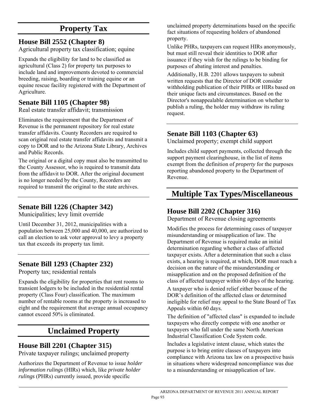# **Property Tax**

# **House Bill 2552 (Chapter 8)**

Agricultural property tax classification; equine

Expands the eligibility for land to be classified as agricultural (Class 2) for property tax purposes to include land and improvements devoted to commercial breeding, raising, boarding or training equine or an equine rescue facility registered with the Department of Agriculture.

## **Senate Bill 1105 (Chapter 98)**

Real estate transfer affidavit; transmission

Eliminates the requirement that the Department of Revenue is the permanent repository for real estate transfer affidavits. County Recorders are required to scan original real estate transfer affidavits and transmit a copy to DOR and to the Arizona State Library, Archives and Public Records.

The original or a digital copy must also be transmitted to the County Assessor, who is required to transmit data from the affidavit to DOR. After the original document is no longer needed by the County, Recorders are required to transmit the original to the state archives.

## **Senate Bill 1226 (Chapter 342)**

Municipalities; levy limit override

Until December 31, 2012, municipalities with a population between 25,000 and 40,000, are authorized to call an election to ask voter approval to levy a property tax that exceeds its property tax limit.

# **Senate Bill 1293 (Chapter 232)**

Property tax; residential rentals

Expands the eligibility for properties that rent rooms to transient lodgers to be included in the residential rental property (Class Four) classification. The maximum number of rentable rooms at the property is increased to eight and the requirement that average annual occupancy cannot exceed 50% is eliminated.

# **Unclaimed Property**

## **House Bill 2201 (Chapter 315)**

Private taxpayer rulings; unclaimed property

Authorizes the Department of Revenue to issue *holder information rulings* (HIRs) which, like *private holder rulings* (PHRs) currently issued, provide specific

unclaimed property determinations based on the specific fact situations of requesting holders of abandoned property.

Unlike PHRs, taxpayers can request HIRs anonymously, but must still reveal their identities to DOR after issuance if they wish for the rulings to be binding for purposes of abating interest and penalties.

Additionally, H.B. 2201 allows taxpayers to submit written requests that the Director of DOR consider withholding publication of their PHRs or HIRs based on their unique facts and circumstances. Based on the Director's nonappealable determination on whether to publish a ruling, the holder may withdraw its ruling request.

# **Senate Bill 1103 (Chapter 63)**

Unclaimed property; exempt child support

Includes child support payments, collected through the support payment clearinghouse, in the list of items exempt from the definition of *property* for the purposes reporting abandoned property to the Department of Revenue.

# **Multiple Tax Types/Miscellaneous**

# **House Bill 2202 (Chapter 316)**

Department of Revenue closing agreements

Modifies the process for determining cases of taxpayer misunderstanding or misapplication of law. The Department of Revenue is required make an initial determination regarding whether a class of affected taxpayer exists. After a determination that such a class exists, a hearing is required, at which, DOR must reach a decision on the nature of the misunderstanding or misapplication and on the proposed definition of the class of affected taxpayer within 60 days of the hearing.

A taxpayer who is denied relief either because of the DOR's definition of the affected class or determined ineligible for relief may appeal to the State Board of Tax Appeals within 60 days.

The definition of "affected class" is expanded to include taxpayers who directly compete with one another or taxpayers who fall under the same North American Industrial Classification Code System code.

Includes a legislative intent clause, which states the purpose is to bring entire classes of taxpayers into compliance with Arizona tax law on a prospective basis in situations where widespread noncompliance was due to a misunderstanding or misapplication of law.